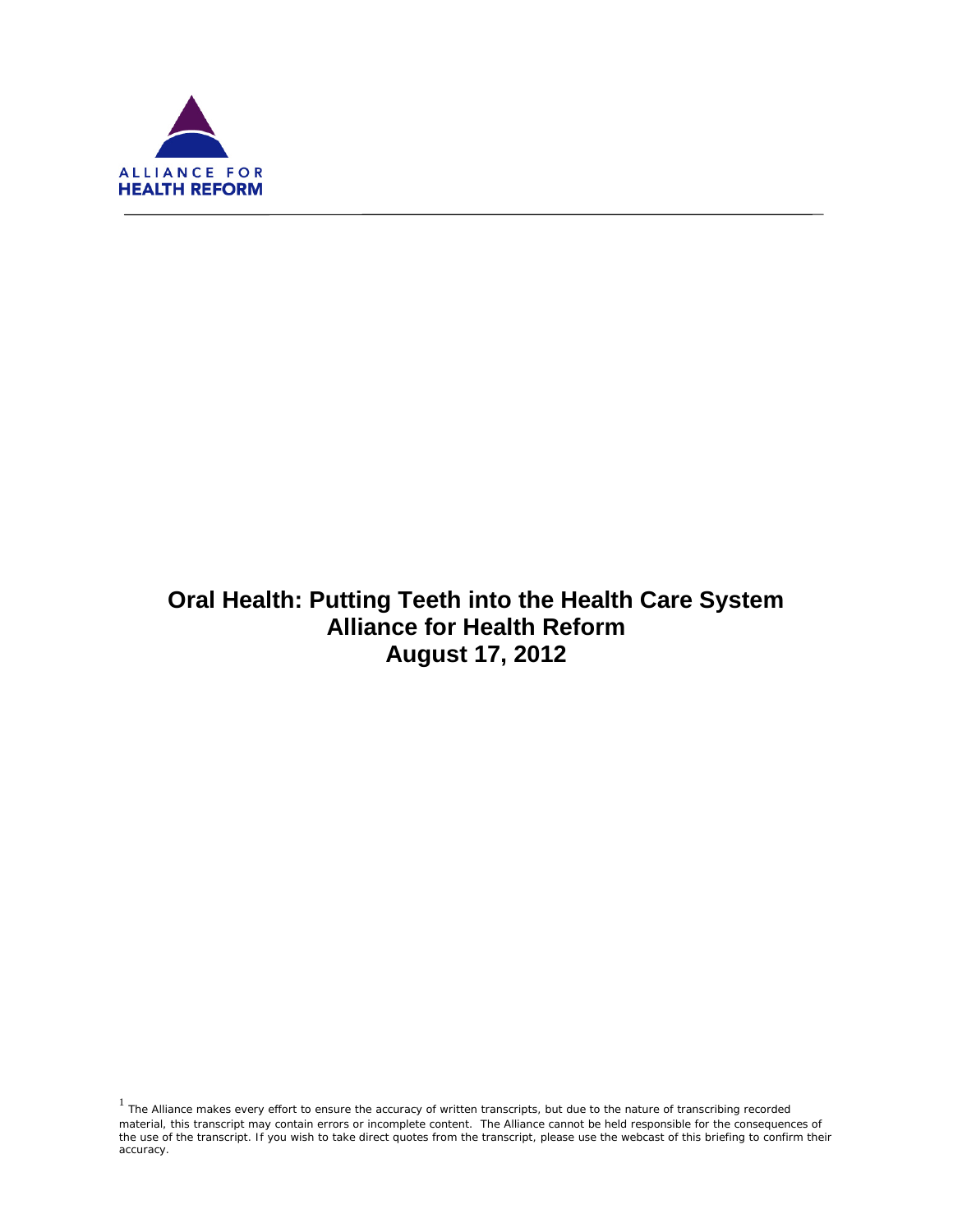

ī

# **Oral Health: Putting Teeth into the Health Care System Alliance for Health Reform August 17, 2012**

 $1$  The Alliance makes every effort to ensure the accuracy of written transcripts, but due to the nature of transcribing recorded material, this transcript may contain errors or incomplete content. The Alliance cannot be held responsible for the consequences of the use of the transcript. If you wish to take direct quotes from the transcript, please use the webcast of this briefing to confirm their accuracy.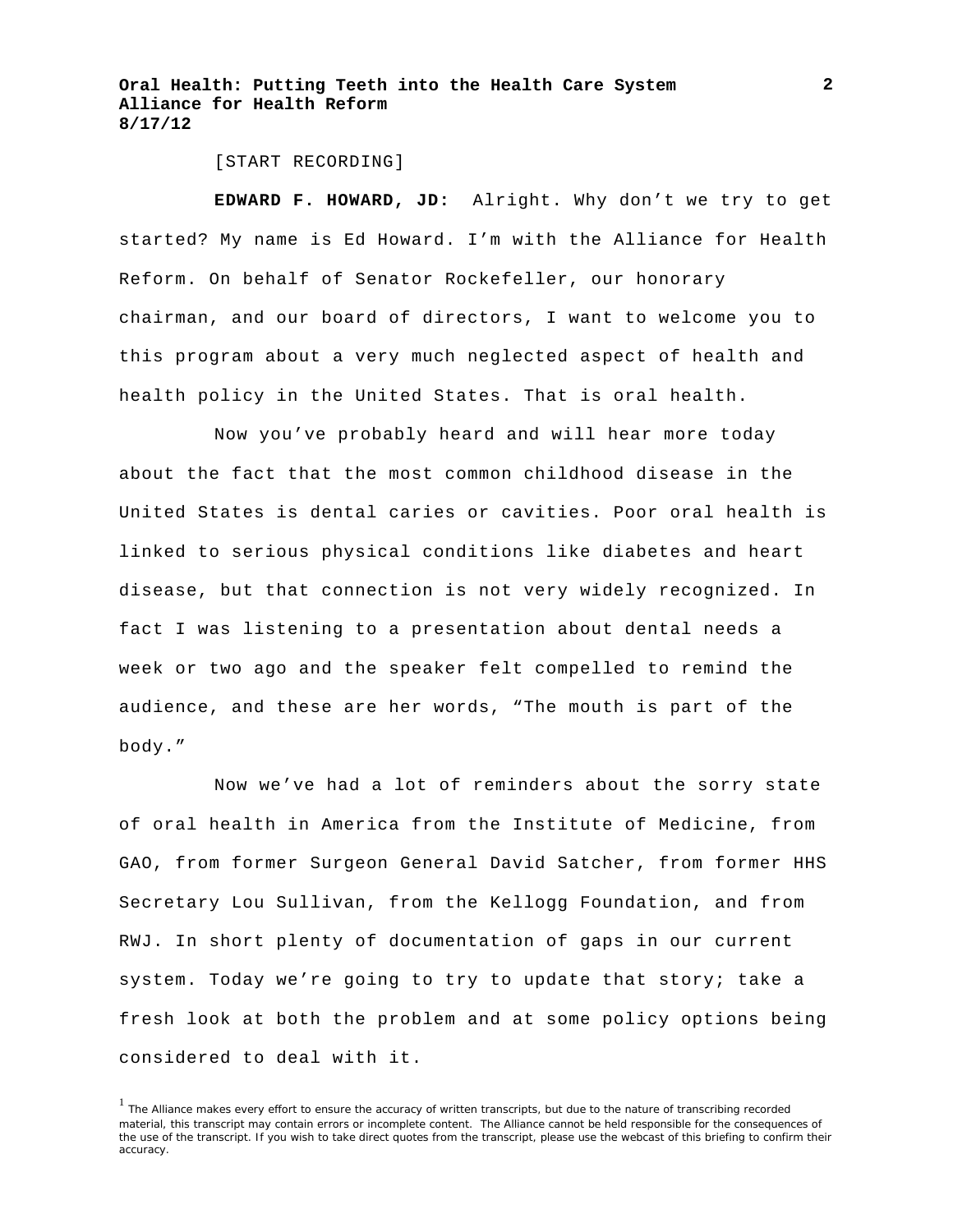[START RECORDING]

**EDWARD F. HOWARD, JD:** Alright. Why don't we try to get started? My name is Ed Howard. I'm with the Alliance for Health Reform. On behalf of Senator Rockefeller, our honorary chairman, and our board of directors, I want to welcome you to this program about a very much neglected aspect of health and health policy in the United States. That is oral health.

Now you've probably heard and will hear more today about the fact that the most common childhood disease in the United States is dental caries or cavities. Poor oral health is linked to serious physical conditions like diabetes and heart disease, but that connection is not very widely recognized. In fact I was listening to a presentation about dental needs a week or two ago and the speaker felt compelled to remind the audience, and these are her words, "The mouth is part of the body."

Now we've had a lot of reminders about the sorry state of oral health in America from the Institute of Medicine, from GAO, from former Surgeon General David Satcher, from former HHS Secretary Lou Sullivan, from the Kellogg Foundation, and from RWJ. In short plenty of documentation of gaps in our current system. Today we're going to try to update that story; take a fresh look at both the problem and at some policy options being considered to deal with it.

<sup>&</sup>lt;sup>1</sup> The Alliance makes every effort to ensure the accuracy of written transcripts, but due to the nature of transcribing recorded material, this transcript may contain errors or incomplete content. The Alliance cannot be held responsible for the consequences of the use of the transcript. If you wish to take direct quotes from the transcript, please use the webcast of this briefing to confirm their accuracy.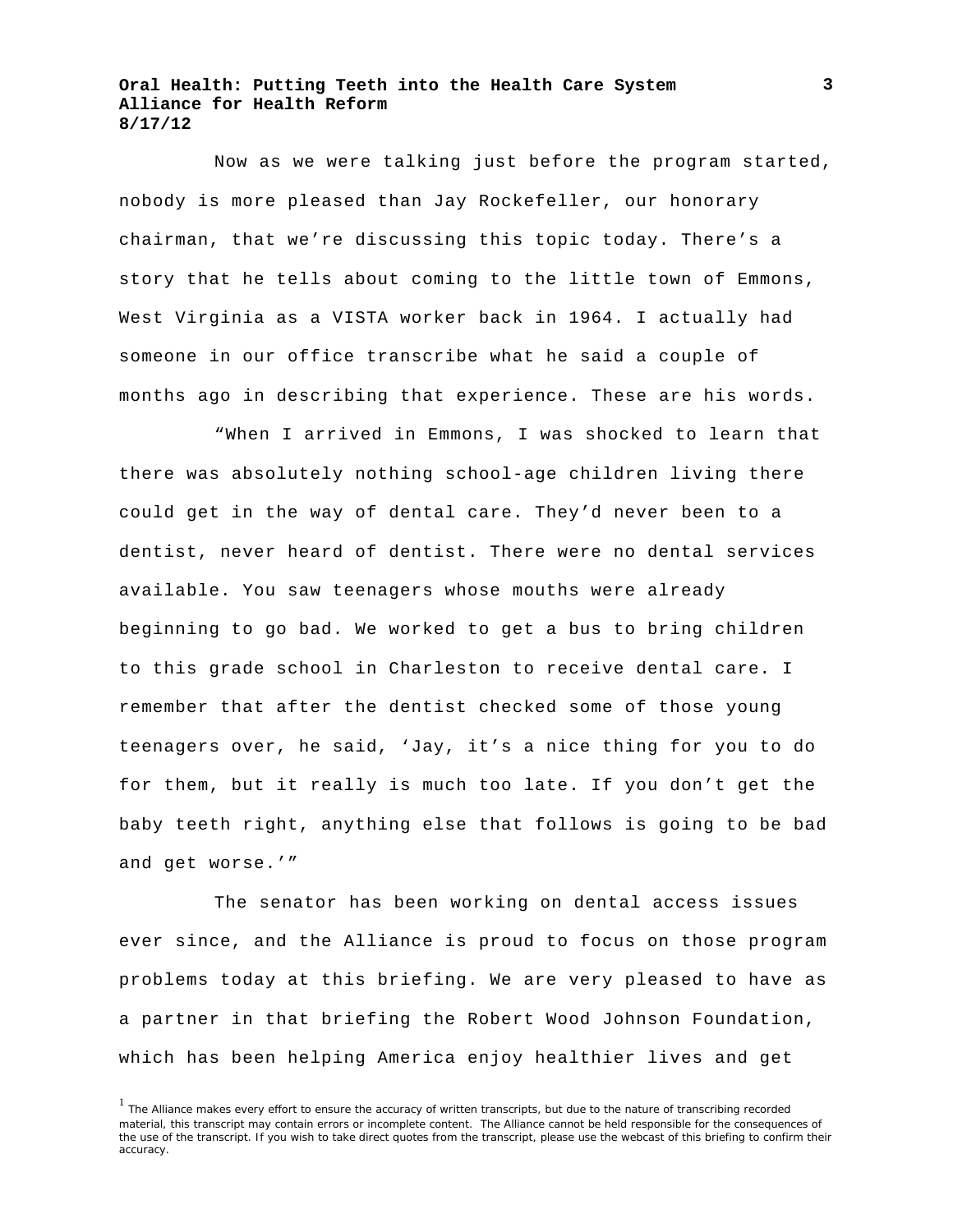Now as we were talking just before the program started, nobody is more pleased than Jay Rockefeller, our honorary chairman, that we're discussing this topic today. There's a story that he tells about coming to the little town of Emmons, West Virginia as a VISTA worker back in 1964. I actually had someone in our office transcribe what he said a couple of months ago in describing that experience. These are his words.

"When I arrived in Emmons, I was shocked to learn that there was absolutely nothing school-age children living there could get in the way of dental care. They'd never been to a dentist, never heard of dentist. There were no dental services available. You saw teenagers whose mouths were already beginning to go bad. We worked to get a bus to bring children to this grade school in Charleston to receive dental care. I remember that after the dentist checked some of those young teenagers over, he said, 'Jay, it's a nice thing for you to do for them, but it really is much too late. If you don't get the baby teeth right, anything else that follows is going to be bad and get worse.'"

The senator has been working on dental access issues ever since, and the Alliance is proud to focus on those program problems today at this briefing. We are very pleased to have as a partner in that briefing the Robert Wood Johnson Foundation, which has been helping America enjoy healthier lives and get

<sup>&</sup>lt;sup>1</sup> The Alliance makes every effort to ensure the accuracy of written transcripts, but due to the nature of transcribing recorded material, this transcript may contain errors or incomplete content. The Alliance cannot be held responsible for the consequences of the use of the transcript. If you wish to take direct quotes from the transcript, please use the webcast of this briefing to confirm their accuracy.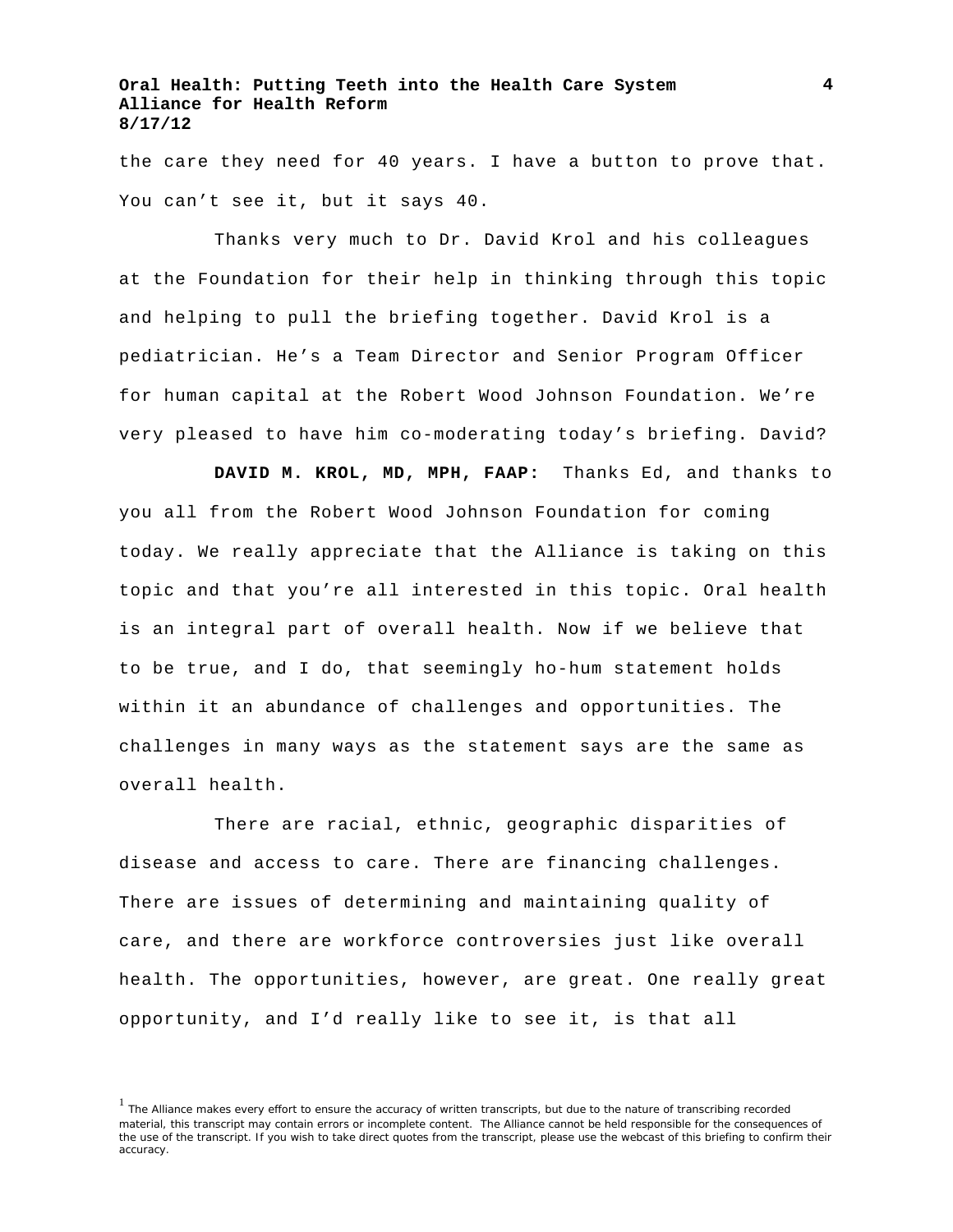the care they need for 40 years. I have a button to prove that. You can't see it, but it says 40.

Thanks very much to Dr. David Krol and his colleagues at the Foundation for their help in thinking through this topic and helping to pull the briefing together. David Krol is a pediatrician. He's a Team Director and Senior Program Officer for human capital at the Robert Wood Johnson Foundation. We're very pleased to have him co-moderating today's briefing. David?

**DAVID M. KROL, MD, MPH, FAAP:** Thanks Ed, and thanks to you all from the Robert Wood Johnson Foundation for coming today. We really appreciate that the Alliance is taking on this topic and that you're all interested in this topic. Oral health is an integral part of overall health. Now if we believe that to be true, and I do, that seemingly ho-hum statement holds within it an abundance of challenges and opportunities. The challenges in many ways as the statement says are the same as overall health.

There are racial, ethnic, geographic disparities of disease and access to care. There are financing challenges. There are issues of determining and maintaining quality of care, and there are workforce controversies just like overall health. The opportunities, however, are great. One really great opportunity, and I'd really like to see it, is that all

<sup>&</sup>lt;sup>1</sup> The Alliance makes every effort to ensure the accuracy of written transcripts, but due to the nature of transcribing recorded material, this transcript may contain errors or incomplete content. The Alliance cannot be held responsible for the consequences of the use of the transcript. If you wish to take direct quotes from the transcript, please use the webcast of this briefing to confirm their accuracy.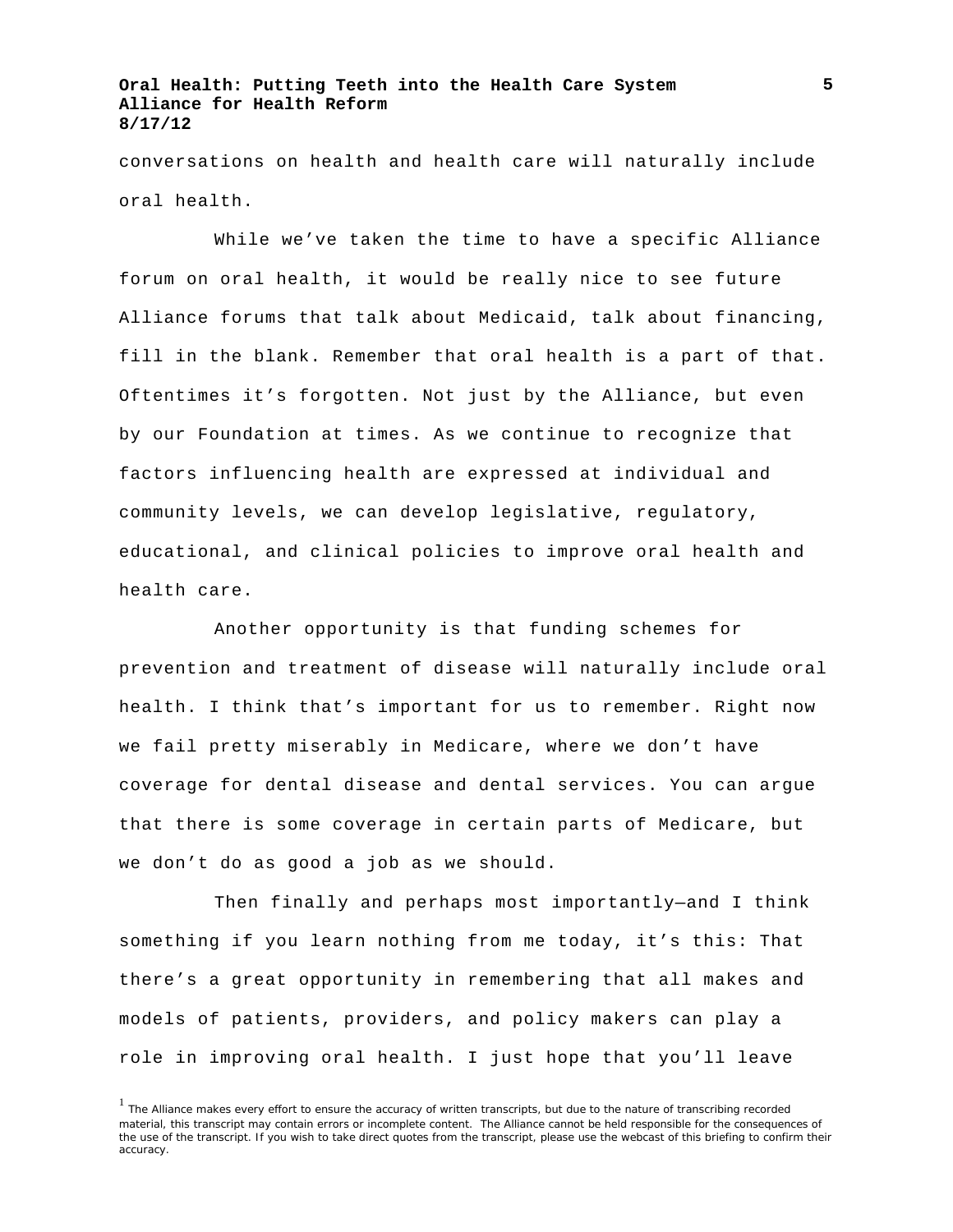conversations on health and health care will naturally include oral health.

While we've taken the time to have a specific Alliance forum on oral health, it would be really nice to see future Alliance forums that talk about Medicaid, talk about financing, fill in the blank. Remember that oral health is a part of that. Oftentimes it's forgotten. Not just by the Alliance, but even by our Foundation at times. As we continue to recognize that factors influencing health are expressed at individual and community levels, we can develop legislative, regulatory, educational, and clinical policies to improve oral health and health care.

Another opportunity is that funding schemes for prevention and treatment of disease will naturally include oral health. I think that's important for us to remember. Right now we fail pretty miserably in Medicare, where we don't have coverage for dental disease and dental services. You can argue that there is some coverage in certain parts of Medicare, but we don't do as good a job as we should.

Then finally and perhaps most importantly—and I think something if you learn nothing from me today, it's this: That there's a great opportunity in remembering that all makes and models of patients, providers, and policy makers can play a role in improving oral health. I just hope that you'll leave

<sup>&</sup>lt;sup>1</sup> The Alliance makes every effort to ensure the accuracy of written transcripts, but due to the nature of transcribing recorded material, this transcript may contain errors or incomplete content. The Alliance cannot be held responsible for the consequences of the use of the transcript. If you wish to take direct quotes from the transcript, please use the webcast of this briefing to confirm their accuracy.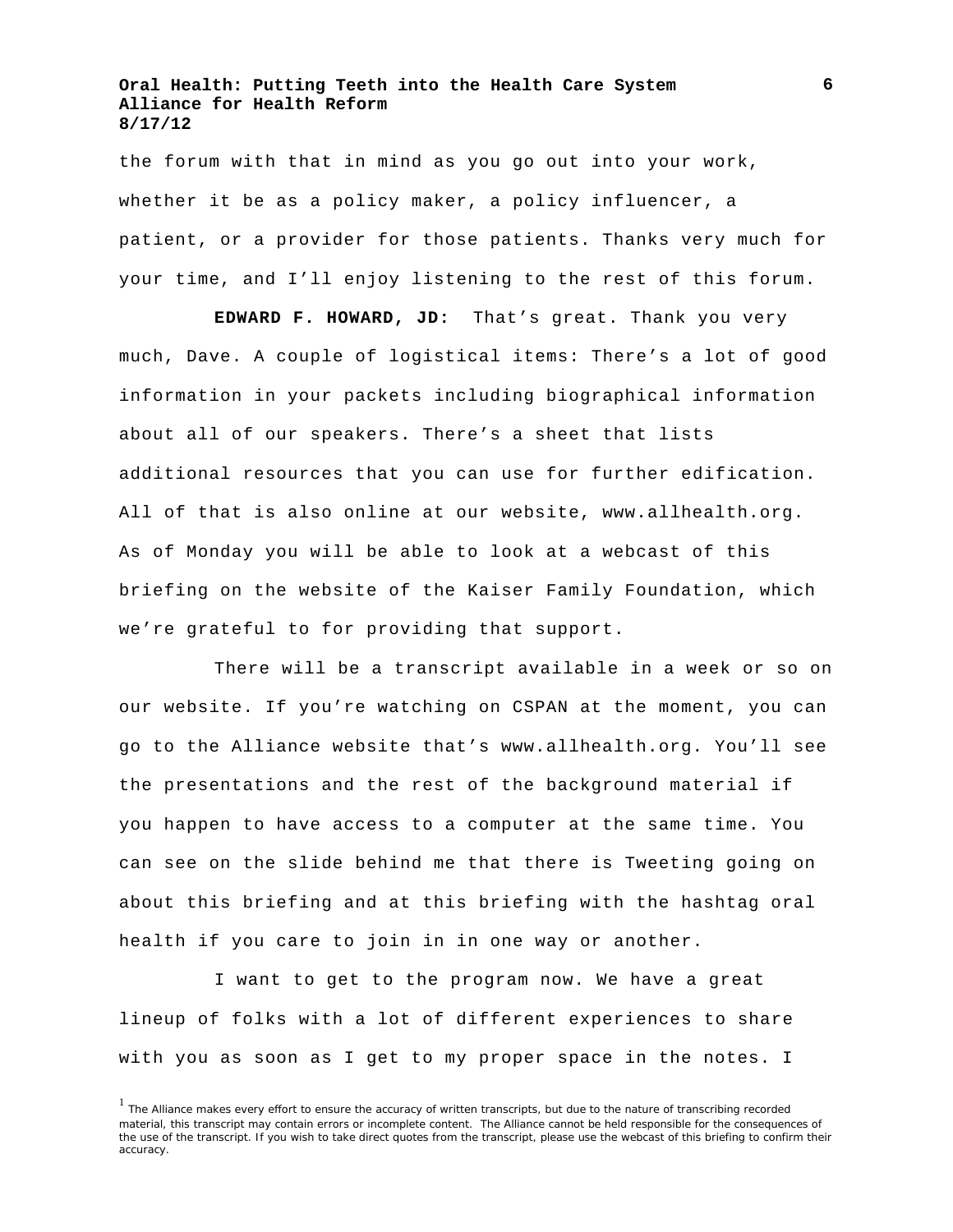the forum with that in mind as you go out into your work, whether it be as a policy maker, a policy influencer, a patient, or a provider for those patients. Thanks very much for your time, and I'll enjoy listening to the rest of this forum.

**EDWARD F. HOWARD, JD:** That's great. Thank you very much, Dave. A couple of logistical items: There's a lot of good information in your packets including biographical information about all of our speakers. There's a sheet that lists additional resources that you can use for further edification. All of that is also online at our website, www.allhealth.org. As of Monday you will be able to look at a webcast of this briefing on the website of the Kaiser Family Foundation, which we're grateful to for providing that support.

There will be a transcript available in a week or so on our website. If you're watching on CSPAN at the moment, you can go to the Alliance website that's www.allhealth.org. You'll see the presentations and the rest of the background material if you happen to have access to a computer at the same time. You can see on the slide behind me that there is Tweeting going on about this briefing and at this briefing with the hashtag oral health if you care to join in in one way or another.

I want to get to the program now. We have a great lineup of folks with a lot of different experiences to share with you as soon as I get to my proper space in the notes. I

<sup>&</sup>lt;sup>1</sup> The Alliance makes every effort to ensure the accuracy of written transcripts, but due to the nature of transcribing recorded material, this transcript may contain errors or incomplete content. The Alliance cannot be held responsible for the consequences of the use of the transcript. If you wish to take direct quotes from the transcript, please use the webcast of this briefing to confirm their accuracy.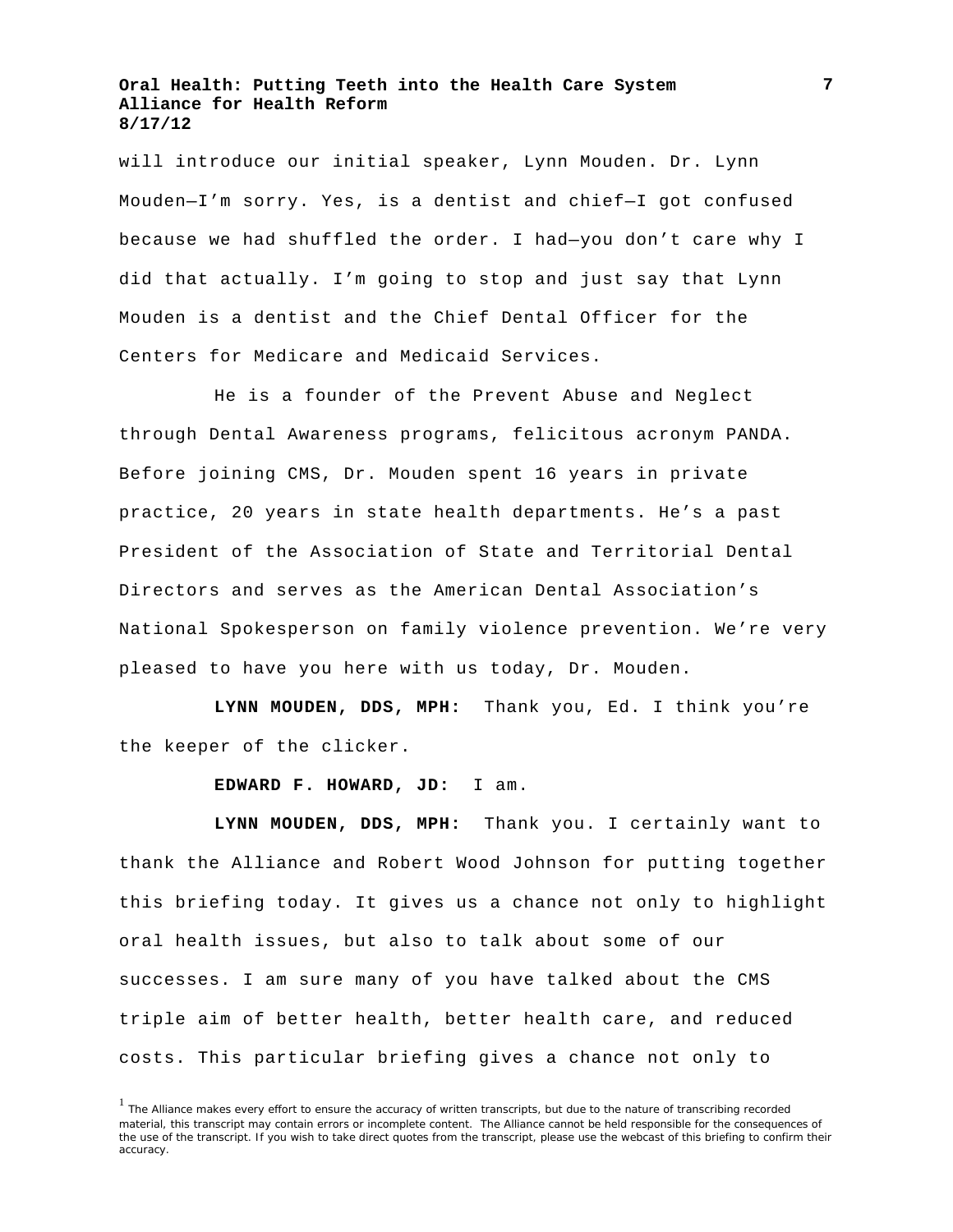will introduce our initial speaker, Lynn Mouden. Dr. Lynn Mouden—I'm sorry. Yes, is a dentist and chief—I got confused because we had shuffled the order. I had—you don't care why I did that actually. I'm going to stop and just say that Lynn Mouden is a dentist and the Chief Dental Officer for the Centers for Medicare and Medicaid Services.

He is a founder of the Prevent Abuse and Neglect through Dental Awareness programs, felicitous acronym PANDA. Before joining CMS, Dr. Mouden spent 16 years in private practice, 20 years in state health departments. He's a past President of the Association of State and Territorial Dental Directors and serves as the American Dental Association's National Spokesperson on family violence prevention. We're very pleased to have you here with us today, Dr. Mouden.

**LYNN MOUDEN, DDS, MPH:** Thank you, Ed. I think you're the keeper of the clicker.

**EDWARD F. HOWARD, JD:** I am.

**LYNN MOUDEN, DDS, MPH:** Thank you. I certainly want to thank the Alliance and Robert Wood Johnson for putting together this briefing today. It gives us a chance not only to highlight oral health issues, but also to talk about some of our successes. I am sure many of you have talked about the CMS triple aim of better health, better health care, and reduced costs. This particular briefing gives a chance not only to

<sup>&</sup>lt;sup>1</sup> The Alliance makes every effort to ensure the accuracy of written transcripts, but due to the nature of transcribing recorded material, this transcript may contain errors or incomplete content. The Alliance cannot be held responsible for the consequences of the use of the transcript. If you wish to take direct quotes from the transcript, please use the webcast of this briefing to confirm their accuracy.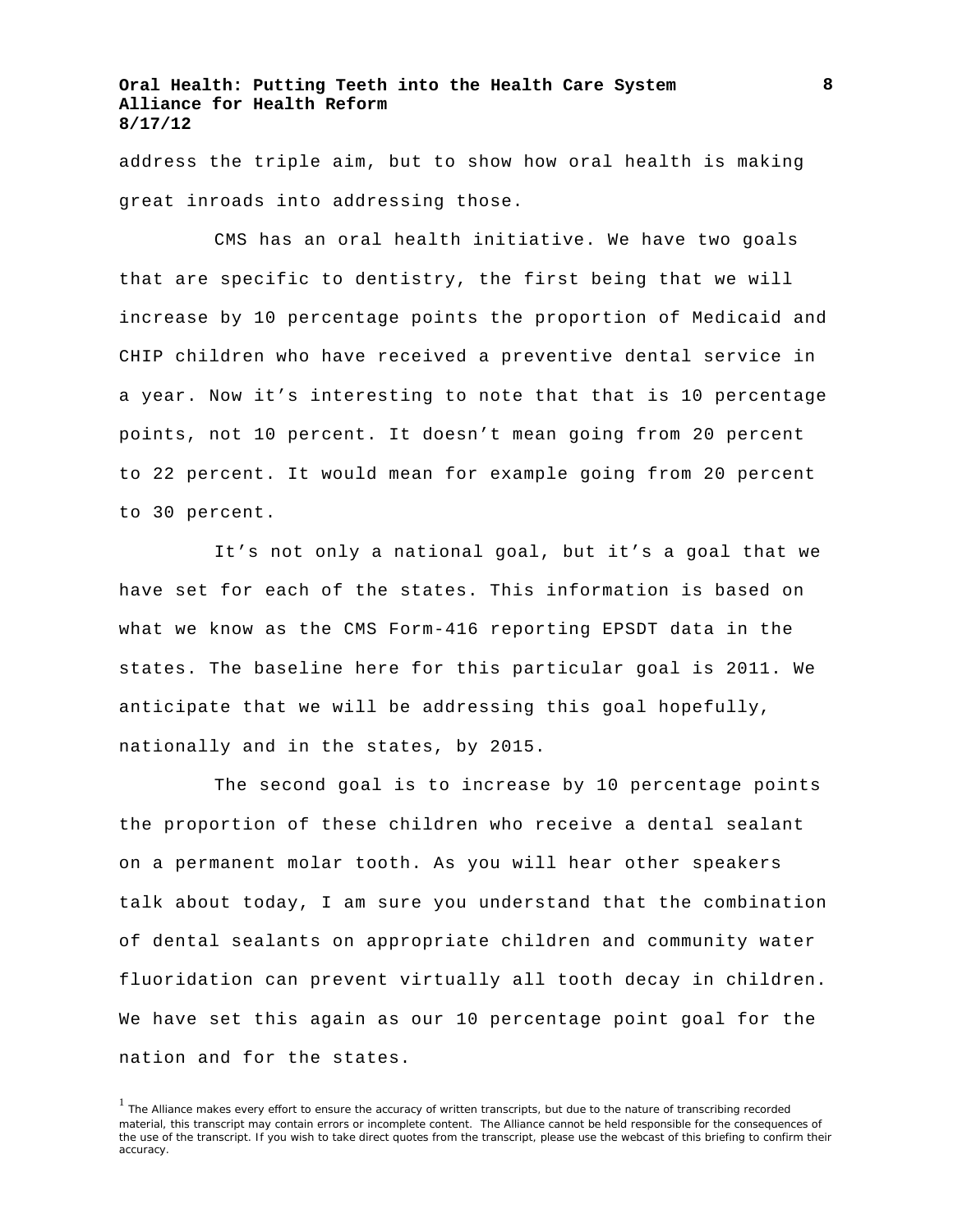address the triple aim, but to show how oral health is making great inroads into addressing those.

CMS has an oral health initiative. We have two goals that are specific to dentistry, the first being that we will increase by 10 percentage points the proportion of Medicaid and CHIP children who have received a preventive dental service in a year. Now it's interesting to note that that is 10 percentage points, not 10 percent. It doesn't mean going from 20 percent to 22 percent. It would mean for example going from 20 percent to 30 percent.

It's not only a national goal, but it's a goal that we have set for each of the states. This information is based on what we know as the CMS Form-416 reporting EPSDT data in the states. The baseline here for this particular goal is 2011. We anticipate that we will be addressing this goal hopefully, nationally and in the states, by 2015.

The second goal is to increase by 10 percentage points the proportion of these children who receive a dental sealant on a permanent molar tooth. As you will hear other speakers talk about today, I am sure you understand that the combination of dental sealants on appropriate children and community water fluoridation can prevent virtually all tooth decay in children. We have set this again as our 10 percentage point goal for the nation and for the states.

**8**

<sup>&</sup>lt;sup>1</sup> The Alliance makes every effort to ensure the accuracy of written transcripts, but due to the nature of transcribing recorded material, this transcript may contain errors or incomplete content. The Alliance cannot be held responsible for the consequences of the use of the transcript. If you wish to take direct quotes from the transcript, please use the webcast of this briefing to confirm their accuracy.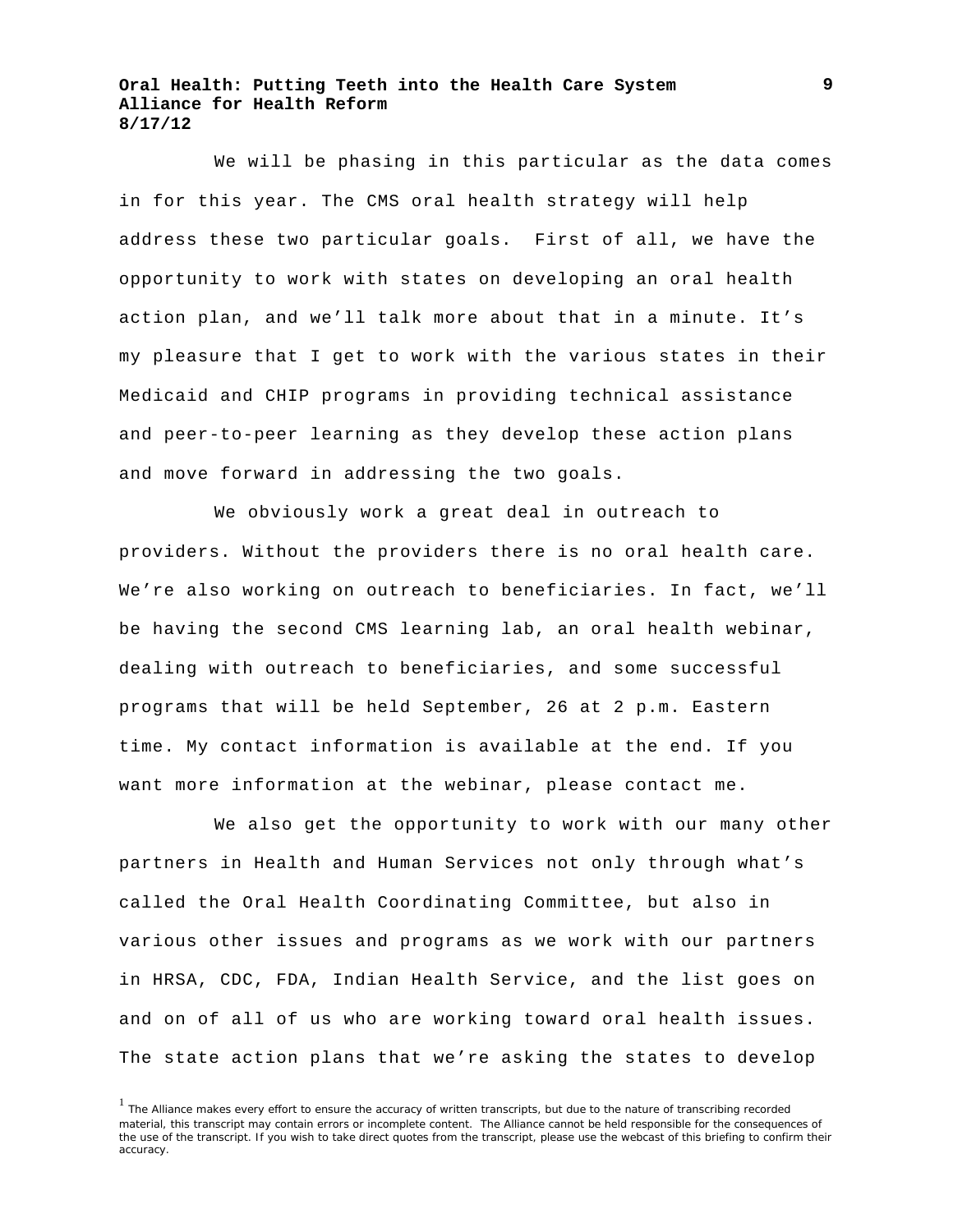We will be phasing in this particular as the data comes in for this year. The CMS oral health strategy will help address these two particular goals. First of all, we have the opportunity to work with states on developing an oral health action plan, and we'll talk more about that in a minute. It's my pleasure that I get to work with the various states in their Medicaid and CHIP programs in providing technical assistance and peer-to-peer learning as they develop these action plans and move forward in addressing the two goals.

We obviously work a great deal in outreach to providers. Without the providers there is no oral health care. We're also working on outreach to beneficiaries. In fact, we'll be having the second CMS learning lab, an oral health webinar, dealing with outreach to beneficiaries, and some successful programs that will be held September, 26 at 2 p.m. Eastern time. My contact information is available at the end. If you want more information at the webinar, please contact me.

We also get the opportunity to work with our many other partners in Health and Human Services not only through what's called the Oral Health Coordinating Committee, but also in various other issues and programs as we work with our partners in HRSA, CDC, FDA, Indian Health Service, and the list goes on and on of all of us who are working toward oral health issues. The state action plans that we're asking the states to develop

<sup>&</sup>lt;sup>1</sup> The Alliance makes every effort to ensure the accuracy of written transcripts, but due to the nature of transcribing recorded material, this transcript may contain errors or incomplete content. The Alliance cannot be held responsible for the consequences of the use of the transcript. If you wish to take direct quotes from the transcript, please use the webcast of this briefing to confirm their accuracy.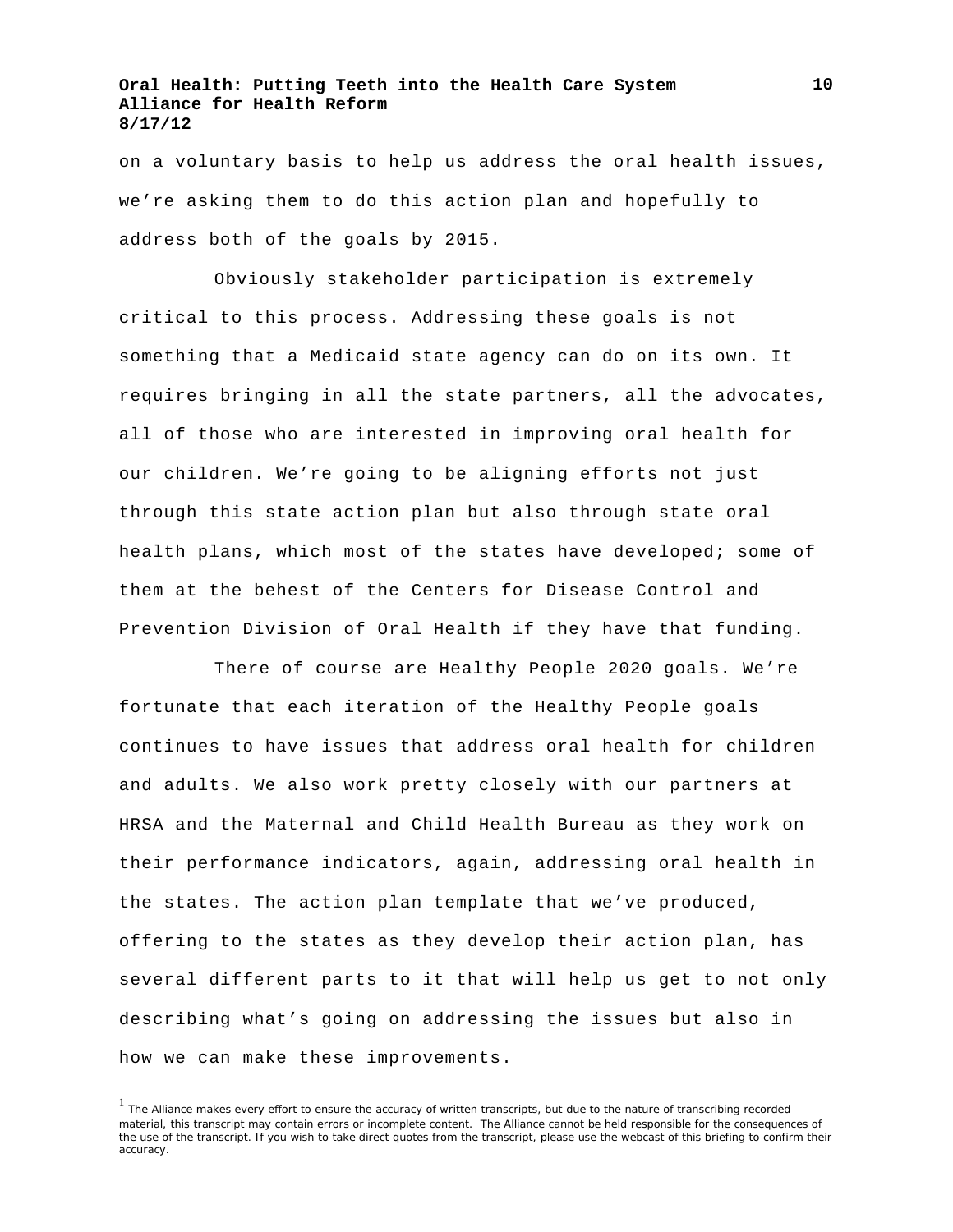on a voluntary basis to help us address the oral health issues, we're asking them to do this action plan and hopefully to address both of the goals by 2015.

Obviously stakeholder participation is extremely critical to this process. Addressing these goals is not something that a Medicaid state agency can do on its own. It requires bringing in all the state partners, all the advocates, all of those who are interested in improving oral health for our children. We're going to be aligning efforts not just through this state action plan but also through state oral health plans, which most of the states have developed; some of them at the behest of the Centers for Disease Control and Prevention Division of Oral Health if they have that funding.

There of course are Healthy People 2020 goals. We're fortunate that each iteration of the Healthy People goals continues to have issues that address oral health for children and adults. We also work pretty closely with our partners at HRSA and the Maternal and Child Health Bureau as they work on their performance indicators, again, addressing oral health in the states. The action plan template that we've produced, offering to the states as they develop their action plan, has several different parts to it that will help us get to not only describing what's going on addressing the issues but also in how we can make these improvements.

<sup>&</sup>lt;sup>1</sup> The Alliance makes every effort to ensure the accuracy of written transcripts, but due to the nature of transcribing recorded material, this transcript may contain errors or incomplete content. The Alliance cannot be held responsible for the consequences of the use of the transcript. If you wish to take direct quotes from the transcript, please use the webcast of this briefing to confirm their accuracy.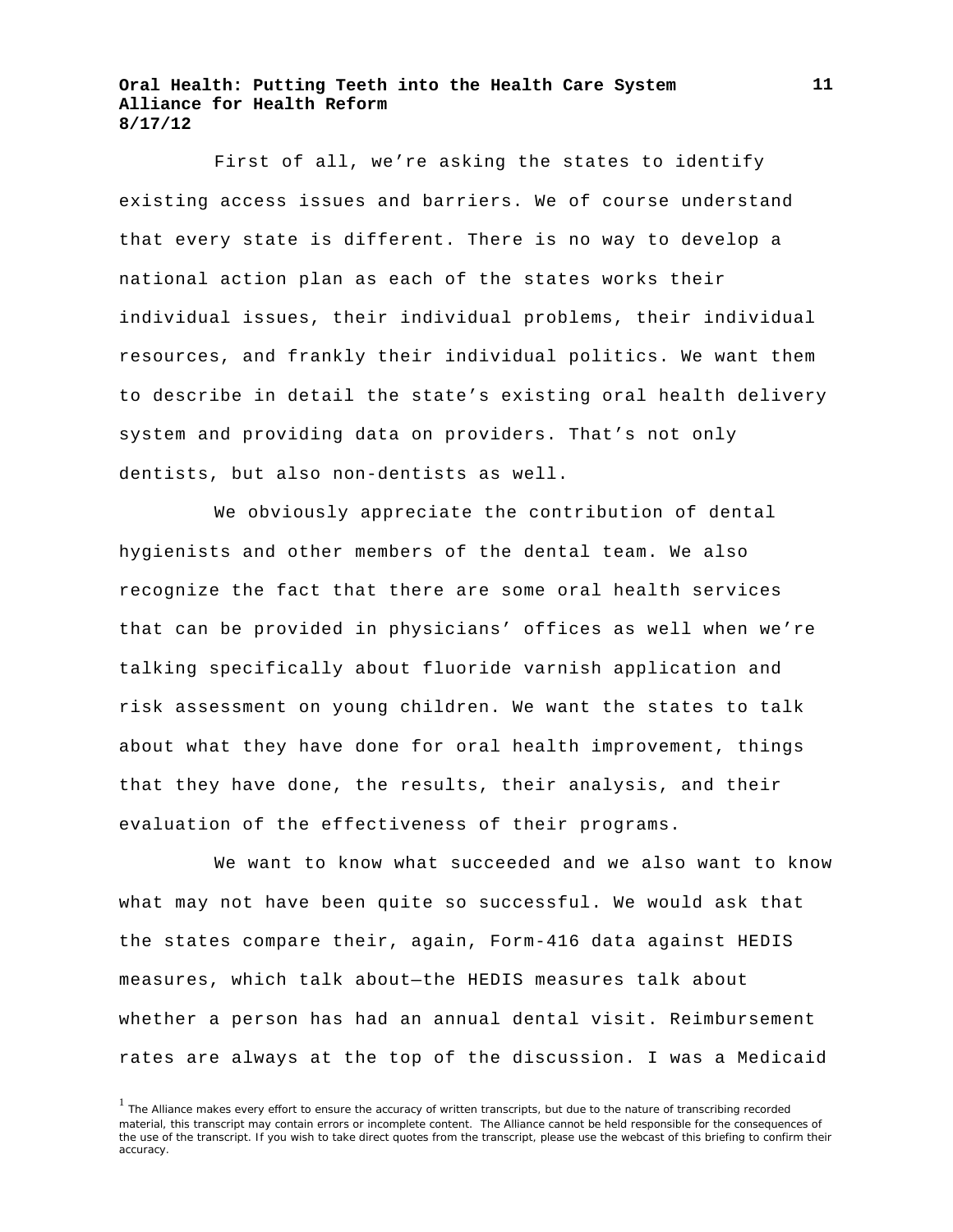First of all, we're asking the states to identify existing access issues and barriers. We of course understand that every state is different. There is no way to develop a national action plan as each of the states works their individual issues, their individual problems, their individual resources, and frankly their individual politics. We want them to describe in detail the state's existing oral health delivery system and providing data on providers. That's not only dentists, but also non-dentists as well.

We obviously appreciate the contribution of dental hygienists and other members of the dental team. We also recognize the fact that there are some oral health services that can be provided in physicians' offices as well when we're talking specifically about fluoride varnish application and risk assessment on young children. We want the states to talk about what they have done for oral health improvement, things that they have done, the results, their analysis, and their evaluation of the effectiveness of their programs.

We want to know what succeeded and we also want to know what may not have been quite so successful. We would ask that the states compare their, again, Form-416 data against HEDIS measures, which talk about—the HEDIS measures talk about whether a person has had an annual dental visit. Reimbursement rates are always at the top of the discussion. I was a Medicaid

<sup>&</sup>lt;sup>1</sup> The Alliance makes every effort to ensure the accuracy of written transcripts, but due to the nature of transcribing recorded material, this transcript may contain errors or incomplete content. The Alliance cannot be held responsible for the consequences of the use of the transcript. If you wish to take direct quotes from the transcript, please use the webcast of this briefing to confirm their accuracy.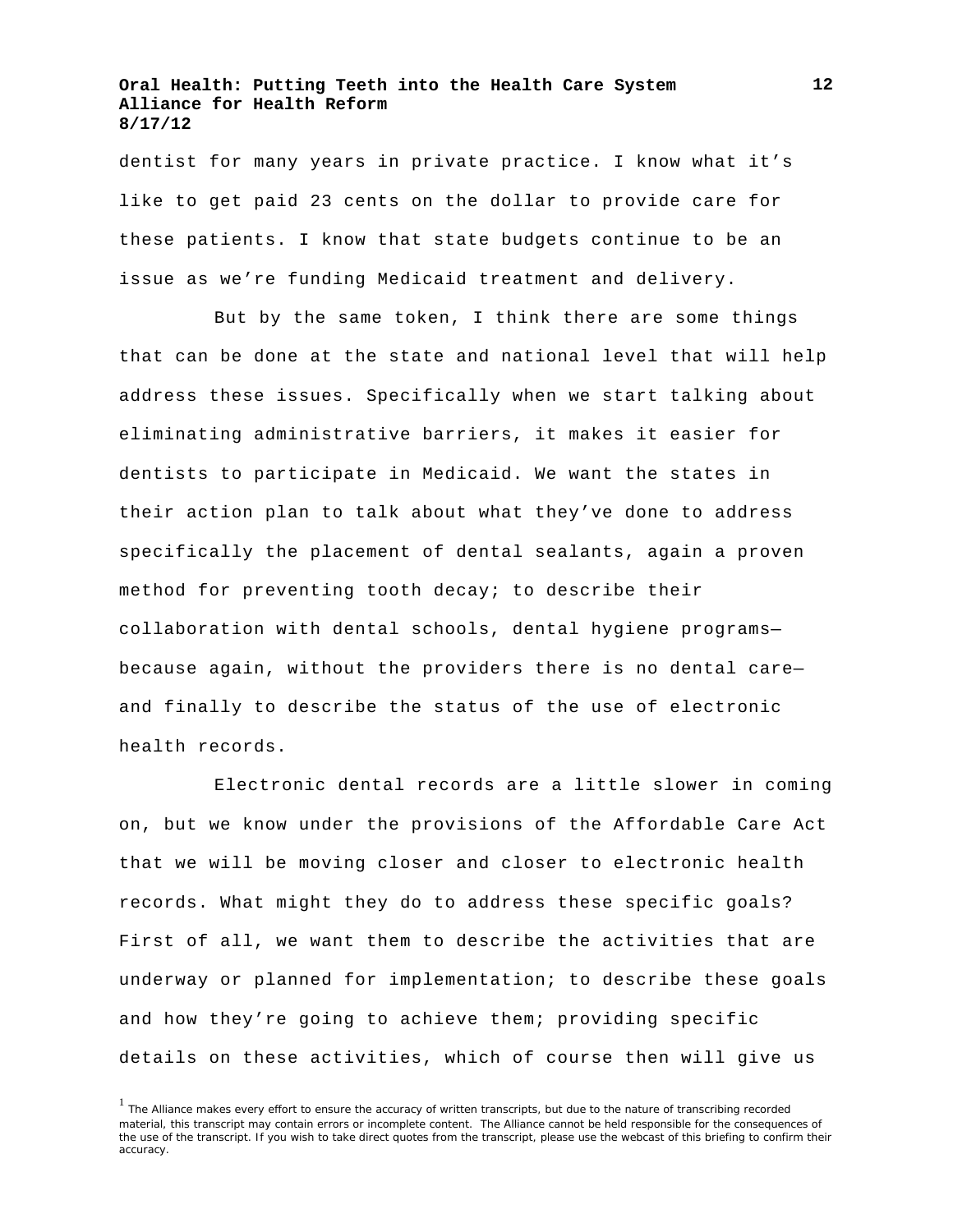dentist for many years in private practice. I know what it's like to get paid 23 cents on the dollar to provide care for these patients. I know that state budgets continue to be an issue as we're funding Medicaid treatment and delivery.

But by the same token, I think there are some things that can be done at the state and national level that will help address these issues. Specifically when we start talking about eliminating administrative barriers, it makes it easier for dentists to participate in Medicaid. We want the states in their action plan to talk about what they've done to address specifically the placement of dental sealants, again a proven method for preventing tooth decay; to describe their collaboration with dental schools, dental hygiene programs because again, without the providers there is no dental care and finally to describe the status of the use of electronic health records.

Electronic dental records are a little slower in coming on, but we know under the provisions of the Affordable Care Act that we will be moving closer and closer to electronic health records. What might they do to address these specific goals? First of all, we want them to describe the activities that are underway or planned for implementation; to describe these goals and how they're going to achieve them; providing specific details on these activities, which of course then will give us

<sup>&</sup>lt;sup>1</sup> The Alliance makes every effort to ensure the accuracy of written transcripts, but due to the nature of transcribing recorded material, this transcript may contain errors or incomplete content. The Alliance cannot be held responsible for the consequences of the use of the transcript. If you wish to take direct quotes from the transcript, please use the webcast of this briefing to confirm their accuracy.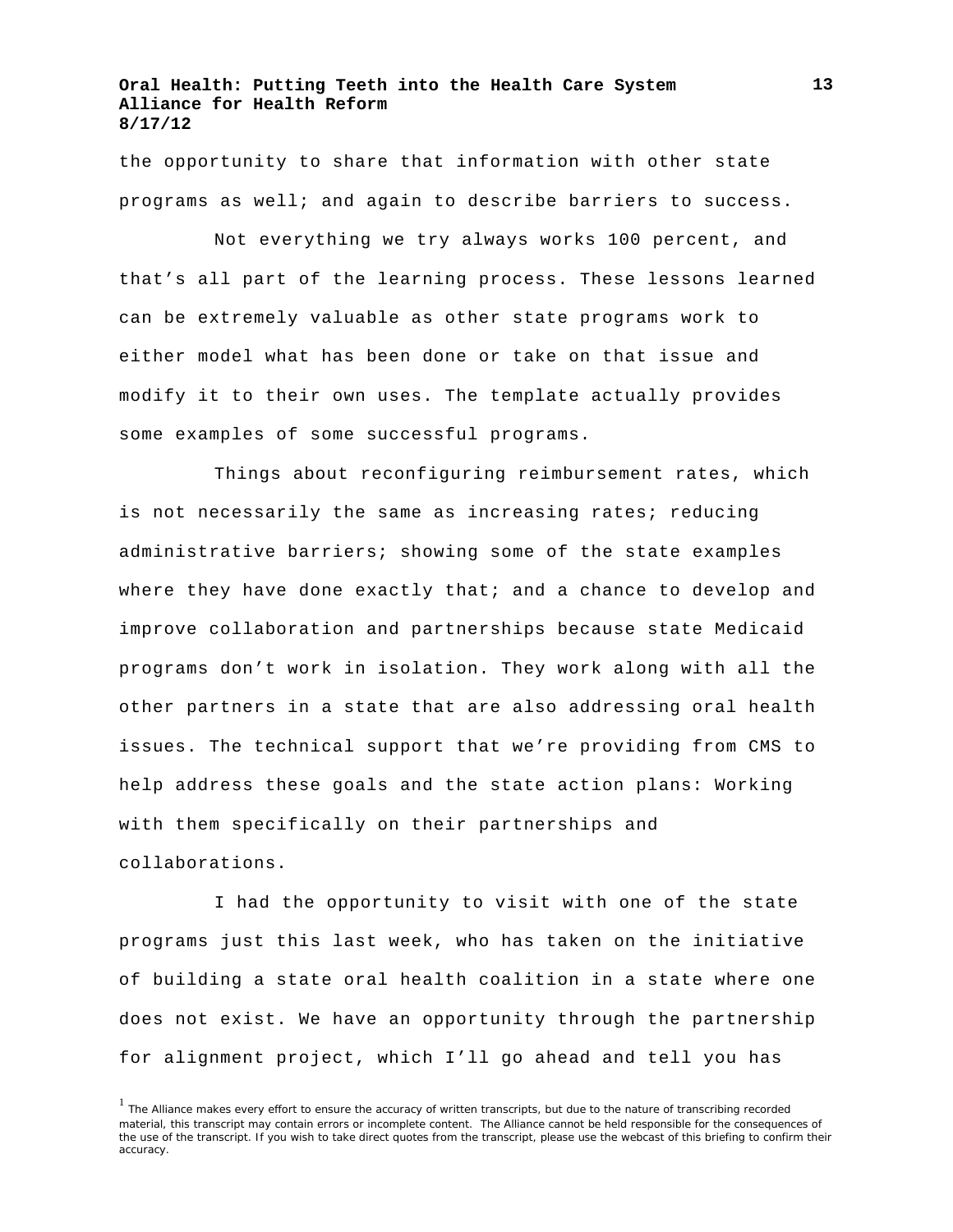the opportunity to share that information with other state programs as well; and again to describe barriers to success.

Not everything we try always works 100 percent, and that's all part of the learning process. These lessons learned can be extremely valuable as other state programs work to either model what has been done or take on that issue and modify it to their own uses. The template actually provides some examples of some successful programs.

Things about reconfiguring reimbursement rates, which is not necessarily the same as increasing rates; reducing administrative barriers; showing some of the state examples where they have done exactly that; and a chance to develop and improve collaboration and partnerships because state Medicaid programs don't work in isolation. They work along with all the other partners in a state that are also addressing oral health issues. The technical support that we're providing from CMS to help address these goals and the state action plans: Working with them specifically on their partnerships and collaborations.

I had the opportunity to visit with one of the state programs just this last week, who has taken on the initiative of building a state oral health coalition in a state where one does not exist. We have an opportunity through the partnership for alignment project, which I'll go ahead and tell you has

**13**

<sup>&</sup>lt;sup>1</sup> The Alliance makes every effort to ensure the accuracy of written transcripts, but due to the nature of transcribing recorded material, this transcript may contain errors or incomplete content. The Alliance cannot be held responsible for the consequences of the use of the transcript. If you wish to take direct quotes from the transcript, please use the webcast of this briefing to confirm their accuracy.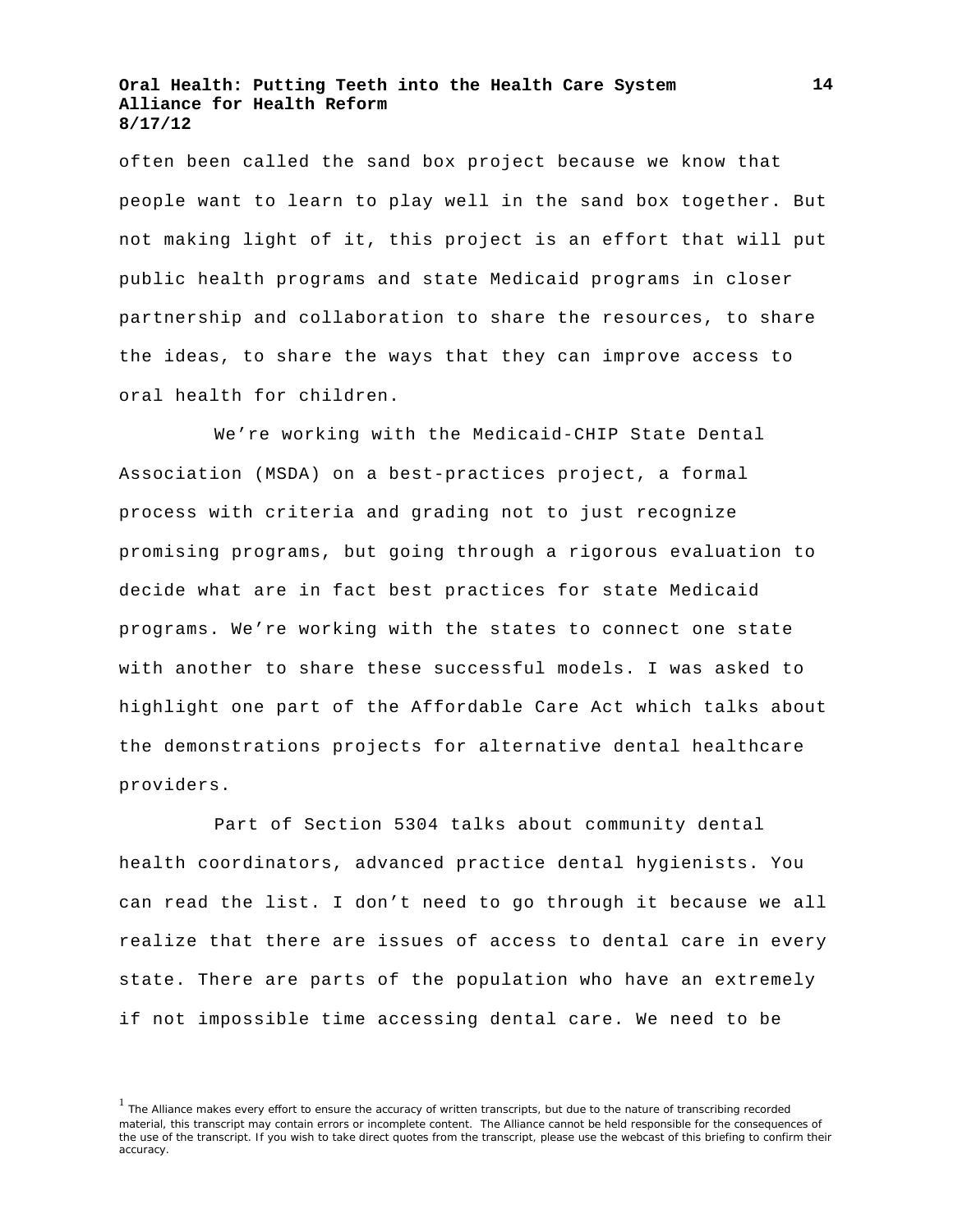often been called the sand box project because we know that people want to learn to play well in the sand box together. But not making light of it, this project is an effort that will put public health programs and state Medicaid programs in closer partnership and collaboration to share the resources, to share the ideas, to share the ways that they can improve access to oral health for children.

We're working with the Medicaid-CHIP State Dental Association (MSDA) on a best-practices project, a formal process with criteria and grading not to just recognize promising programs, but going through a rigorous evaluation to decide what are in fact best practices for state Medicaid programs. We're working with the states to connect one state with another to share these successful models. I was asked to highlight one part of the Affordable Care Act which talks about the demonstrations projects for alternative dental healthcare providers.

Part of Section 5304 talks about community dental health coordinators, advanced practice dental hygienists. You can read the list. I don't need to go through it because we all realize that there are issues of access to dental care in every state. There are parts of the population who have an extremely if not impossible time accessing dental care. We need to be

**14**

<sup>&</sup>lt;sup>1</sup> The Alliance makes every effort to ensure the accuracy of written transcripts, but due to the nature of transcribing recorded material, this transcript may contain errors or incomplete content. The Alliance cannot be held responsible for the consequences of the use of the transcript. If you wish to take direct quotes from the transcript, please use the webcast of this briefing to confirm their accuracy.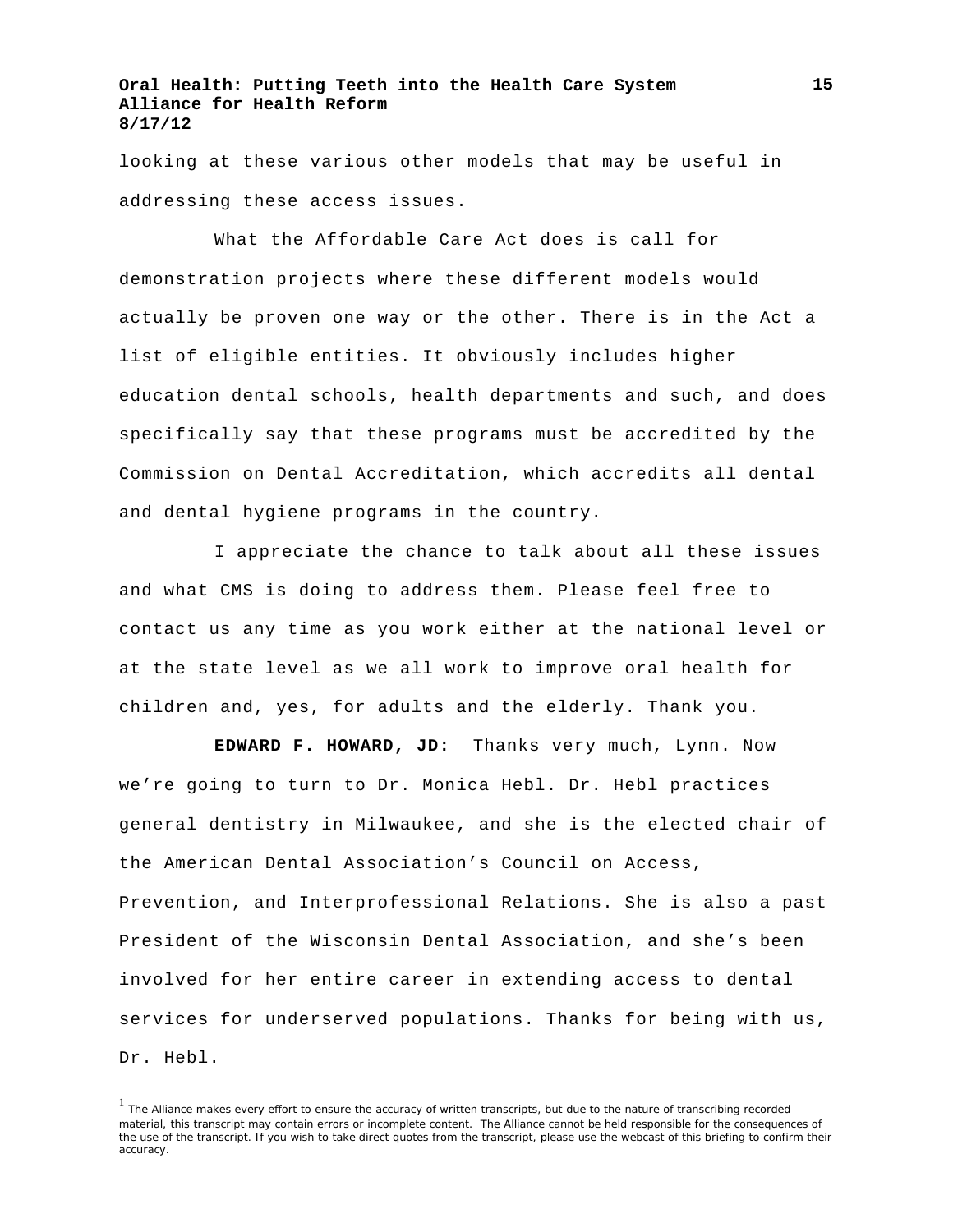looking at these various other models that may be useful in addressing these access issues.

What the Affordable Care Act does is call for demonstration projects where these different models would actually be proven one way or the other. There is in the Act a list of eligible entities. It obviously includes higher education dental schools, health departments and such, and does specifically say that these programs must be accredited by the Commission on Dental Accreditation, which accredits all dental and dental hygiene programs in the country.

I appreciate the chance to talk about all these issues and what CMS is doing to address them. Please feel free to contact us any time as you work either at the national level or at the state level as we all work to improve oral health for children and, yes, for adults and the elderly. Thank you.

**EDWARD F. HOWARD, JD:** Thanks very much, Lynn. Now we're going to turn to Dr. Monica Hebl. Dr. Hebl practices general dentistry in Milwaukee, and she is the elected chair of the American Dental Association's Council on Access, Prevention, and Interprofessional Relations. She is also a past President of the Wisconsin Dental Association, and she's been involved for her entire career in extending access to dental services for underserved populations. Thanks for being with us, Dr. Hebl.

<sup>&</sup>lt;sup>1</sup> The Alliance makes every effort to ensure the accuracy of written transcripts, but due to the nature of transcribing recorded material, this transcript may contain errors or incomplete content. The Alliance cannot be held responsible for the consequences of the use of the transcript. If you wish to take direct quotes from the transcript, please use the webcast of this briefing to confirm their accuracy.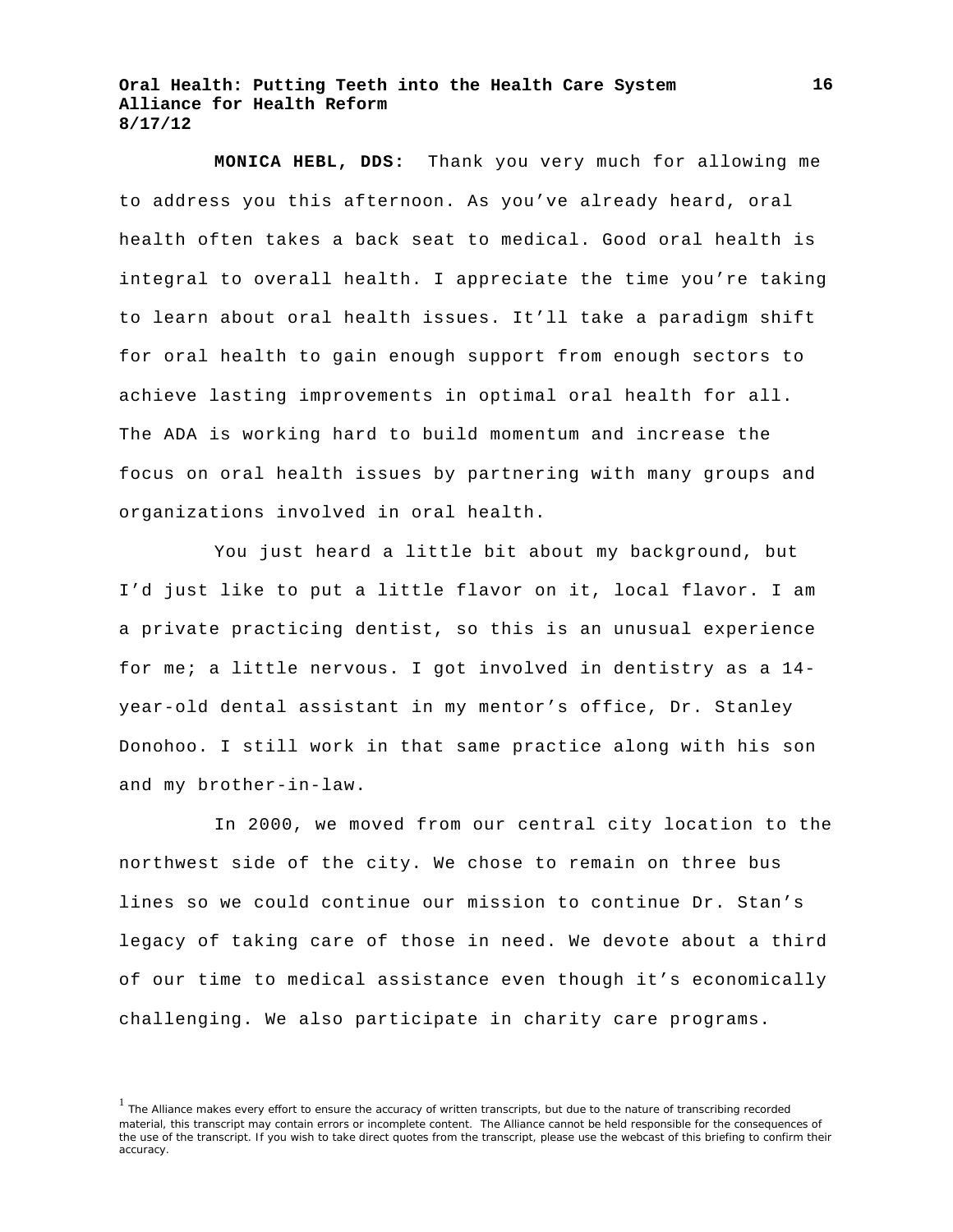**MONICA HEBL, DDS:** Thank you very much for allowing me to address you this afternoon. As you've already heard, oral health often takes a back seat to medical. Good oral health is integral to overall health. I appreciate the time you're taking to learn about oral health issues. It'll take a paradigm shift for oral health to gain enough support from enough sectors to achieve lasting improvements in optimal oral health for all. The ADA is working hard to build momentum and increase the focus on oral health issues by partnering with many groups and organizations involved in oral health.

You just heard a little bit about my background, but I'd just like to put a little flavor on it, local flavor. I am a private practicing dentist, so this is an unusual experience for me; a little nervous. I got involved in dentistry as a 14 year-old dental assistant in my mentor's office, Dr. Stanley Donohoo. I still work in that same practice along with his son and my brother-in-law.

In 2000, we moved from our central city location to the northwest side of the city. We chose to remain on three bus lines so we could continue our mission to continue Dr. Stan's legacy of taking care of those in need. We devote about a third of our time to medical assistance even though it's economically challenging. We also participate in charity care programs.

<sup>&</sup>lt;sup>1</sup> The Alliance makes every effort to ensure the accuracy of written transcripts, but due to the nature of transcribing recorded material, this transcript may contain errors or incomplete content. The Alliance cannot be held responsible for the consequences of the use of the transcript. If you wish to take direct quotes from the transcript, please use the webcast of this briefing to confirm their accuracy.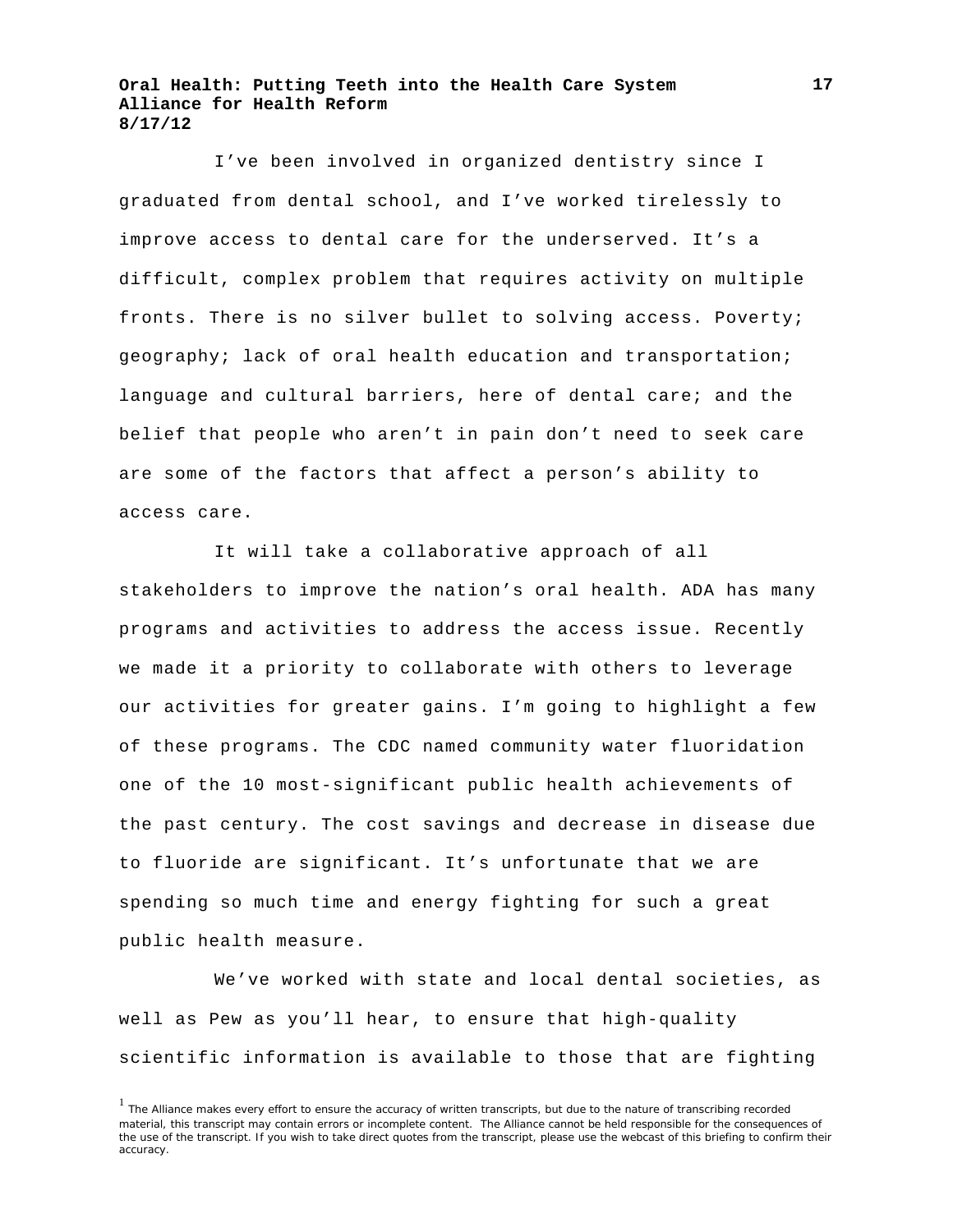I've been involved in organized dentistry since I graduated from dental school, and I've worked tirelessly to improve access to dental care for the underserved. It's a difficult, complex problem that requires activity on multiple fronts. There is no silver bullet to solving access. Poverty; geography; lack of oral health education and transportation; language and cultural barriers, here of dental care; and the belief that people who aren't in pain don't need to seek care are some of the factors that affect a person's ability to access care.

It will take a collaborative approach of all stakeholders to improve the nation's oral health. ADA has many programs and activities to address the access issue. Recently we made it a priority to collaborate with others to leverage our activities for greater gains. I'm going to highlight a few of these programs. The CDC named community water fluoridation one of the 10 most-significant public health achievements of the past century. The cost savings and decrease in disease due to fluoride are significant. It's unfortunate that we are spending so much time and energy fighting for such a great public health measure.

We've worked with state and local dental societies, as well as Pew as you'll hear, to ensure that high-quality scientific information is available to those that are fighting

**17**

<sup>&</sup>lt;sup>1</sup> The Alliance makes every effort to ensure the accuracy of written transcripts, but due to the nature of transcribing recorded material, this transcript may contain errors or incomplete content. The Alliance cannot be held responsible for the consequences of the use of the transcript. If you wish to take direct quotes from the transcript, please use the webcast of this briefing to confirm their accuracy.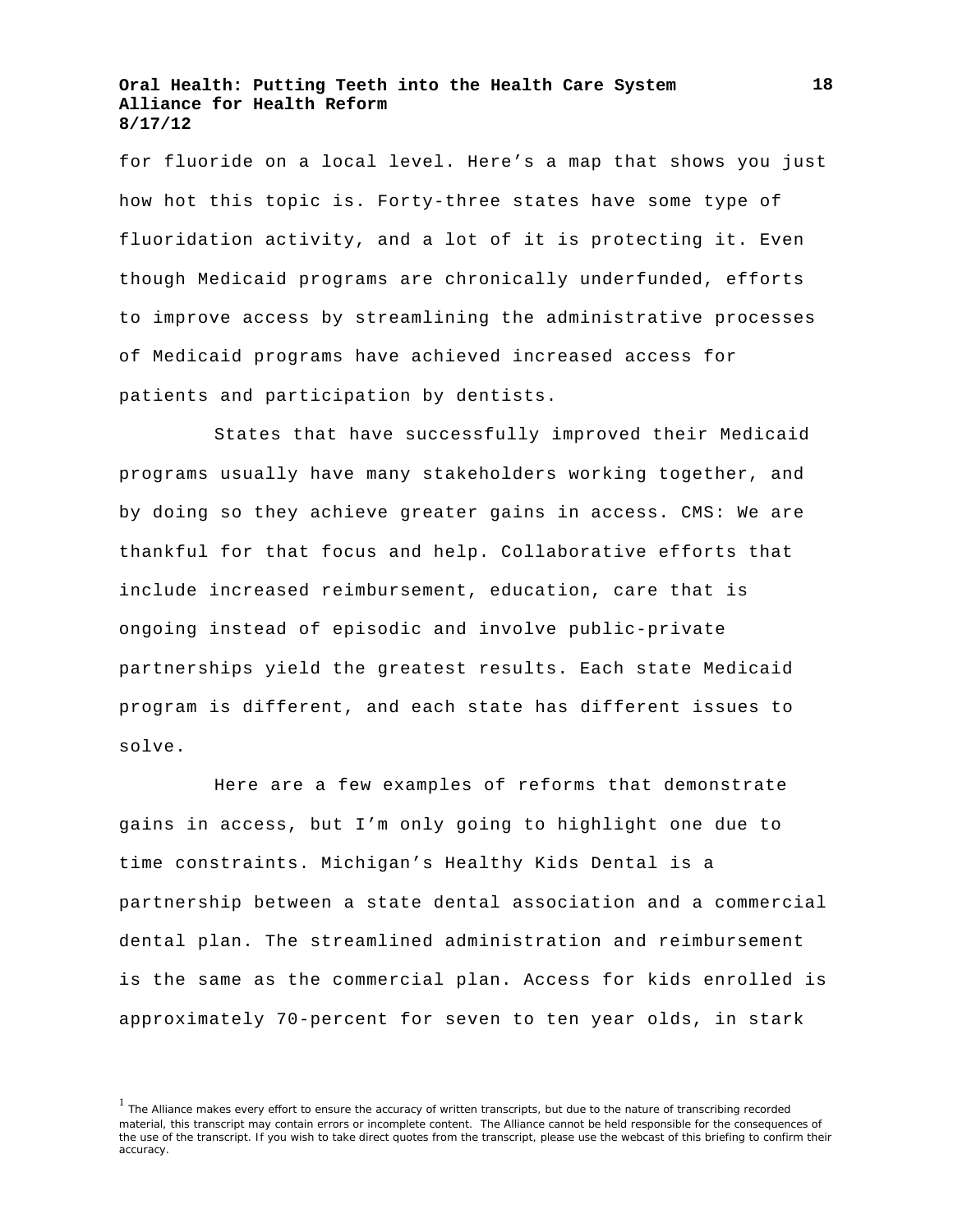for fluoride on a local level. Here's a map that shows you just how hot this topic is. Forty-three states have some type of fluoridation activity, and a lot of it is protecting it. Even though Medicaid programs are chronically underfunded, efforts to improve access by streamlining the administrative processes of Medicaid programs have achieved increased access for patients and participation by dentists.

States that have successfully improved their Medicaid programs usually have many stakeholders working together, and by doing so they achieve greater gains in access. CMS: We are thankful for that focus and help. Collaborative efforts that include increased reimbursement, education, care that is ongoing instead of episodic and involve public-private partnerships yield the greatest results. Each state Medicaid program is different, and each state has different issues to solve.

Here are a few examples of reforms that demonstrate gains in access, but I'm only going to highlight one due to time constraints. Michigan's Healthy Kids Dental is a partnership between a state dental association and a commercial dental plan. The streamlined administration and reimbursement is the same as the commercial plan. Access for kids enrolled is approximately 70-percent for seven to ten year olds, in stark

<sup>&</sup>lt;sup>1</sup> The Alliance makes every effort to ensure the accuracy of written transcripts, but due to the nature of transcribing recorded material, this transcript may contain errors or incomplete content. The Alliance cannot be held responsible for the consequences of the use of the transcript. If you wish to take direct quotes from the transcript, please use the webcast of this briefing to confirm their accuracy.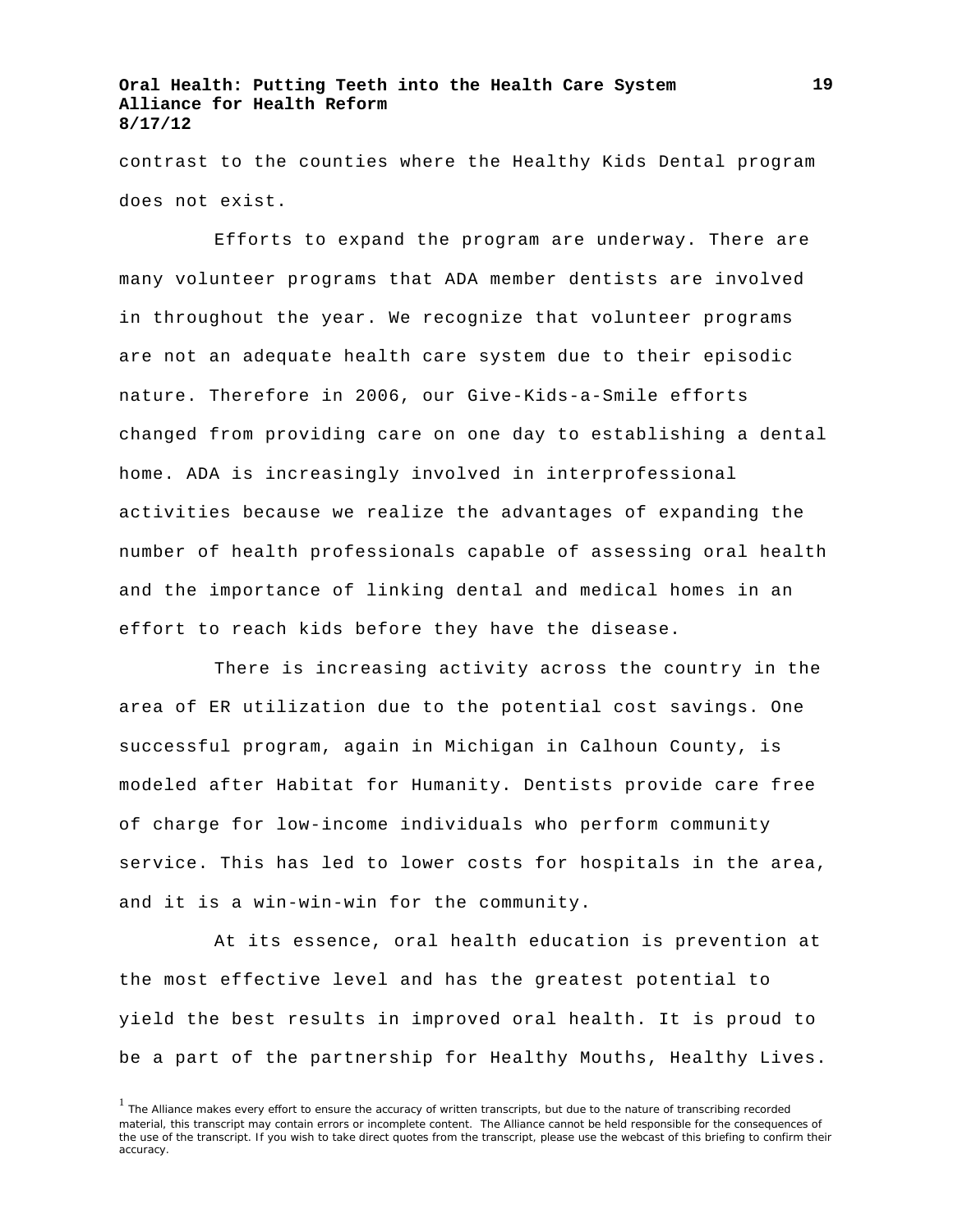contrast to the counties where the Healthy Kids Dental program does not exist.

Efforts to expand the program are underway. There are many volunteer programs that ADA member dentists are involved in throughout the year. We recognize that volunteer programs are not an adequate health care system due to their episodic nature. Therefore in 2006, our Give-Kids-a-Smile efforts changed from providing care on one day to establishing a dental home. ADA is increasingly involved in interprofessional activities because we realize the advantages of expanding the number of health professionals capable of assessing oral health and the importance of linking dental and medical homes in an effort to reach kids before they have the disease.

There is increasing activity across the country in the area of ER utilization due to the potential cost savings. One successful program, again in Michigan in Calhoun County, is modeled after Habitat for Humanity. Dentists provide care free of charge for low-income individuals who perform community service. This has led to lower costs for hospitals in the area, and it is a win-win-win for the community.

At its essence, oral health education is prevention at the most effective level and has the greatest potential to yield the best results in improved oral health. It is proud to be a part of the partnership for Healthy Mouths, Healthy Lives.

**19**

<sup>&</sup>lt;sup>1</sup> The Alliance makes every effort to ensure the accuracy of written transcripts, but due to the nature of transcribing recorded material, this transcript may contain errors or incomplete content. The Alliance cannot be held responsible for the consequences of the use of the transcript. If you wish to take direct quotes from the transcript, please use the webcast of this briefing to confirm their accuracy.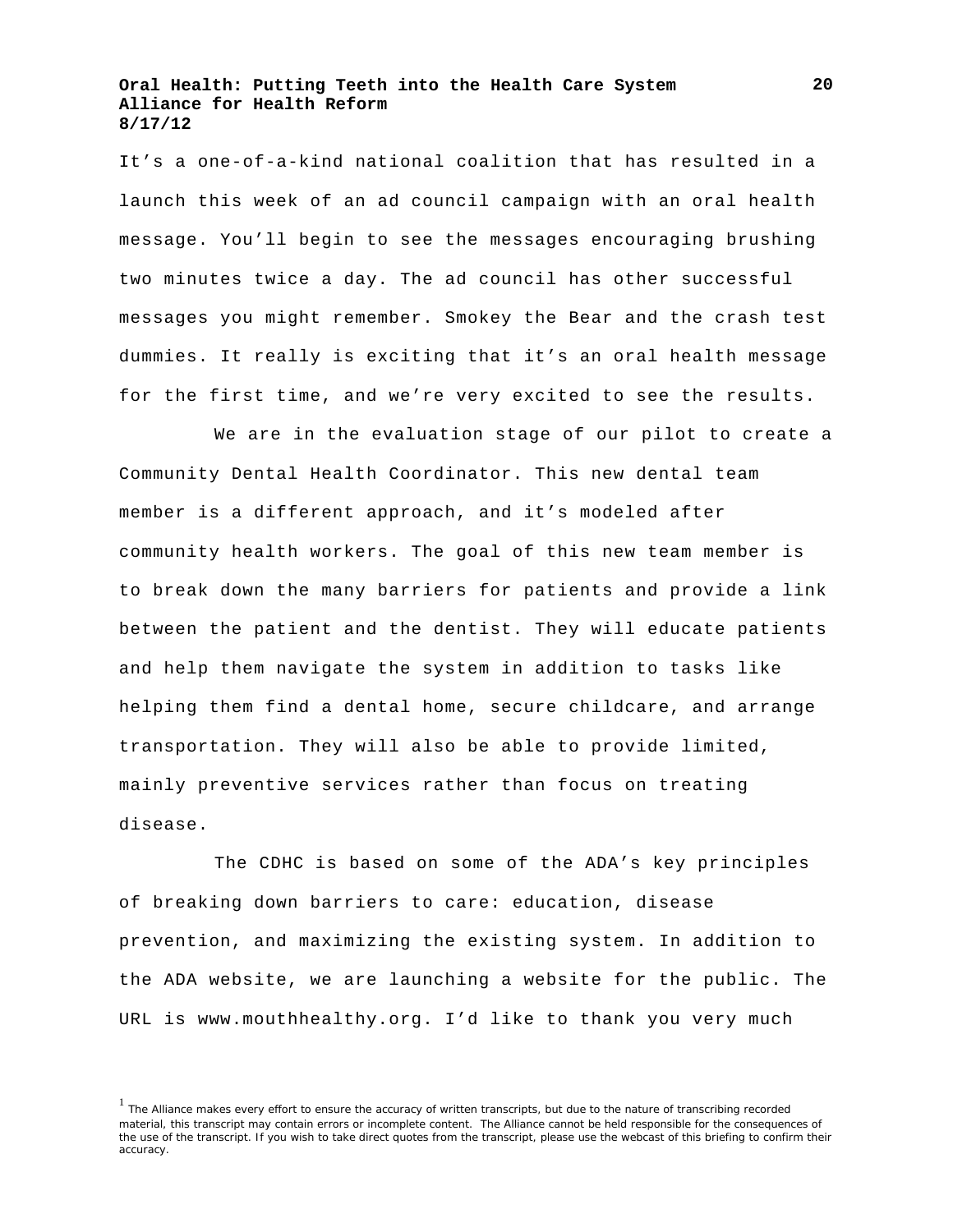It's a one-of-a-kind national coalition that has resulted in a launch this week of an ad council campaign with an oral health message. You'll begin to see the messages encouraging brushing two minutes twice a day. The ad council has other successful messages you might remember. Smokey the Bear and the crash test dummies. It really is exciting that it's an oral health message for the first time, and we're very excited to see the results.

We are in the evaluation stage of our pilot to create a Community Dental Health Coordinator. This new dental team member is a different approach, and it's modeled after community health workers. The goal of this new team member is to break down the many barriers for patients and provide a link between the patient and the dentist. They will educate patients and help them navigate the system in addition to tasks like helping them find a dental home, secure childcare, and arrange transportation. They will also be able to provide limited, mainly preventive services rather than focus on treating disease.

The CDHC is based on some of the ADA's key principles of breaking down barriers to care: education, disease prevention, and maximizing the existing system. In addition to the ADA website, we are launching a website for the public. The URL is www.mouthhealthy.org. I'd like to thank you very much

<sup>&</sup>lt;sup>1</sup> The Alliance makes every effort to ensure the accuracy of written transcripts, but due to the nature of transcribing recorded material, this transcript may contain errors or incomplete content. The Alliance cannot be held responsible for the consequences of the use of the transcript. If you wish to take direct quotes from the transcript, please use the webcast of this briefing to confirm their accuracy.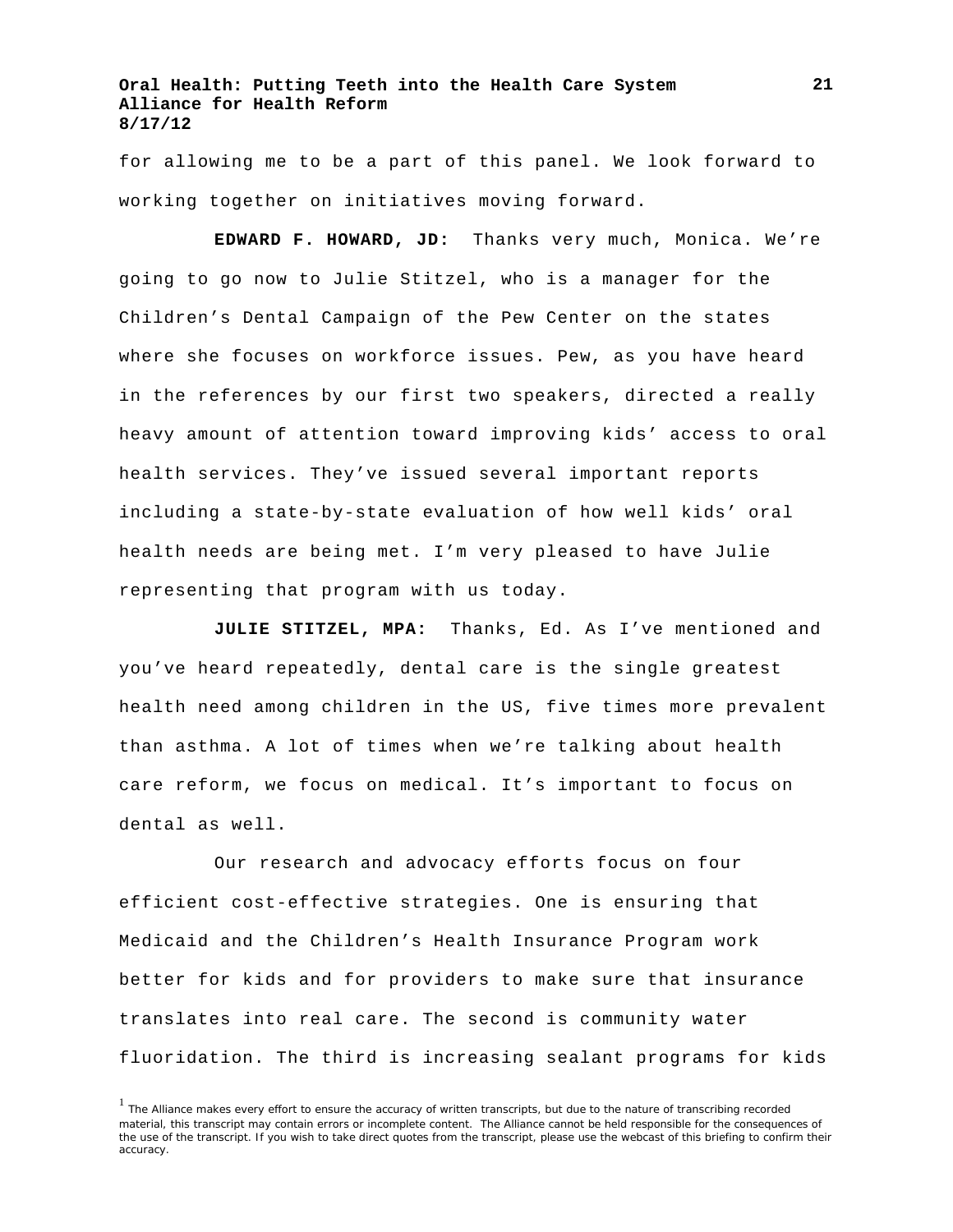for allowing me to be a part of this panel. We look forward to working together on initiatives moving forward.

**EDWARD F. HOWARD, JD:** Thanks very much, Monica. We're going to go now to Julie Stitzel, who is a manager for the Children's Dental Campaign of the Pew Center on the states where she focuses on workforce issues. Pew, as you have heard in the references by our first two speakers, directed a really heavy amount of attention toward improving kids' access to oral health services. They've issued several important reports including a state-by-state evaluation of how well kids' oral health needs are being met. I'm very pleased to have Julie representing that program with us today.

**JULIE STITZEL, MPA:** Thanks, Ed. As I've mentioned and you've heard repeatedly, dental care is the single greatest health need among children in the US, five times more prevalent than asthma. A lot of times when we're talking about health care reform, we focus on medical. It's important to focus on dental as well.

Our research and advocacy efforts focus on four efficient cost-effective strategies. One is ensuring that Medicaid and the Children's Health Insurance Program work better for kids and for providers to make sure that insurance translates into real care. The second is community water fluoridation. The third is increasing sealant programs for kids

<sup>&</sup>lt;sup>1</sup> The Alliance makes every effort to ensure the accuracy of written transcripts, but due to the nature of transcribing recorded material, this transcript may contain errors or incomplete content. The Alliance cannot be held responsible for the consequences of the use of the transcript. If you wish to take direct quotes from the transcript, please use the webcast of this briefing to confirm their accuracy.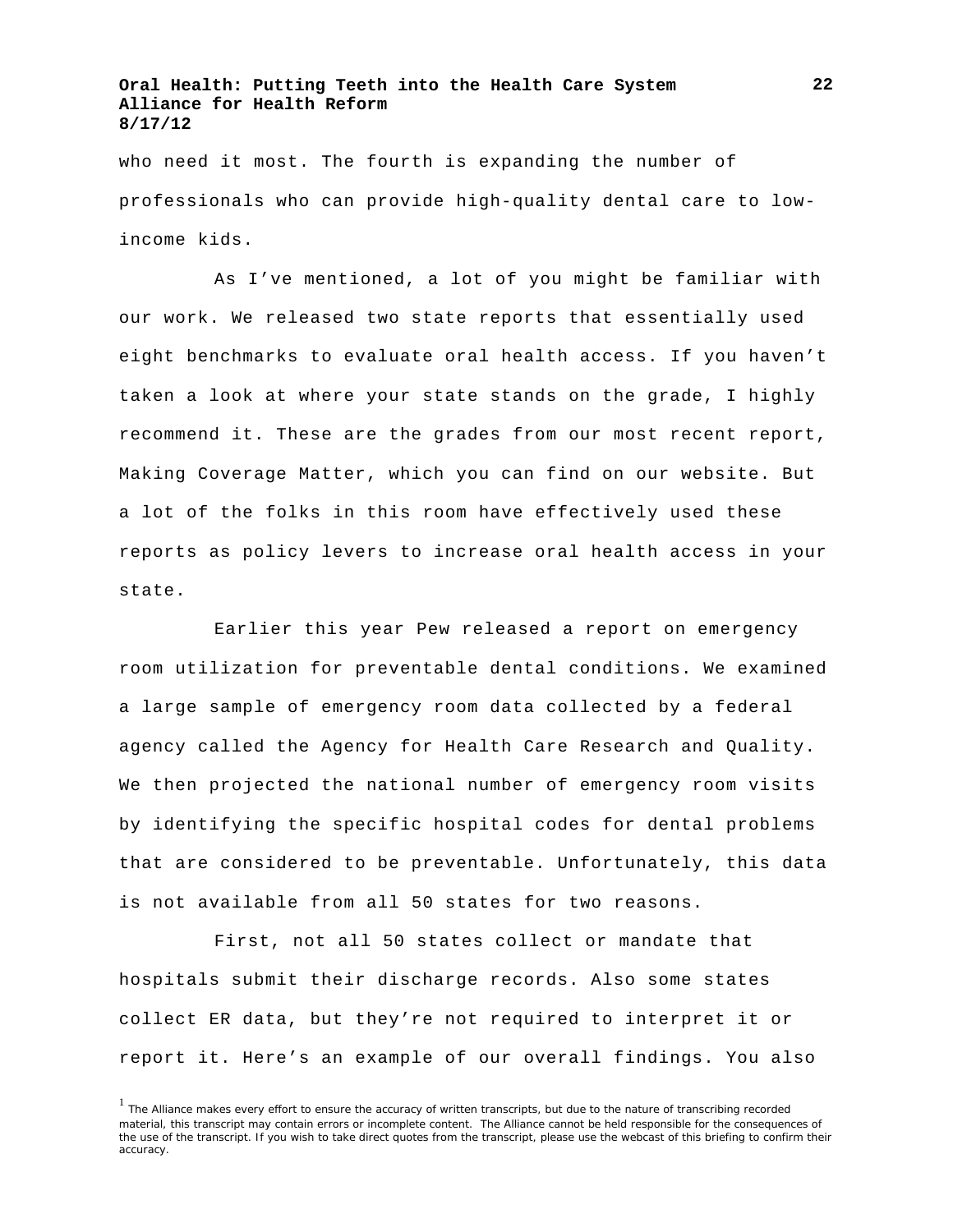who need it most. The fourth is expanding the number of professionals who can provide high-quality dental care to lowincome kids.

As I've mentioned, a lot of you might be familiar with our work. We released two state reports that essentially used eight benchmarks to evaluate oral health access. If you haven't taken a look at where your state stands on the grade, I highly recommend it. These are the grades from our most recent report, Making Coverage Matter, which you can find on our website. But a lot of the folks in this room have effectively used these reports as policy levers to increase oral health access in your state.

Earlier this year Pew released a report on emergency room utilization for preventable dental conditions. We examined a large sample of emergency room data collected by a federal agency called the Agency for Health Care Research and Quality. We then projected the national number of emergency room visits by identifying the specific hospital codes for dental problems that are considered to be preventable. Unfortunately, this data is not available from all 50 states for two reasons.

First, not all 50 states collect or mandate that hospitals submit their discharge records. Also some states collect ER data, but they're not required to interpret it or report it. Here's an example of our overall findings. You also

<sup>&</sup>lt;sup>1</sup> The Alliance makes every effort to ensure the accuracy of written transcripts, but due to the nature of transcribing recorded material, this transcript may contain errors or incomplete content. The Alliance cannot be held responsible for the consequences of the use of the transcript. If you wish to take direct quotes from the transcript, please use the webcast of this briefing to confirm their accuracy.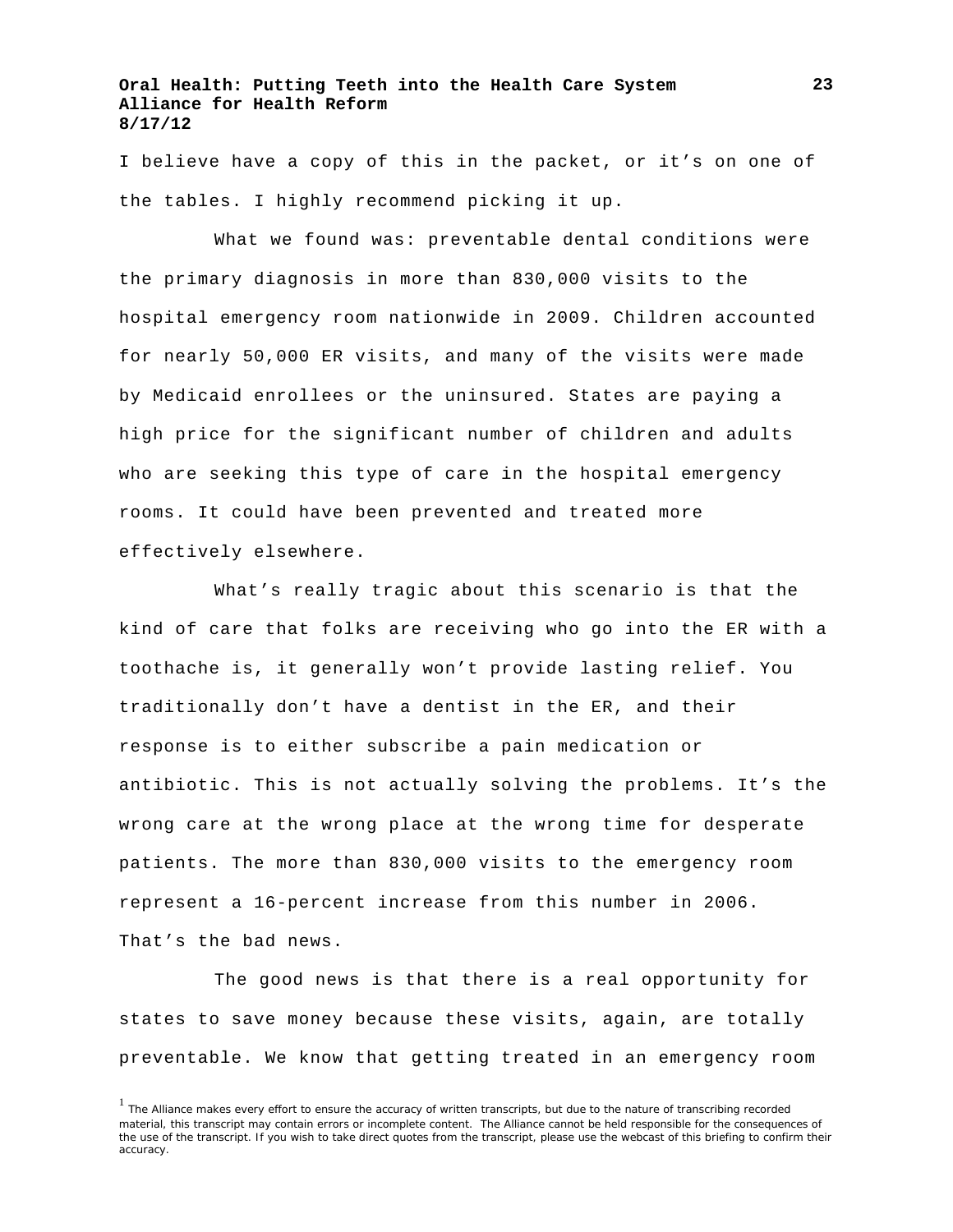I believe have a copy of this in the packet, or it's on one of the tables. I highly recommend picking it up.

What we found was: preventable dental conditions were the primary diagnosis in more than 830,000 visits to the hospital emergency room nationwide in 2009. Children accounted for nearly 50,000 ER visits, and many of the visits were made by Medicaid enrollees or the uninsured. States are paying a high price for the significant number of children and adults who are seeking this type of care in the hospital emergency rooms. It could have been prevented and treated more effectively elsewhere.

What's really tragic about this scenario is that the kind of care that folks are receiving who go into the ER with a toothache is, it generally won't provide lasting relief. You traditionally don't have a dentist in the ER, and their response is to either subscribe a pain medication or antibiotic. This is not actually solving the problems. It's the wrong care at the wrong place at the wrong time for desperate patients. The more than 830,000 visits to the emergency room represent a 16-percent increase from this number in 2006. That's the bad news.

The good news is that there is a real opportunity for states to save money because these visits, again, are totally preventable. We know that getting treated in an emergency room

<sup>&</sup>lt;sup>1</sup> The Alliance makes every effort to ensure the accuracy of written transcripts, but due to the nature of transcribing recorded material, this transcript may contain errors or incomplete content. The Alliance cannot be held responsible for the consequences of the use of the transcript. If you wish to take direct quotes from the transcript, please use the webcast of this briefing to confirm their accuracy.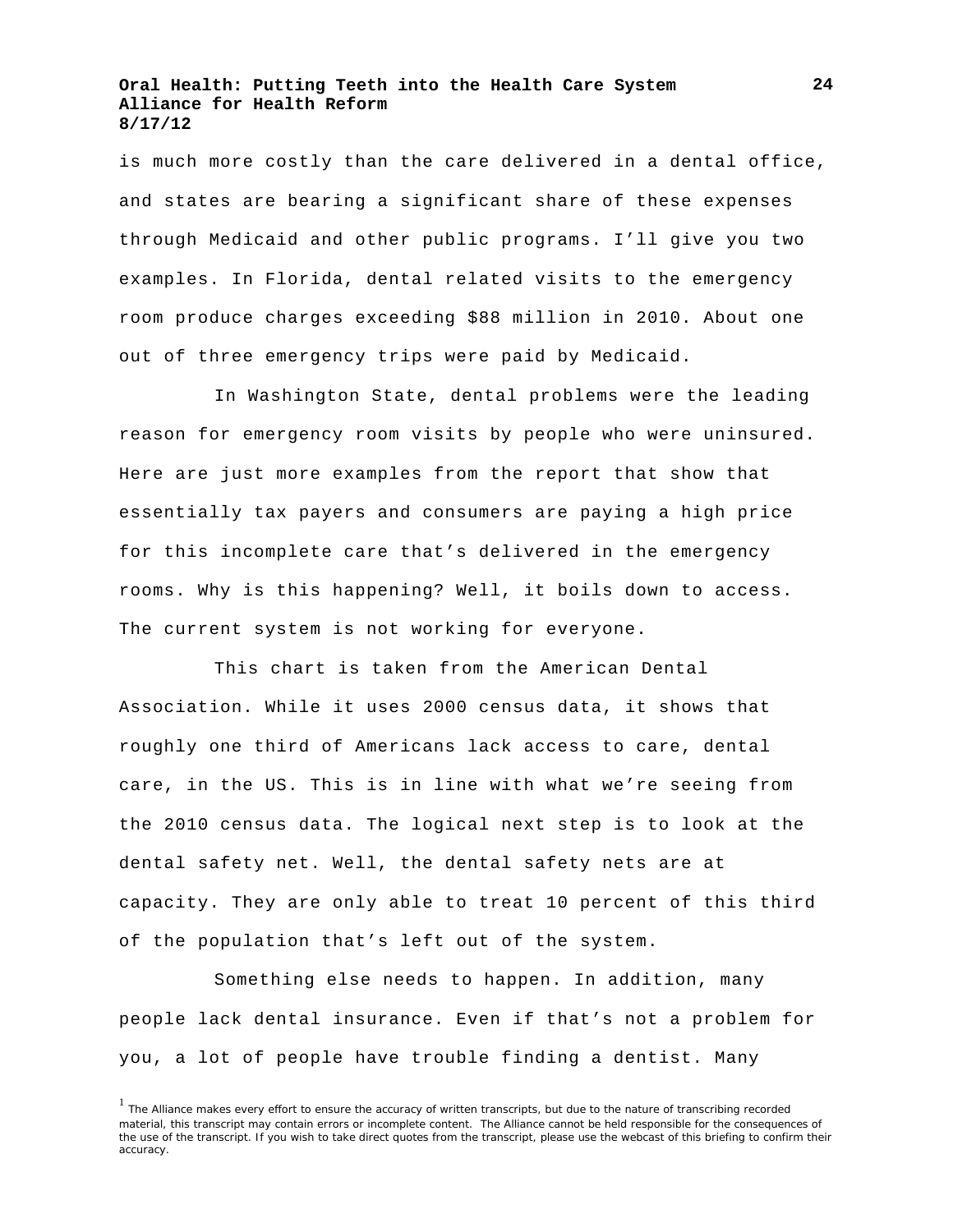is much more costly than the care delivered in a dental office, and states are bearing a significant share of these expenses through Medicaid and other public programs. I'll give you two examples. In Florida, dental related visits to the emergency room produce charges exceeding \$88 million in 2010. About one out of three emergency trips were paid by Medicaid.

In Washington State, dental problems were the leading reason for emergency room visits by people who were uninsured. Here are just more examples from the report that show that essentially tax payers and consumers are paying a high price for this incomplete care that's delivered in the emergency rooms. Why is this happening? Well, it boils down to access. The current system is not working for everyone.

This chart is taken from the American Dental Association. While it uses 2000 census data, it shows that roughly one third of Americans lack access to care, dental care, in the US. This is in line with what we're seeing from the 2010 census data. The logical next step is to look at the dental safety net. Well, the dental safety nets are at capacity. They are only able to treat 10 percent of this third of the population that's left out of the system.

Something else needs to happen. In addition, many people lack dental insurance. Even if that's not a problem for you, a lot of people have trouble finding a dentist. Many

<sup>&</sup>lt;sup>1</sup> The Alliance makes every effort to ensure the accuracy of written transcripts, but due to the nature of transcribing recorded material, this transcript may contain errors or incomplete content. The Alliance cannot be held responsible for the consequences of the use of the transcript. If you wish to take direct quotes from the transcript, please use the webcast of this briefing to confirm their accuracy.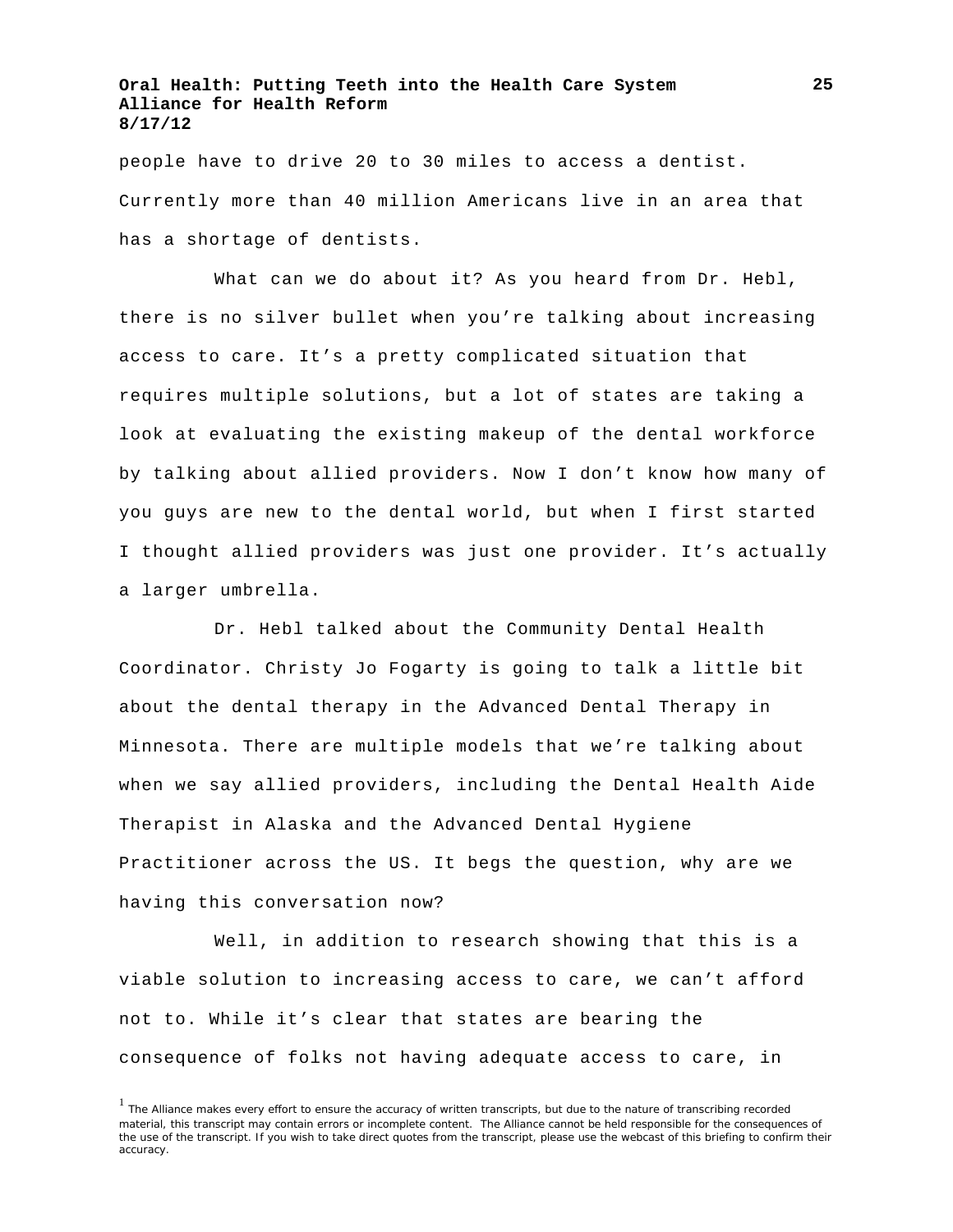people have to drive 20 to 30 miles to access a dentist. Currently more than 40 million Americans live in an area that has a shortage of dentists.

What can we do about it? As you heard from Dr. Hebl, there is no silver bullet when you're talking about increasing access to care. It's a pretty complicated situation that requires multiple solutions, but a lot of states are taking a look at evaluating the existing makeup of the dental workforce by talking about allied providers. Now I don't know how many of you guys are new to the dental world, but when I first started I thought allied providers was just one provider. It's actually a larger umbrella.

Dr. Hebl talked about the Community Dental Health Coordinator. Christy Jo Fogarty is going to talk a little bit about the dental therapy in the Advanced Dental Therapy in Minnesota. There are multiple models that we're talking about when we say allied providers, including the Dental Health Aide Therapist in Alaska and the Advanced Dental Hygiene Practitioner across the US. It begs the question, why are we having this conversation now?

Well, in addition to research showing that this is a viable solution to increasing access to care, we can't afford not to. While it's clear that states are bearing the consequence of folks not having adequate access to care, in

<sup>&</sup>lt;sup>1</sup> The Alliance makes every effort to ensure the accuracy of written transcripts, but due to the nature of transcribing recorded material, this transcript may contain errors or incomplete content. The Alliance cannot be held responsible for the consequences of the use of the transcript. If you wish to take direct quotes from the transcript, please use the webcast of this briefing to confirm their accuracy.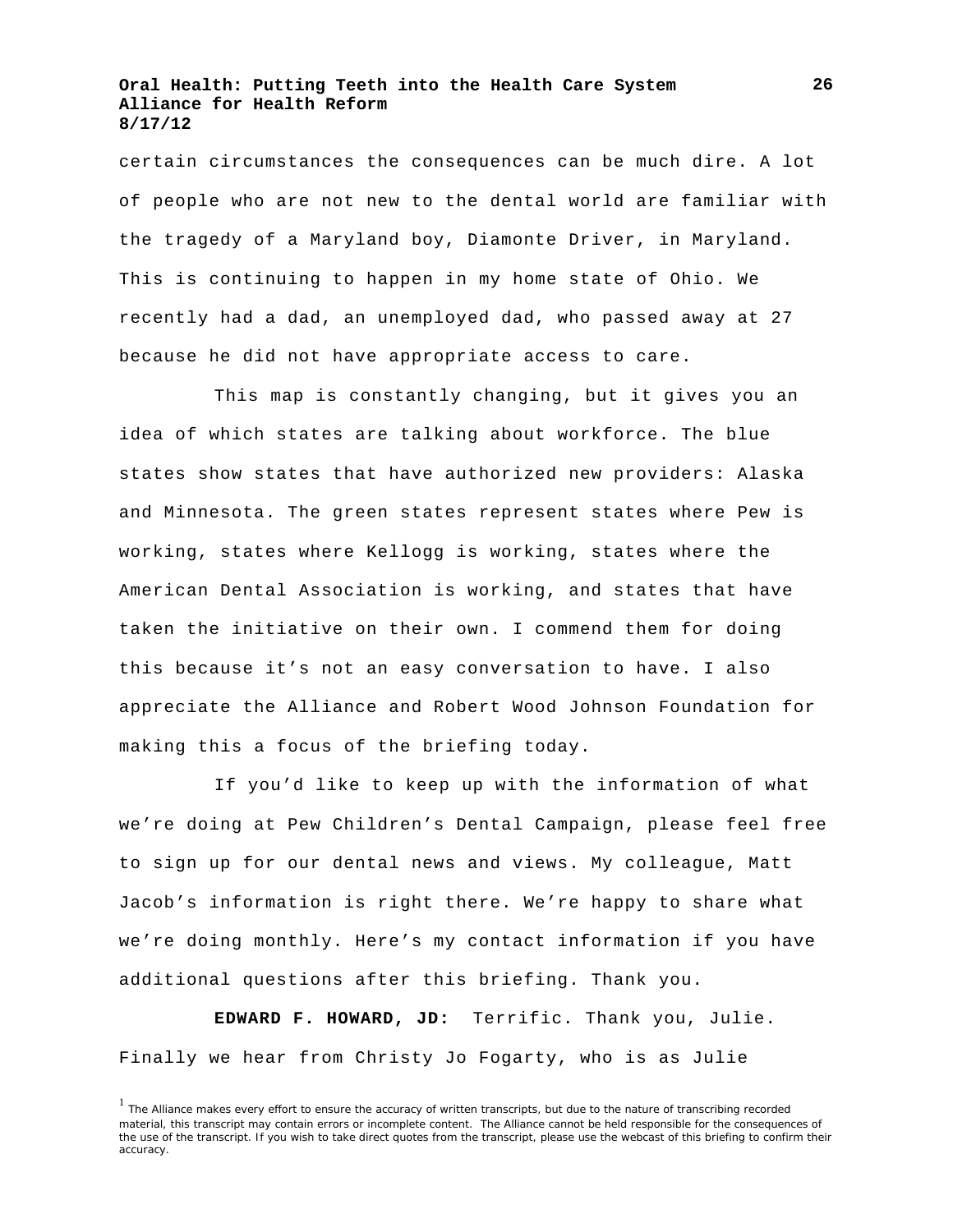certain circumstances the consequences can be much dire. A lot of people who are not new to the dental world are familiar with the tragedy of a Maryland boy, Diamonte Driver, in Maryland. This is continuing to happen in my home state of Ohio. We recently had a dad, an unemployed dad, who passed away at 27 because he did not have appropriate access to care.

This map is constantly changing, but it gives you an idea of which states are talking about workforce. The blue states show states that have authorized new providers: Alaska and Minnesota. The green states represent states where Pew is working, states where Kellogg is working, states where the American Dental Association is working, and states that have taken the initiative on their own. I commend them for doing this because it's not an easy conversation to have. I also appreciate the Alliance and Robert Wood Johnson Foundation for making this a focus of the briefing today.

If you'd like to keep up with the information of what we're doing at Pew Children's Dental Campaign, please feel free to sign up for our dental news and views. My colleague, Matt Jacob's information is right there. We're happy to share what we're doing monthly. Here's my contact information if you have additional questions after this briefing. Thank you.

**EDWARD F. HOWARD, JD:** Terrific. Thank you, Julie. Finally we hear from Christy Jo Fogarty, who is as Julie

<sup>&</sup>lt;sup>1</sup> The Alliance makes every effort to ensure the accuracy of written transcripts, but due to the nature of transcribing recorded material, this transcript may contain errors or incomplete content. The Alliance cannot be held responsible for the consequences of the use of the transcript. If you wish to take direct quotes from the transcript, please use the webcast of this briefing to confirm their accuracy.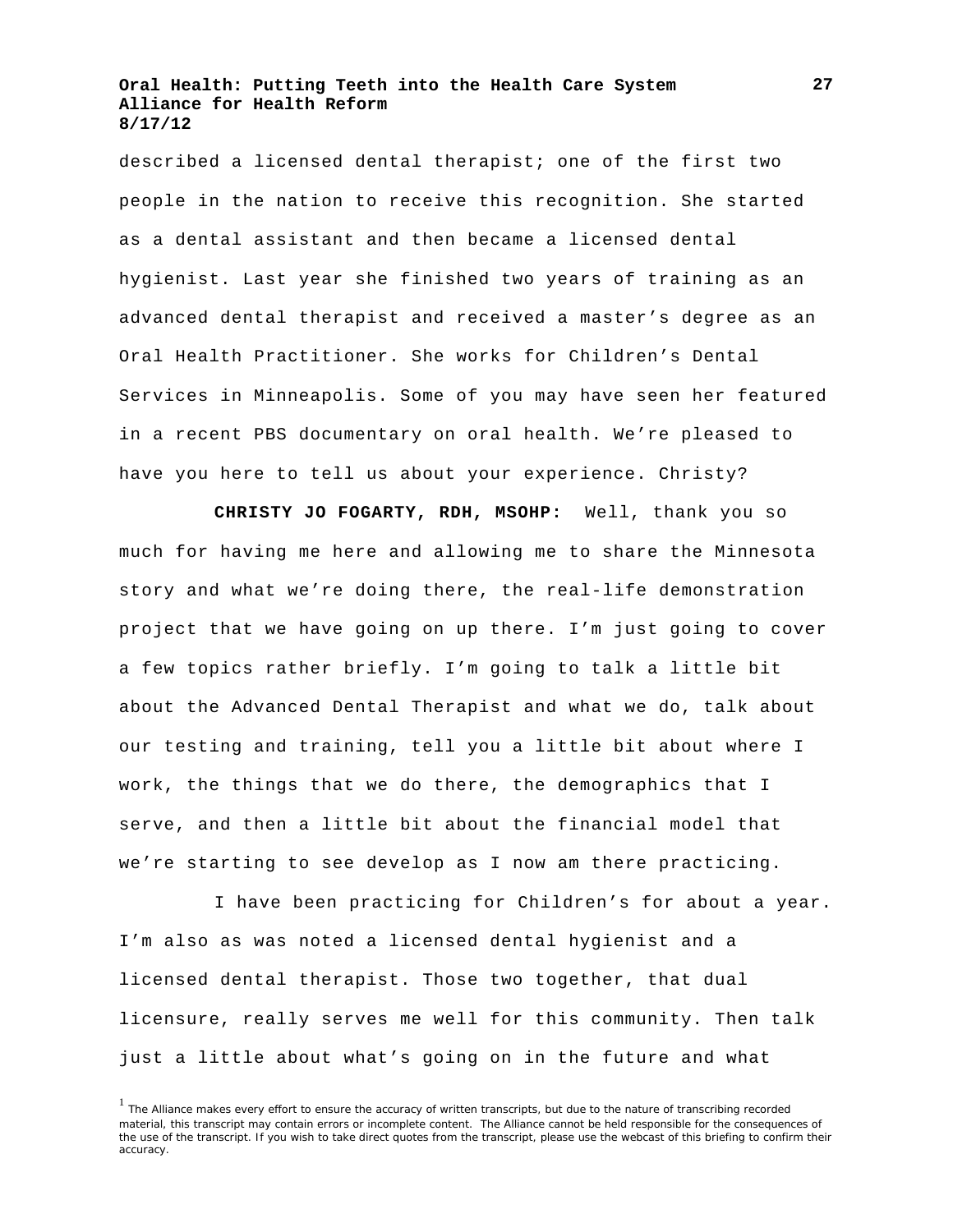described a licensed dental therapist; one of the first two people in the nation to receive this recognition. She started as a dental assistant and then became a licensed dental hygienist. Last year she finished two years of training as an advanced dental therapist and received a master's degree as an Oral Health Practitioner. She works for Children's Dental Services in Minneapolis. Some of you may have seen her featured in a recent PBS documentary on oral health. We're pleased to have you here to tell us about your experience. Christy?

**CHRISTY JO FOGARTY, RDH, MSOHP:** Well, thank you so much for having me here and allowing me to share the Minnesota story and what we're doing there, the real-life demonstration project that we have going on up there. I'm just going to cover a few topics rather briefly. I'm going to talk a little bit about the Advanced Dental Therapist and what we do, talk about our testing and training, tell you a little bit about where I work, the things that we do there, the demographics that I serve, and then a little bit about the financial model that we're starting to see develop as I now am there practicing.

I have been practicing for Children's for about a year. I'm also as was noted a licensed dental hygienist and a licensed dental therapist. Those two together, that dual licensure, really serves me well for this community. Then talk just a little about what's going on in the future and what

<sup>&</sup>lt;sup>1</sup> The Alliance makes every effort to ensure the accuracy of written transcripts, but due to the nature of transcribing recorded material, this transcript may contain errors or incomplete content. The Alliance cannot be held responsible for the consequences of the use of the transcript. If you wish to take direct quotes from the transcript, please use the webcast of this briefing to confirm their accuracy.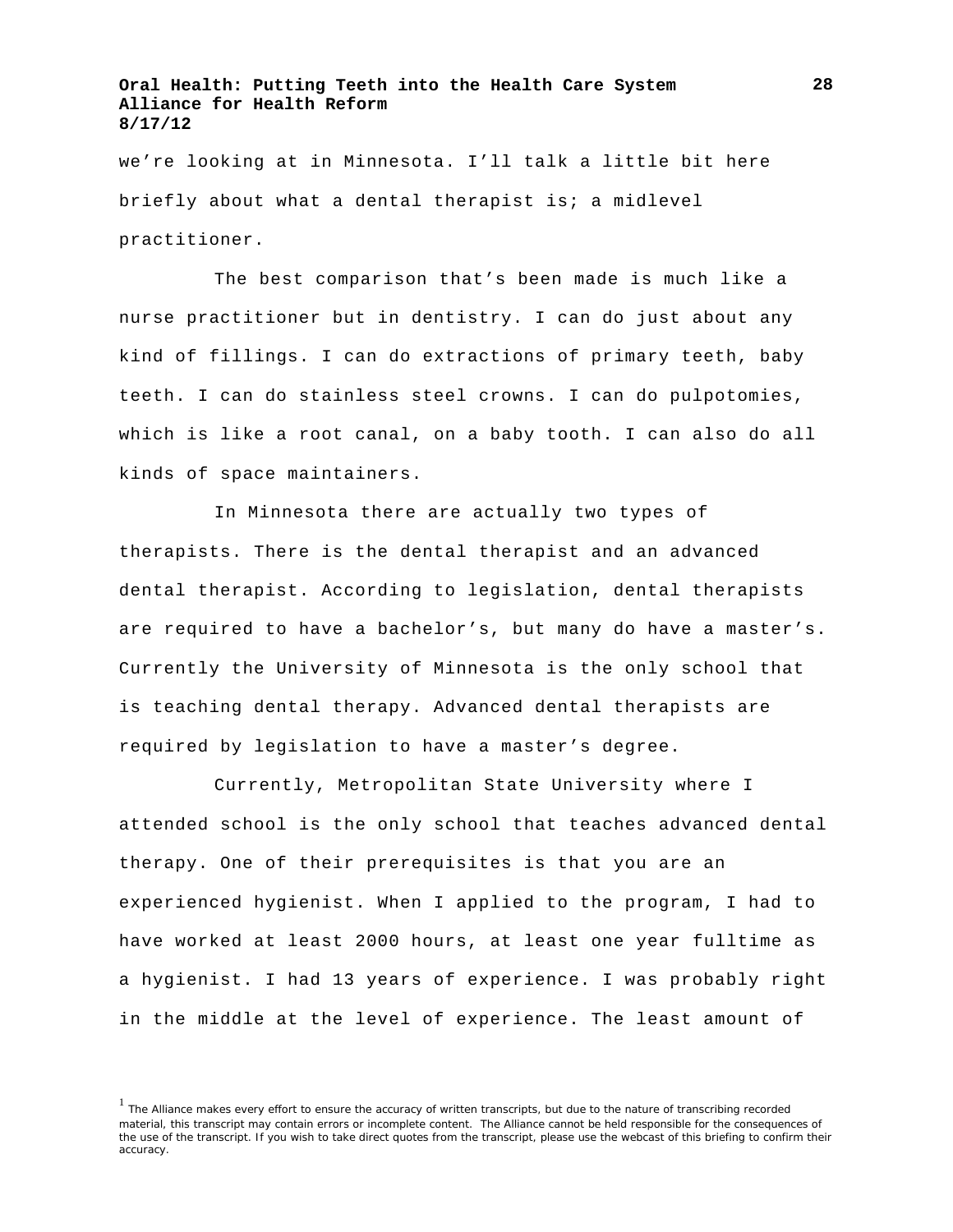we're looking at in Minnesota. I'll talk a little bit here briefly about what a dental therapist is; a midlevel practitioner.

The best comparison that's been made is much like a nurse practitioner but in dentistry. I can do just about any kind of fillings. I can do extractions of primary teeth, baby teeth. I can do stainless steel crowns. I can do pulpotomies, which is like a root canal, on a baby tooth. I can also do all kinds of space maintainers.

In Minnesota there are actually two types of therapists. There is the dental therapist and an advanced dental therapist. According to legislation, dental therapists are required to have a bachelor's, but many do have a master's. Currently the University of Minnesota is the only school that is teaching dental therapy. Advanced dental therapists are required by legislation to have a master's degree.

Currently, Metropolitan State University where I attended school is the only school that teaches advanced dental therapy. One of their prerequisites is that you are an experienced hygienist. When I applied to the program, I had to have worked at least 2000 hours, at least one year fulltime as a hygienist. I had 13 years of experience. I was probably right in the middle at the level of experience. The least amount of

<sup>&</sup>lt;sup>1</sup> The Alliance makes every effort to ensure the accuracy of written transcripts, but due to the nature of transcribing recorded material, this transcript may contain errors or incomplete content. The Alliance cannot be held responsible for the consequences of the use of the transcript. If you wish to take direct quotes from the transcript, please use the webcast of this briefing to confirm their accuracy.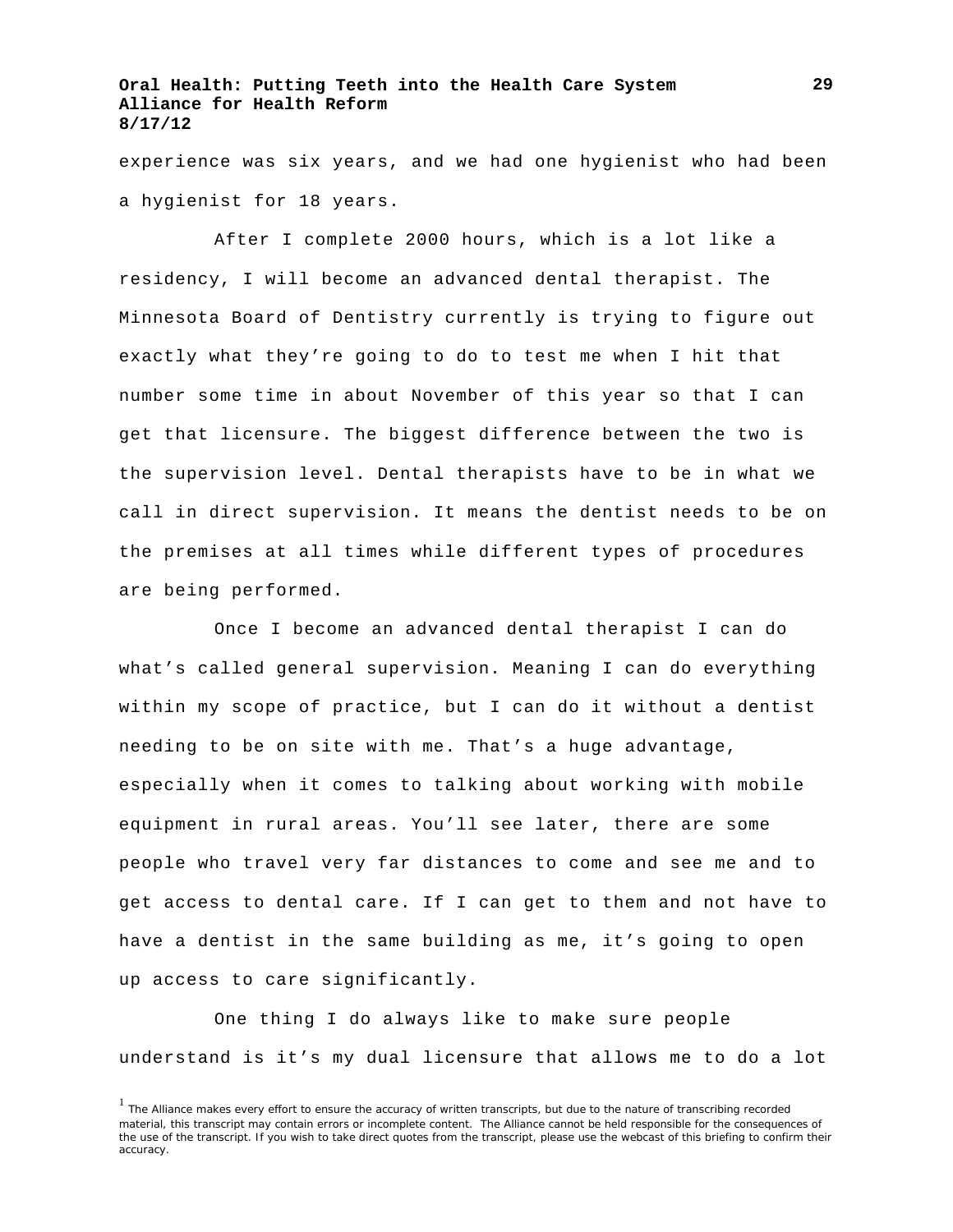experience was six years, and we had one hygienist who had been a hygienist for 18 years.

After I complete 2000 hours, which is a lot like a residency, I will become an advanced dental therapist. The Minnesota Board of Dentistry currently is trying to figure out exactly what they're going to do to test me when I hit that number some time in about November of this year so that I can get that licensure. The biggest difference between the two is the supervision level. Dental therapists have to be in what we call in direct supervision. It means the dentist needs to be on the premises at all times while different types of procedures are being performed.

Once I become an advanced dental therapist I can do what's called general supervision. Meaning I can do everything within my scope of practice, but I can do it without a dentist needing to be on site with me. That's a huge advantage, especially when it comes to talking about working with mobile equipment in rural areas. You'll see later, there are some people who travel very far distances to come and see me and to get access to dental care. If I can get to them and not have to have a dentist in the same building as me, it's going to open up access to care significantly.

One thing I do always like to make sure people understand is it's my dual licensure that allows me to do a lot

<sup>&</sup>lt;sup>1</sup> The Alliance makes every effort to ensure the accuracy of written transcripts, but due to the nature of transcribing recorded material, this transcript may contain errors or incomplete content. The Alliance cannot be held responsible for the consequences of the use of the transcript. If you wish to take direct quotes from the transcript, please use the webcast of this briefing to confirm their accuracy.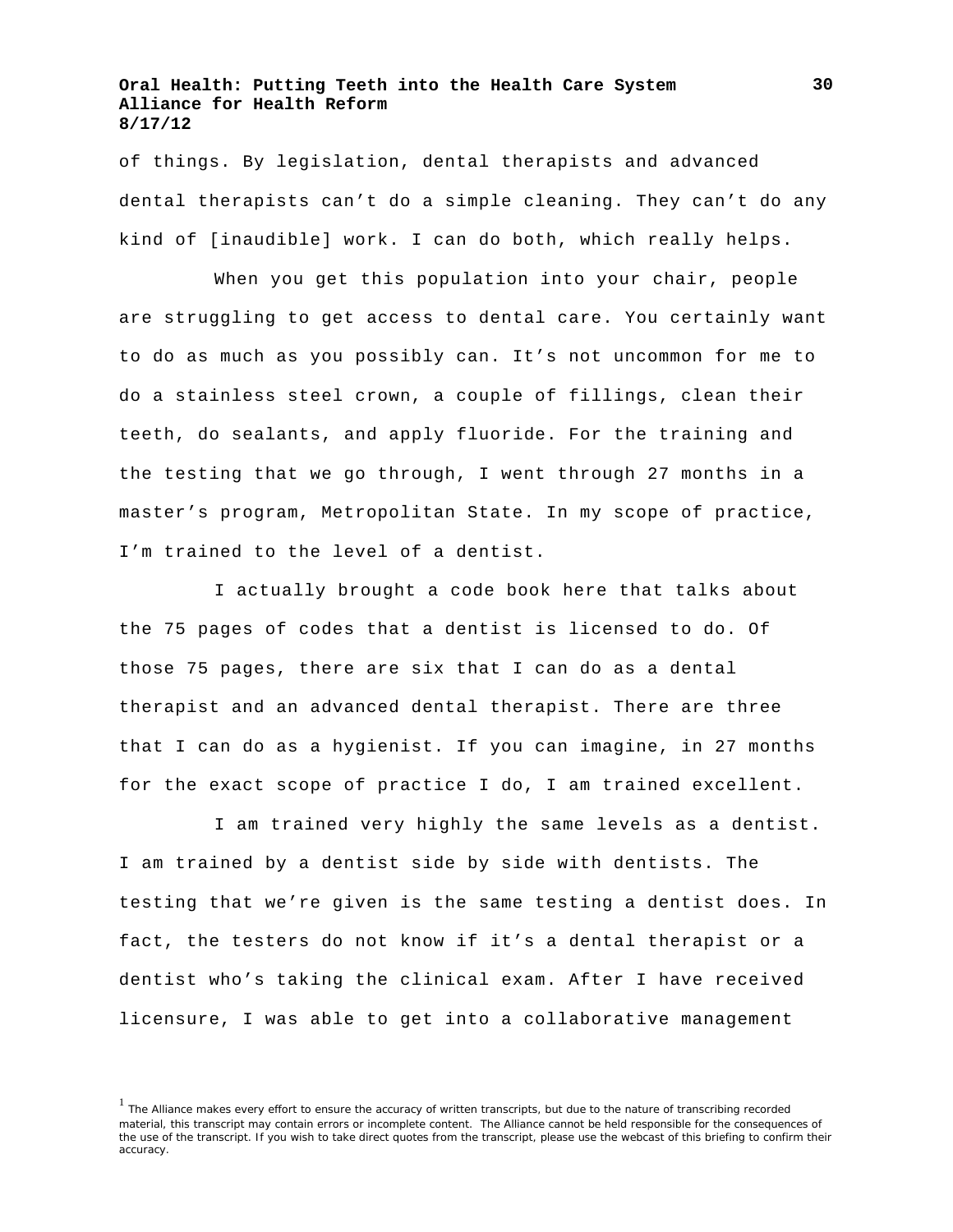of things. By legislation, dental therapists and advanced dental therapists can't do a simple cleaning. They can't do any kind of [inaudible] work. I can do both, which really helps.

When you get this population into your chair, people are struggling to get access to dental care. You certainly want to do as much as you possibly can. It's not uncommon for me to do a stainless steel crown, a couple of fillings, clean their teeth, do sealants, and apply fluoride. For the training and the testing that we go through, I went through 27 months in a master's program, Metropolitan State. In my scope of practice, I'm trained to the level of a dentist.

I actually brought a code book here that talks about the 75 pages of codes that a dentist is licensed to do. Of those 75 pages, there are six that I can do as a dental therapist and an advanced dental therapist. There are three that I can do as a hygienist. If you can imagine, in 27 months for the exact scope of practice I do, I am trained excellent.

I am trained very highly the same levels as a dentist. I am trained by a dentist side by side with dentists. The testing that we're given is the same testing a dentist does. In fact, the testers do not know if it's a dental therapist or a dentist who's taking the clinical exam. After I have received licensure, I was able to get into a collaborative management

<sup>&</sup>lt;sup>1</sup> The Alliance makes every effort to ensure the accuracy of written transcripts, but due to the nature of transcribing recorded material, this transcript may contain errors or incomplete content. The Alliance cannot be held responsible for the consequences of the use of the transcript. If you wish to take direct quotes from the transcript, please use the webcast of this briefing to confirm their accuracy.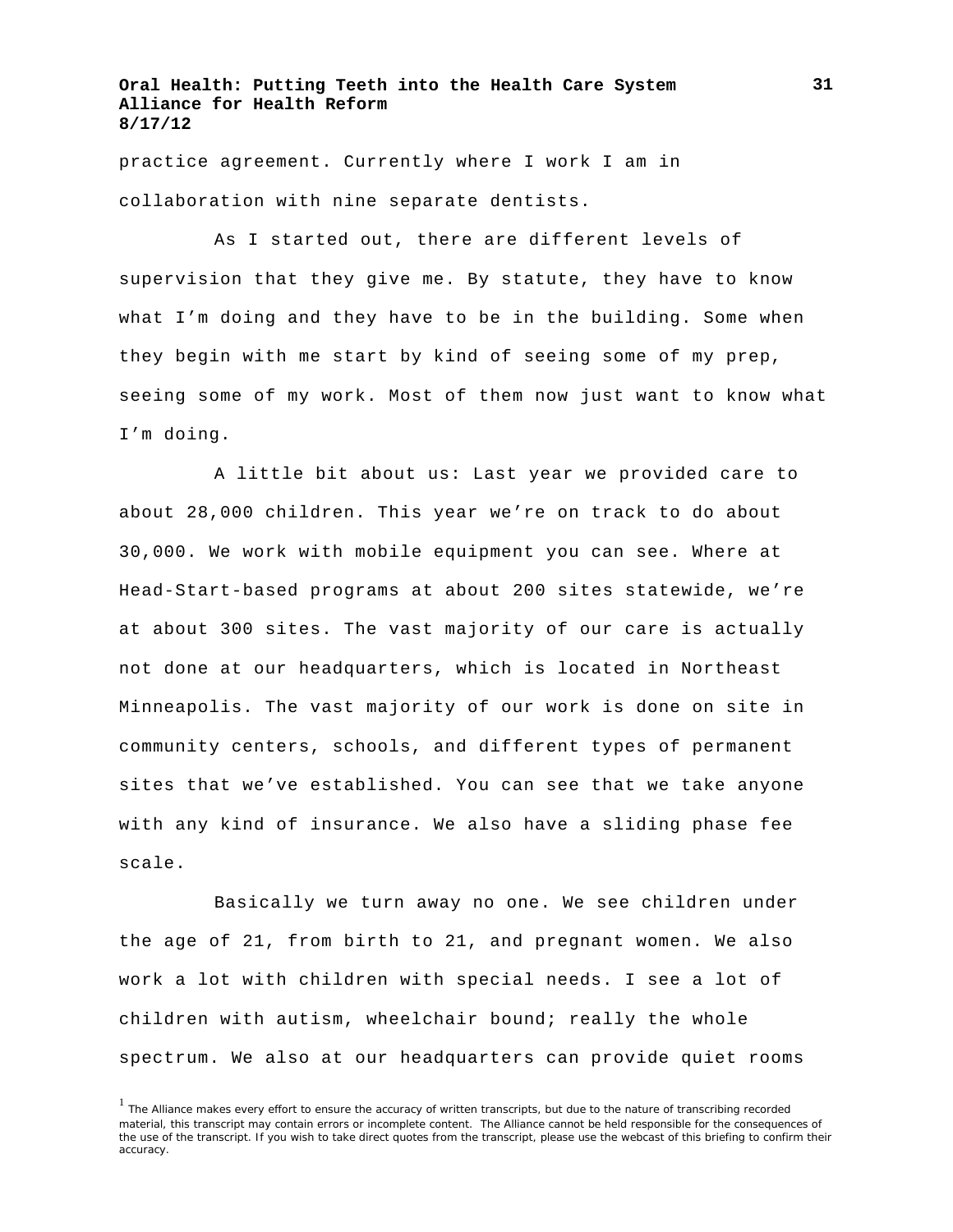practice agreement. Currently where I work I am in collaboration with nine separate dentists.

As I started out, there are different levels of supervision that they give me. By statute, they have to know what I'm doing and they have to be in the building. Some when they begin with me start by kind of seeing some of my prep, seeing some of my work. Most of them now just want to know what I'm doing.

A little bit about us: Last year we provided care to about 28,000 children. This year we're on track to do about 30,000. We work with mobile equipment you can see. Where at Head-Start-based programs at about 200 sites statewide, we're at about 300 sites. The vast majority of our care is actually not done at our headquarters, which is located in Northeast Minneapolis. The vast majority of our work is done on site in community centers, schools, and different types of permanent sites that we've established. You can see that we take anyone with any kind of insurance. We also have a sliding phase fee scale.

Basically we turn away no one. We see children under the age of 21, from birth to 21, and pregnant women. We also work a lot with children with special needs. I see a lot of children with autism, wheelchair bound; really the whole spectrum. We also at our headquarters can provide quiet rooms

<sup>&</sup>lt;sup>1</sup> The Alliance makes every effort to ensure the accuracy of written transcripts, but due to the nature of transcribing recorded material, this transcript may contain errors or incomplete content. The Alliance cannot be held responsible for the consequences of the use of the transcript. If you wish to take direct quotes from the transcript, please use the webcast of this briefing to confirm their accuracy.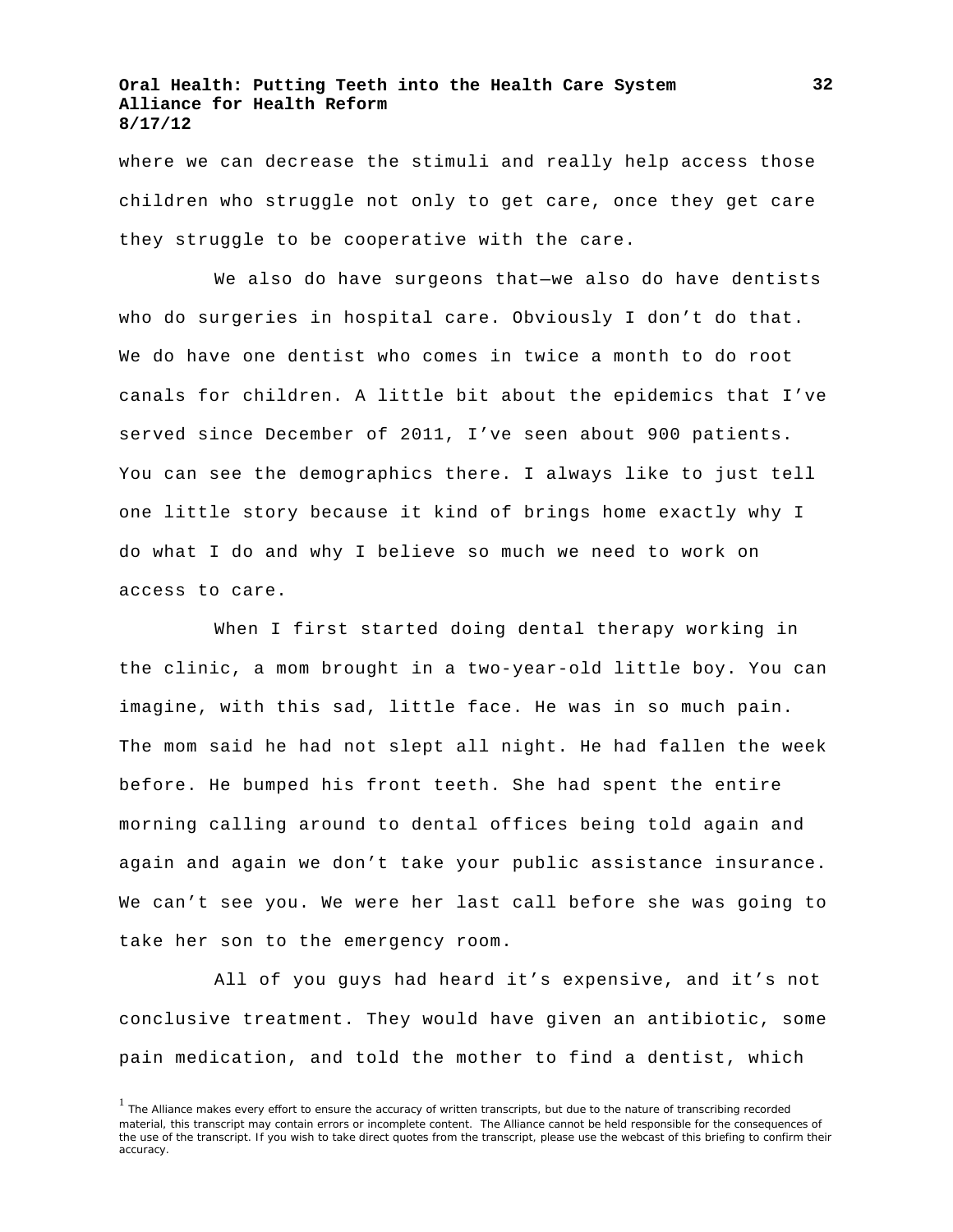where we can decrease the stimuli and really help access those children who struggle not only to get care, once they get care they struggle to be cooperative with the care.

We also do have surgeons that—we also do have dentists who do surgeries in hospital care. Obviously I don't do that. We do have one dentist who comes in twice a month to do root canals for children. A little bit about the epidemics that I've served since December of 2011, I've seen about 900 patients. You can see the demographics there. I always like to just tell one little story because it kind of brings home exactly why I do what I do and why I believe so much we need to work on access to care.

When I first started doing dental therapy working in the clinic, a mom brought in a two-year-old little boy. You can imagine, with this sad, little face. He was in so much pain. The mom said he had not slept all night. He had fallen the week before. He bumped his front teeth. She had spent the entire morning calling around to dental offices being told again and again and again we don't take your public assistance insurance. We can't see you. We were her last call before she was going to take her son to the emergency room.

All of you guys had heard it's expensive, and it's not conclusive treatment. They would have given an antibiotic, some pain medication, and told the mother to find a dentist, which

<sup>&</sup>lt;sup>1</sup> The Alliance makes every effort to ensure the accuracy of written transcripts, but due to the nature of transcribing recorded material, this transcript may contain errors or incomplete content. The Alliance cannot be held responsible for the consequences of the use of the transcript. If you wish to take direct quotes from the transcript, please use the webcast of this briefing to confirm their accuracy.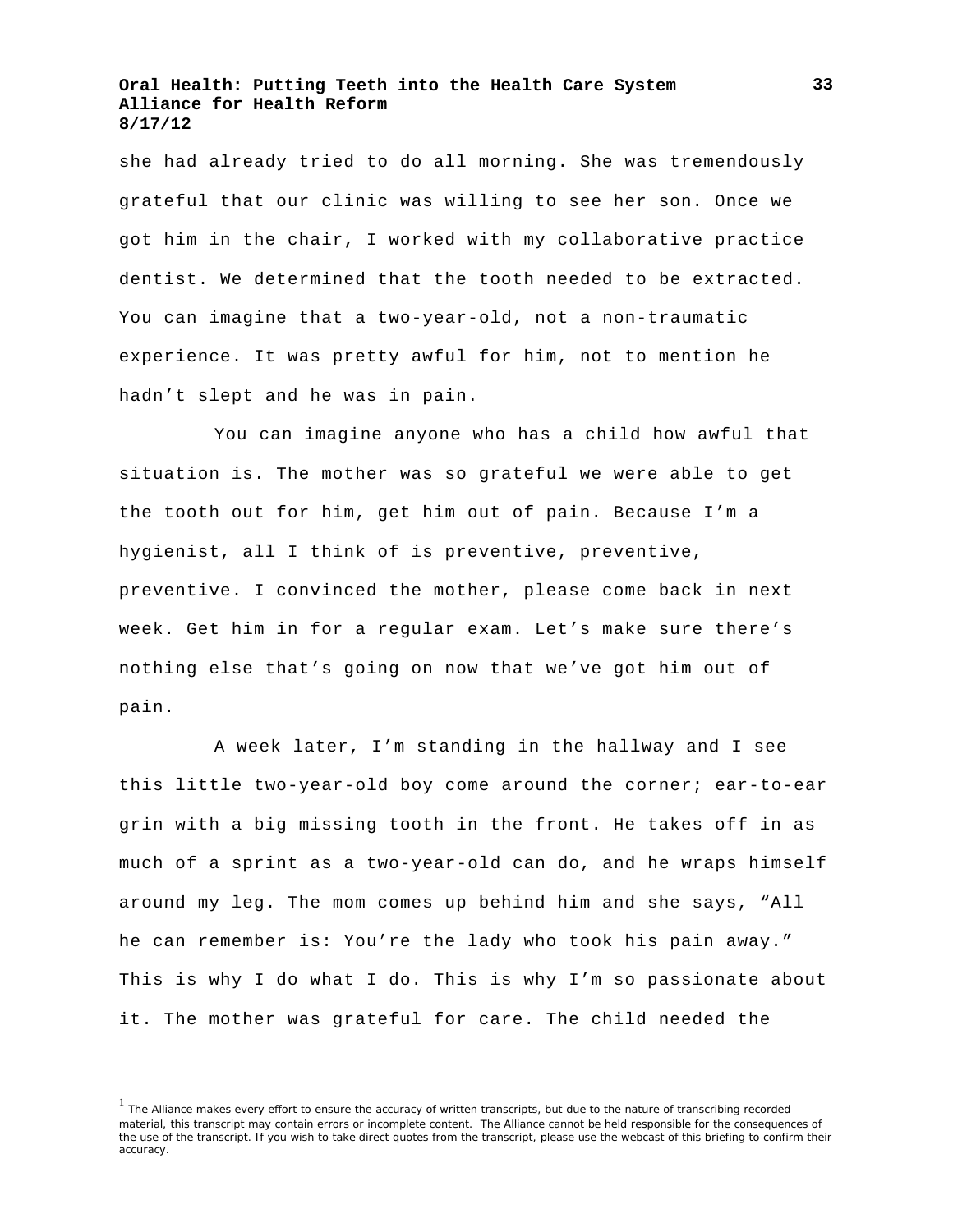she had already tried to do all morning. She was tremendously grateful that our clinic was willing to see her son. Once we got him in the chair, I worked with my collaborative practice dentist. We determined that the tooth needed to be extracted. You can imagine that a two-year-old, not a non-traumatic experience. It was pretty awful for him, not to mention he hadn't slept and he was in pain.

You can imagine anyone who has a child how awful that situation is. The mother was so grateful we were able to get the tooth out for him, get him out of pain. Because I'm a hygienist, all I think of is preventive, preventive, preventive. I convinced the mother, please come back in next week. Get him in for a regular exam. Let's make sure there's nothing else that's going on now that we've got him out of pain.

A week later, I'm standing in the hallway and I see this little two-year-old boy come around the corner; ear-to-ear grin with a big missing tooth in the front. He takes off in as much of a sprint as a two-year-old can do, and he wraps himself around my leg. The mom comes up behind him and she says, "All he can remember is: You're the lady who took his pain away." This is why I do what I do. This is why I'm so passionate about it. The mother was grateful for care. The child needed the

<sup>&</sup>lt;sup>1</sup> The Alliance makes every effort to ensure the accuracy of written transcripts, but due to the nature of transcribing recorded material, this transcript may contain errors or incomplete content. The Alliance cannot be held responsible for the consequences of the use of the transcript. If you wish to take direct quotes from the transcript, please use the webcast of this briefing to confirm their accuracy.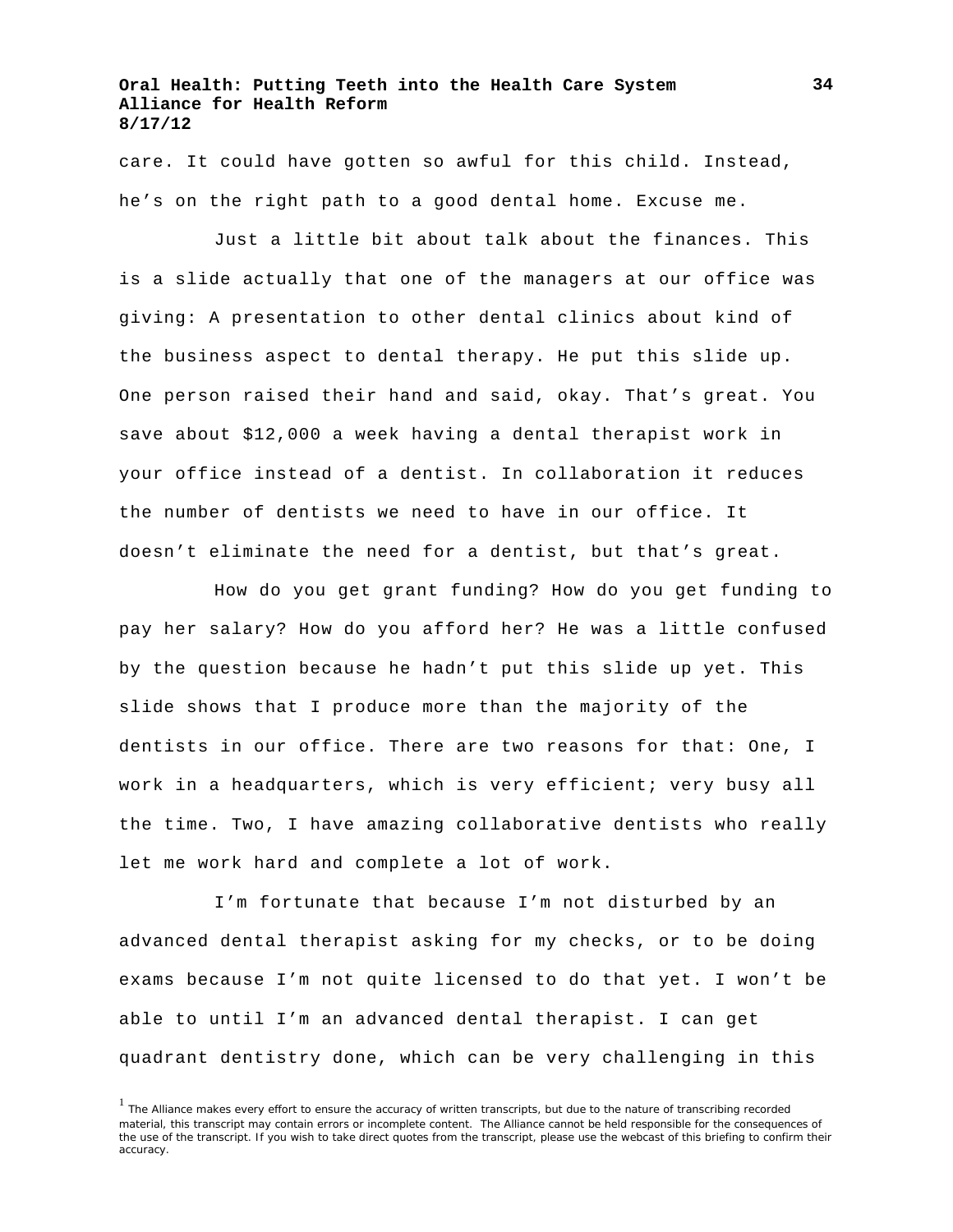care. It could have gotten so awful for this child. Instead, he's on the right path to a good dental home. Excuse me.

Just a little bit about talk about the finances. This is a slide actually that one of the managers at our office was giving: A presentation to other dental clinics about kind of the business aspect to dental therapy. He put this slide up. One person raised their hand and said, okay. That's great. You save about \$12,000 a week having a dental therapist work in your office instead of a dentist. In collaboration it reduces the number of dentists we need to have in our office. It doesn't eliminate the need for a dentist, but that's great.

How do you get grant funding? How do you get funding to pay her salary? How do you afford her? He was a little confused by the question because he hadn't put this slide up yet. This slide shows that I produce more than the majority of the dentists in our office. There are two reasons for that: One, I work in a headquarters, which is very efficient; very busy all the time. Two, I have amazing collaborative dentists who really let me work hard and complete a lot of work.

I'm fortunate that because I'm not disturbed by an advanced dental therapist asking for my checks, or to be doing exams because I'm not quite licensed to do that yet. I won't be able to until I'm an advanced dental therapist. I can get quadrant dentistry done, which can be very challenging in this

<sup>&</sup>lt;sup>1</sup> The Alliance makes every effort to ensure the accuracy of written transcripts, but due to the nature of transcribing recorded material, this transcript may contain errors or incomplete content. The Alliance cannot be held responsible for the consequences of the use of the transcript. If you wish to take direct quotes from the transcript, please use the webcast of this briefing to confirm their accuracy.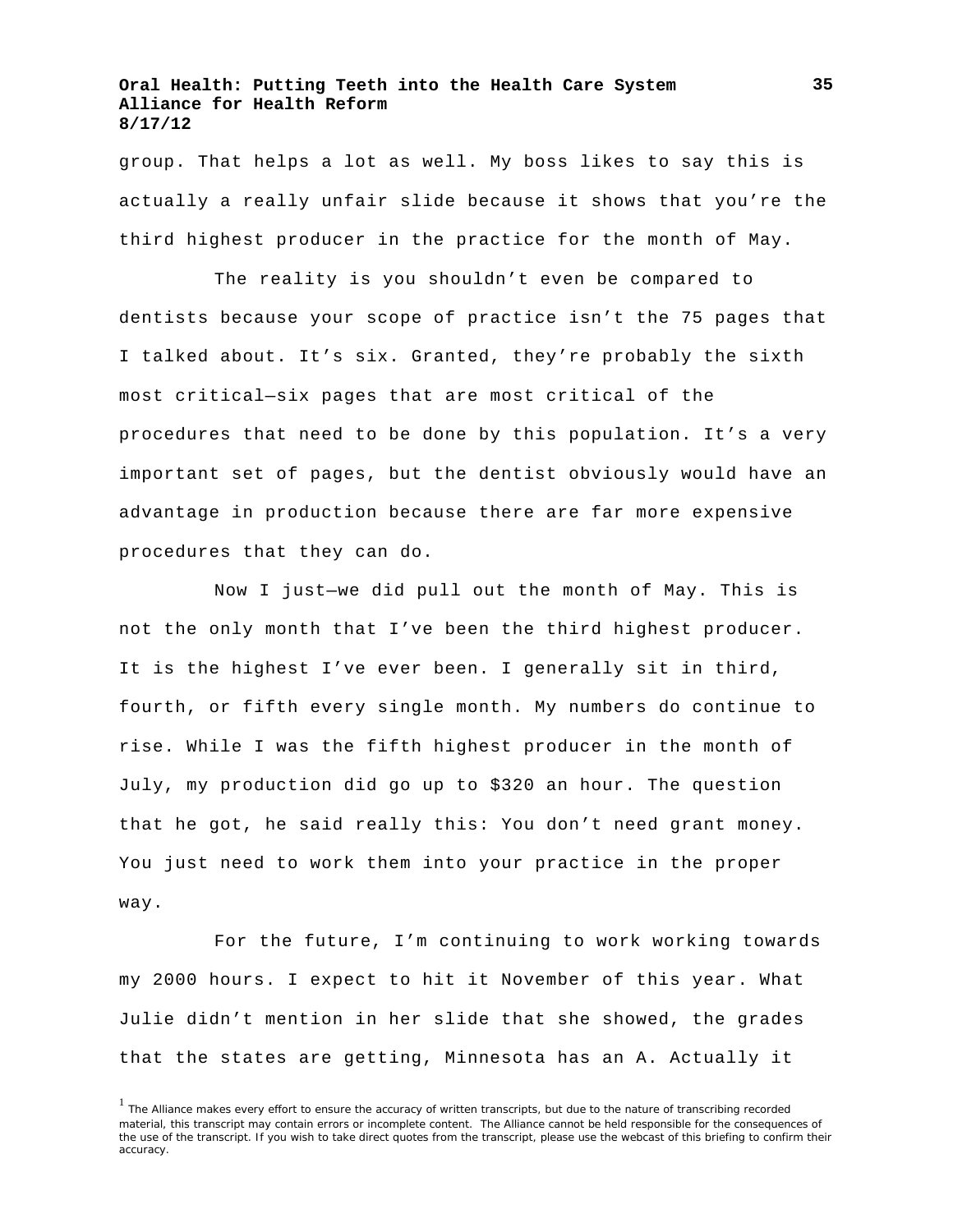group. That helps a lot as well. My boss likes to say this is actually a really unfair slide because it shows that you're the third highest producer in the practice for the month of May.

The reality is you shouldn't even be compared to dentists because your scope of practice isn't the 75 pages that I talked about. It's six. Granted, they're probably the sixth most critical—six pages that are most critical of the procedures that need to be done by this population. It's a very important set of pages, but the dentist obviously would have an advantage in production because there are far more expensive procedures that they can do.

Now I just—we did pull out the month of May. This is not the only month that I've been the third highest producer. It is the highest I've ever been. I generally sit in third, fourth, or fifth every single month. My numbers do continue to rise. While I was the fifth highest producer in the month of July, my production did go up to \$320 an hour. The question that he got, he said really this: You don't need grant money. You just need to work them into your practice in the proper way.

For the future, I'm continuing to work working towards my 2000 hours. I expect to hit it November of this year. What Julie didn't mention in her slide that she showed, the grades that the states are getting, Minnesota has an A. Actually it

<sup>&</sup>lt;sup>1</sup> The Alliance makes every effort to ensure the accuracy of written transcripts, but due to the nature of transcribing recorded material, this transcript may contain errors or incomplete content. The Alliance cannot be held responsible for the consequences of the use of the transcript. If you wish to take direct quotes from the transcript, please use the webcast of this briefing to confirm their accuracy.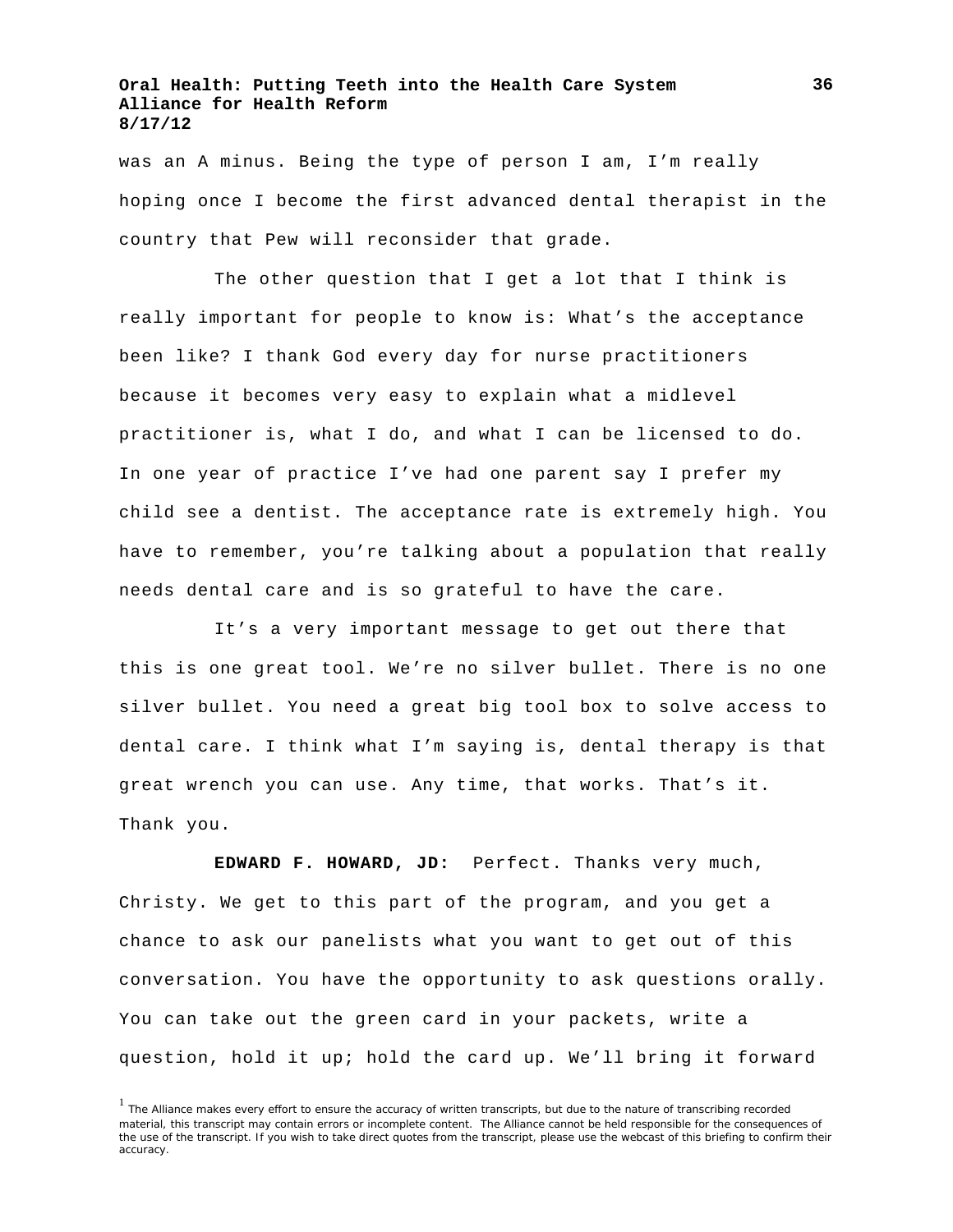was an A minus. Being the type of person I am, I'm really hoping once I become the first advanced dental therapist in the country that Pew will reconsider that grade.

The other question that I get a lot that I think is really important for people to know is: What's the acceptance been like? I thank God every day for nurse practitioners because it becomes very easy to explain what a midlevel practitioner is, what I do, and what I can be licensed to do. In one year of practice I've had one parent say I prefer my child see a dentist. The acceptance rate is extremely high. You have to remember, you're talking about a population that really needs dental care and is so grateful to have the care.

It's a very important message to get out there that this is one great tool. We're no silver bullet. There is no one silver bullet. You need a great big tool box to solve access to dental care. I think what I'm saying is, dental therapy is that great wrench you can use. Any time, that works. That's it. Thank you.

**EDWARD F. HOWARD, JD:** Perfect. Thanks very much, Christy. We get to this part of the program, and you get a chance to ask our panelists what you want to get out of this conversation. You have the opportunity to ask questions orally. You can take out the green card in your packets, write a question, hold it up; hold the card up. We'll bring it forward

<sup>&</sup>lt;sup>1</sup> The Alliance makes every effort to ensure the accuracy of written transcripts, but due to the nature of transcribing recorded material, this transcript may contain errors or incomplete content. The Alliance cannot be held responsible for the consequences of the use of the transcript. If you wish to take direct quotes from the transcript, please use the webcast of this briefing to confirm their accuracy.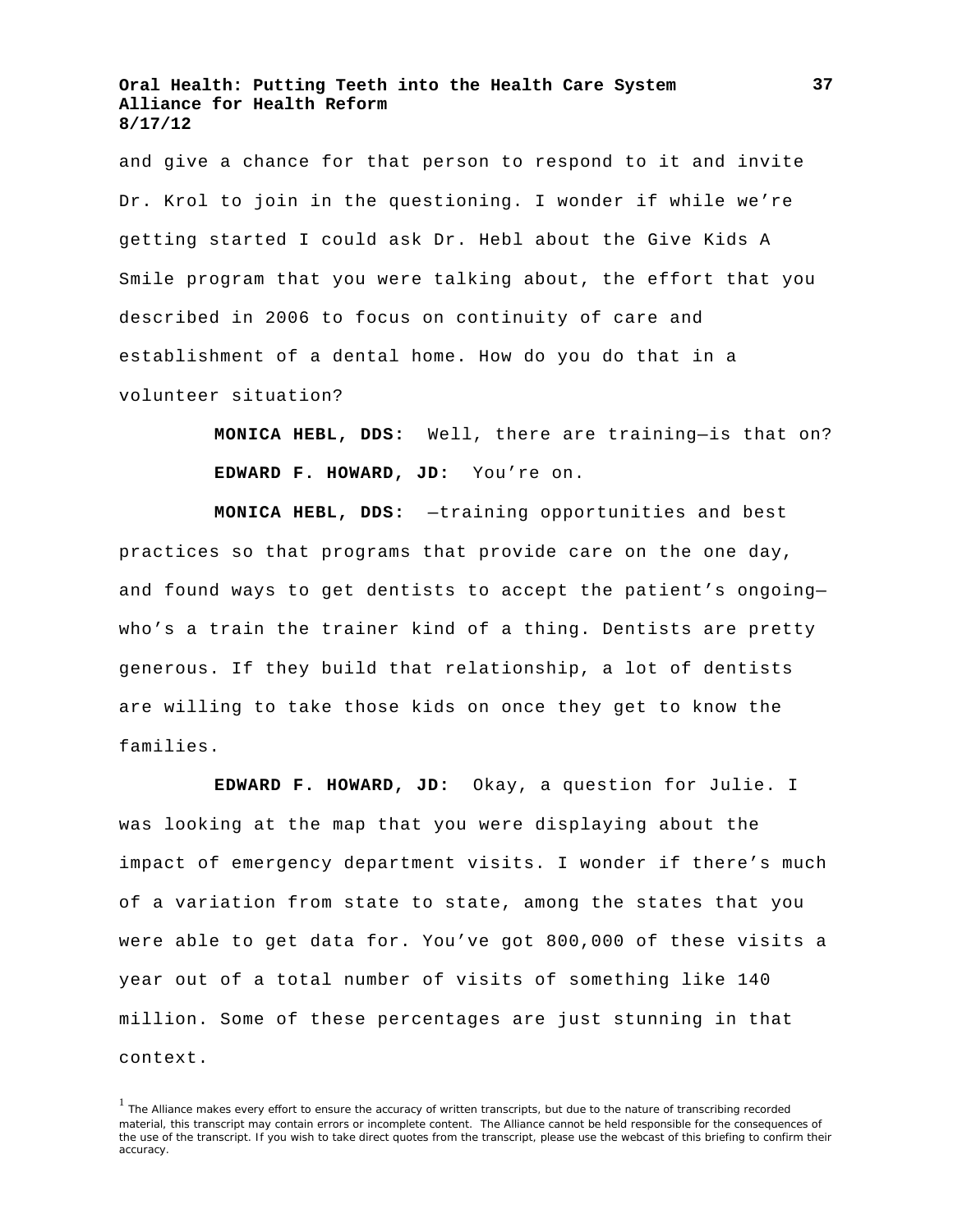and give a chance for that person to respond to it and invite Dr. Krol to join in the questioning. I wonder if while we're getting started I could ask Dr. Hebl about the Give Kids A Smile program that you were talking about, the effort that you described in 2006 to focus on continuity of care and establishment of a dental home. How do you do that in a volunteer situation?

> **MONICA HEBL, DDS:** Well, there are training—is that on? **EDWARD F. HOWARD, JD:** You're on.

**MONICA HEBL, DDS:** —training opportunities and best practices so that programs that provide care on the one day, and found ways to get dentists to accept the patient's ongoing who's a train the trainer kind of a thing. Dentists are pretty generous. If they build that relationship, a lot of dentists are willing to take those kids on once they get to know the families.

**EDWARD F. HOWARD, JD:** Okay, a question for Julie. I was looking at the map that you were displaying about the impact of emergency department visits. I wonder if there's much of a variation from state to state, among the states that you were able to get data for. You've got 800,000 of these visits a year out of a total number of visits of something like 140 million. Some of these percentages are just stunning in that context.

<sup>&</sup>lt;sup>1</sup> The Alliance makes every effort to ensure the accuracy of written transcripts, but due to the nature of transcribing recorded material, this transcript may contain errors or incomplete content. The Alliance cannot be held responsible for the consequences of the use of the transcript. If you wish to take direct quotes from the transcript, please use the webcast of this briefing to confirm their accuracy.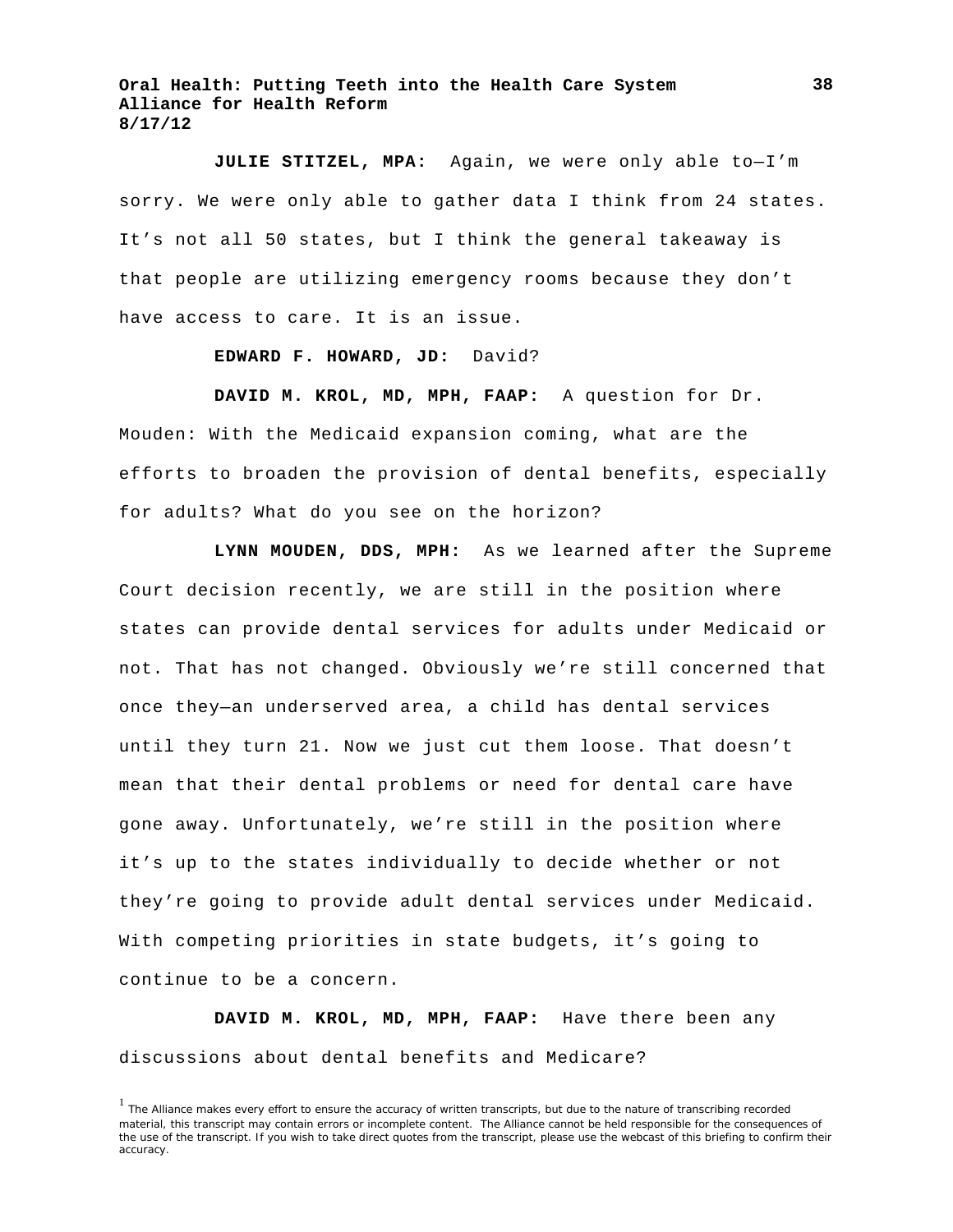**JULIE STITZEL, MPA:** Again, we were only able to—I'm sorry. We were only able to gather data I think from 24 states. It's not all 50 states, but I think the general takeaway is that people are utilizing emergency rooms because they don't have access to care. It is an issue.

**EDWARD F. HOWARD, JD:** David?

**DAVID M. KROL, MD, MPH, FAAP:** A question for Dr. Mouden: With the Medicaid expansion coming, what are the efforts to broaden the provision of dental benefits, especially for adults? What do you see on the horizon?

**LYNN MOUDEN, DDS, MPH:** As we learned after the Supreme Court decision recently, we are still in the position where states can provide dental services for adults under Medicaid or not. That has not changed. Obviously we're still concerned that once they—an underserved area, a child has dental services until they turn 21. Now we just cut them loose. That doesn't mean that their dental problems or need for dental care have gone away. Unfortunately, we're still in the position where it's up to the states individually to decide whether or not they're going to provide adult dental services under Medicaid. With competing priorities in state budgets, it's going to continue to be a concern.

**DAVID M. KROL, MD, MPH, FAAP:** Have there been any discussions about dental benefits and Medicare?

<sup>&</sup>lt;sup>1</sup> The Alliance makes every effort to ensure the accuracy of written transcripts, but due to the nature of transcribing recorded material, this transcript may contain errors or incomplete content. The Alliance cannot be held responsible for the consequences of the use of the transcript. If you wish to take direct quotes from the transcript, please use the webcast of this briefing to confirm their accuracy.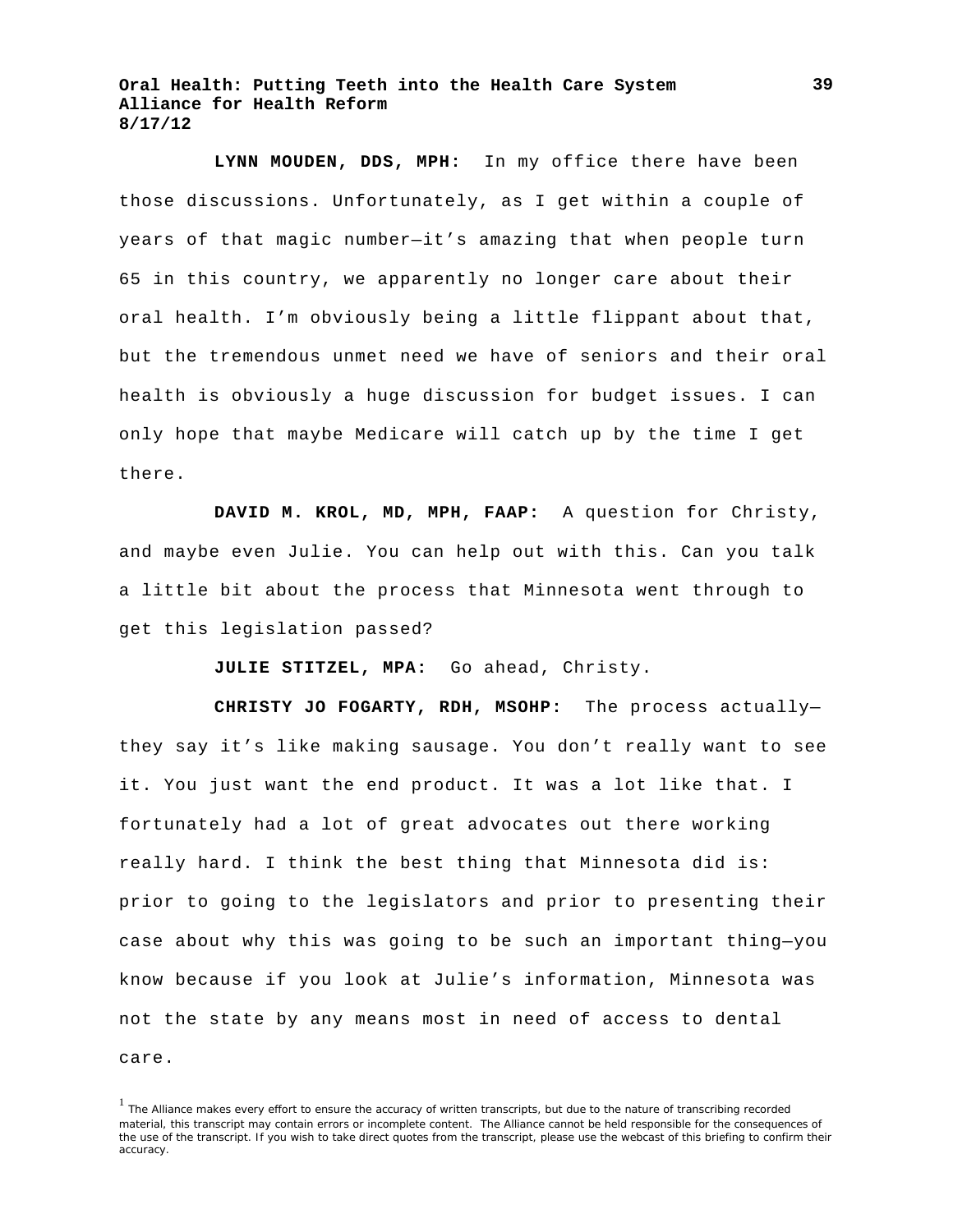**LYNN MOUDEN, DDS, MPH:** In my office there have been those discussions. Unfortunately, as I get within a couple of years of that magic number—it's amazing that when people turn 65 in this country, we apparently no longer care about their oral health. I'm obviously being a little flippant about that, but the tremendous unmet need we have of seniors and their oral health is obviously a huge discussion for budget issues. I can only hope that maybe Medicare will catch up by the time I get there.

**DAVID M. KROL, MD, MPH, FAAP:** A question for Christy, and maybe even Julie. You can help out with this. Can you talk a little bit about the process that Minnesota went through to get this legislation passed?

**JULIE STITZEL, MPA:** Go ahead, Christy.

**CHRISTY JO FOGARTY, RDH, MSOHP:** The process actually they say it's like making sausage. You don't really want to see it. You just want the end product. It was a lot like that. I fortunately had a lot of great advocates out there working really hard. I think the best thing that Minnesota did is: prior to going to the legislators and prior to presenting their case about why this was going to be such an important thing—you know because if you look at Julie's information, Minnesota was not the state by any means most in need of access to dental care.

<sup>&</sup>lt;sup>1</sup> The Alliance makes every effort to ensure the accuracy of written transcripts, but due to the nature of transcribing recorded material, this transcript may contain errors or incomplete content. The Alliance cannot be held responsible for the consequences of the use of the transcript. If you wish to take direct quotes from the transcript, please use the webcast of this briefing to confirm their accuracy.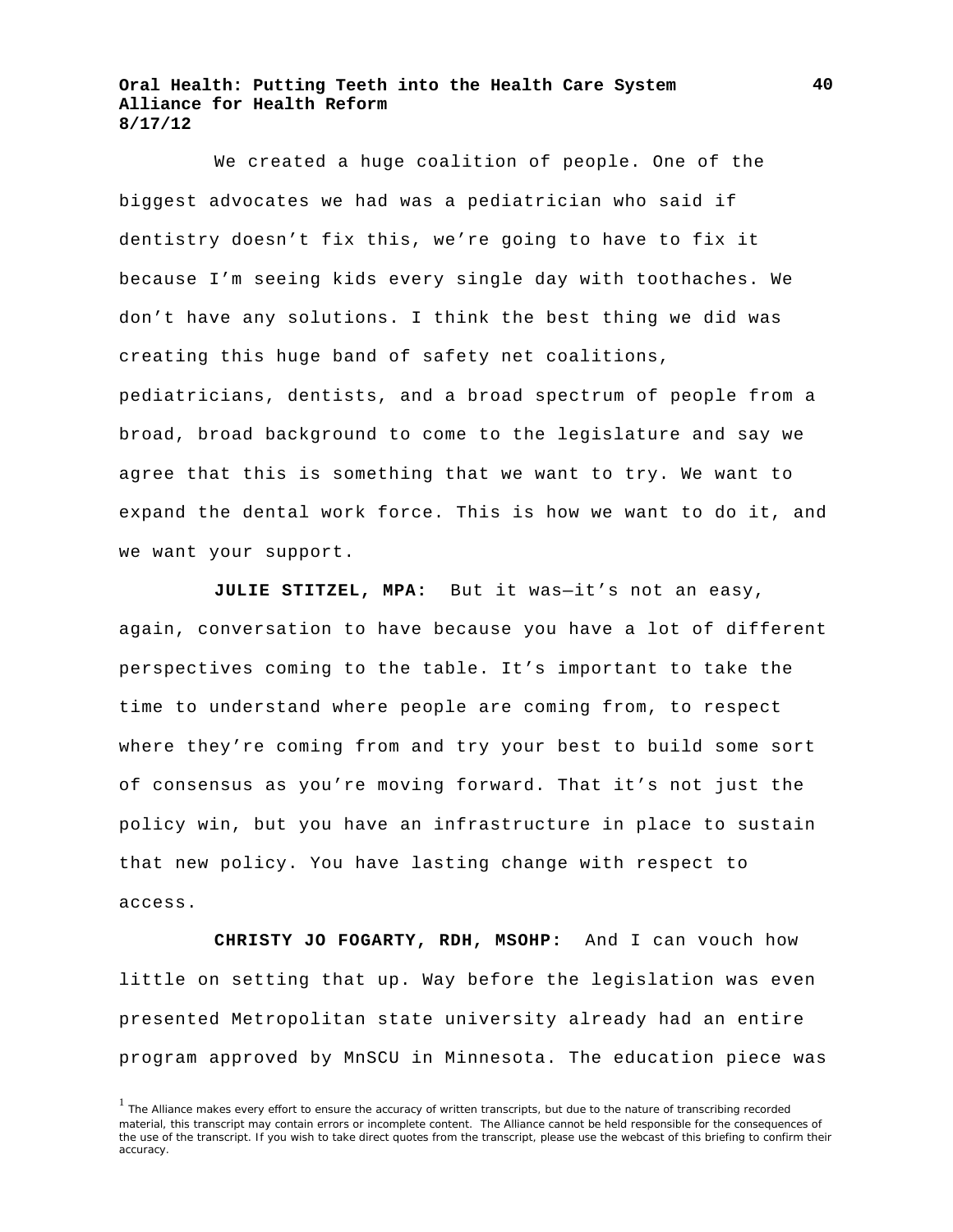We created a huge coalition of people. One of the biggest advocates we had was a pediatrician who said if dentistry doesn't fix this, we're going to have to fix it because I'm seeing kids every single day with toothaches. We don't have any solutions. I think the best thing we did was creating this huge band of safety net coalitions, pediatricians, dentists, and a broad spectrum of people from a broad, broad background to come to the legislature and say we agree that this is something that we want to try. We want to expand the dental work force. This is how we want to do it, and we want your support.

**JULIE STITZEL, MPA:** But it was—it's not an easy, again, conversation to have because you have a lot of different perspectives coming to the table. It's important to take the time to understand where people are coming from, to respect where they're coming from and try your best to build some sort of consensus as you're moving forward. That it's not just the policy win, but you have an infrastructure in place to sustain that new policy. You have lasting change with respect to access.

**CHRISTY JO FOGARTY, RDH, MSOHP:** And I can vouch how little on setting that up. Way before the legislation was even presented Metropolitan state university already had an entire program approved by MnSCU in Minnesota. The education piece was

<sup>&</sup>lt;sup>1</sup> The Alliance makes every effort to ensure the accuracy of written transcripts, but due to the nature of transcribing recorded material, this transcript may contain errors or incomplete content. The Alliance cannot be held responsible for the consequences of the use of the transcript. If you wish to take direct quotes from the transcript, please use the webcast of this briefing to confirm their accuracy.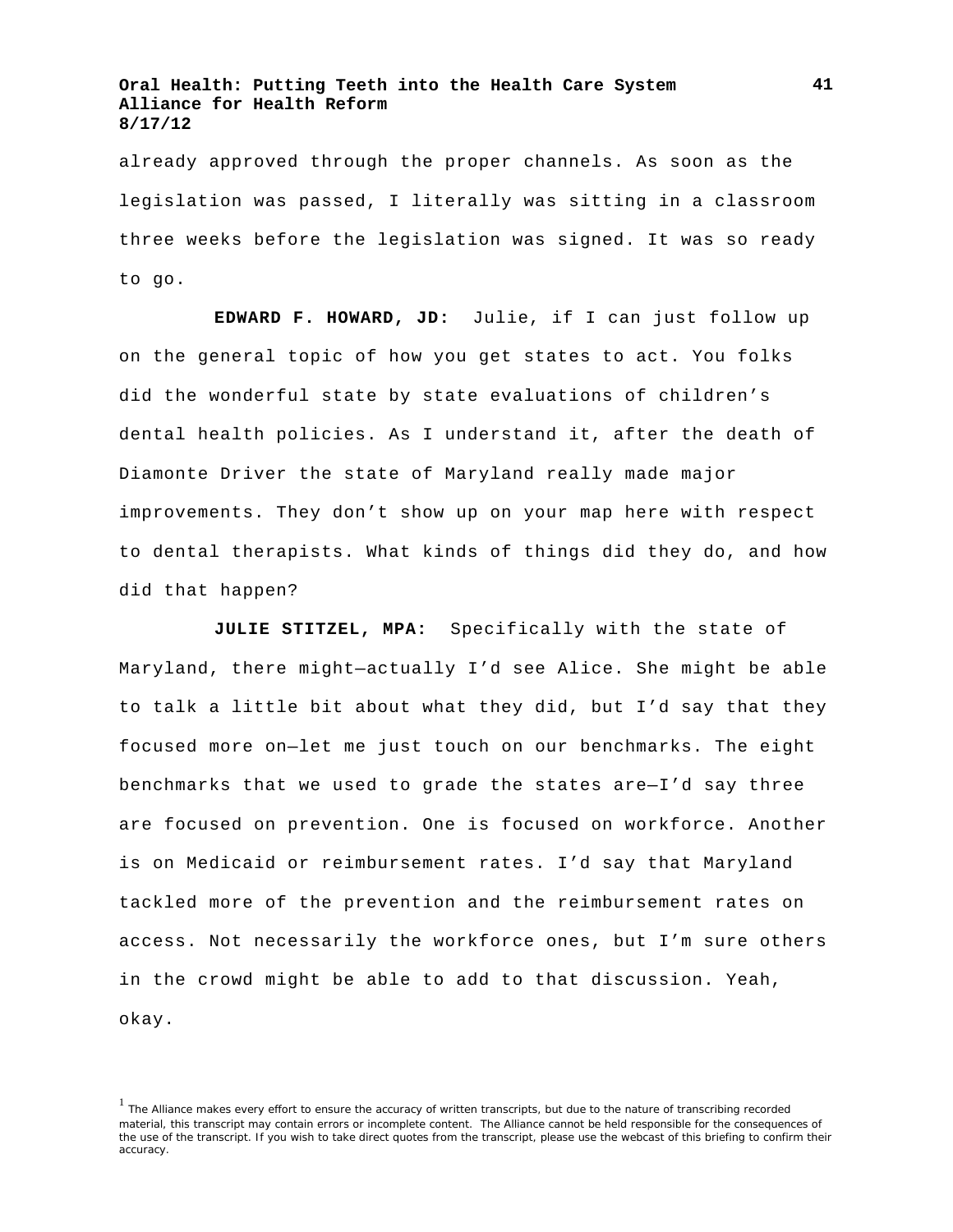already approved through the proper channels. As soon as the legislation was passed, I literally was sitting in a classroom three weeks before the legislation was signed. It was so ready to go.

**EDWARD F. HOWARD, JD:** Julie, if I can just follow up on the general topic of how you get states to act. You folks did the wonderful state by state evaluations of children's dental health policies. As I understand it, after the death of Diamonte Driver the state of Maryland really made major improvements. They don't show up on your map here with respect to dental therapists. What kinds of things did they do, and how did that happen?

**JULIE STITZEL, MPA:** Specifically with the state of Maryland, there might—actually I'd see Alice. She might be able to talk a little bit about what they did, but I'd say that they focused more on—let me just touch on our benchmarks. The eight benchmarks that we used to grade the states are—I'd say three are focused on prevention. One is focused on workforce. Another is on Medicaid or reimbursement rates. I'd say that Maryland tackled more of the prevention and the reimbursement rates on access. Not necessarily the workforce ones, but I'm sure others in the crowd might be able to add to that discussion. Yeah, okay.

<sup>&</sup>lt;sup>1</sup> The Alliance makes every effort to ensure the accuracy of written transcripts, but due to the nature of transcribing recorded material, this transcript may contain errors or incomplete content. The Alliance cannot be held responsible for the consequences of the use of the transcript. If you wish to take direct quotes from the transcript, please use the webcast of this briefing to confirm their accuracy.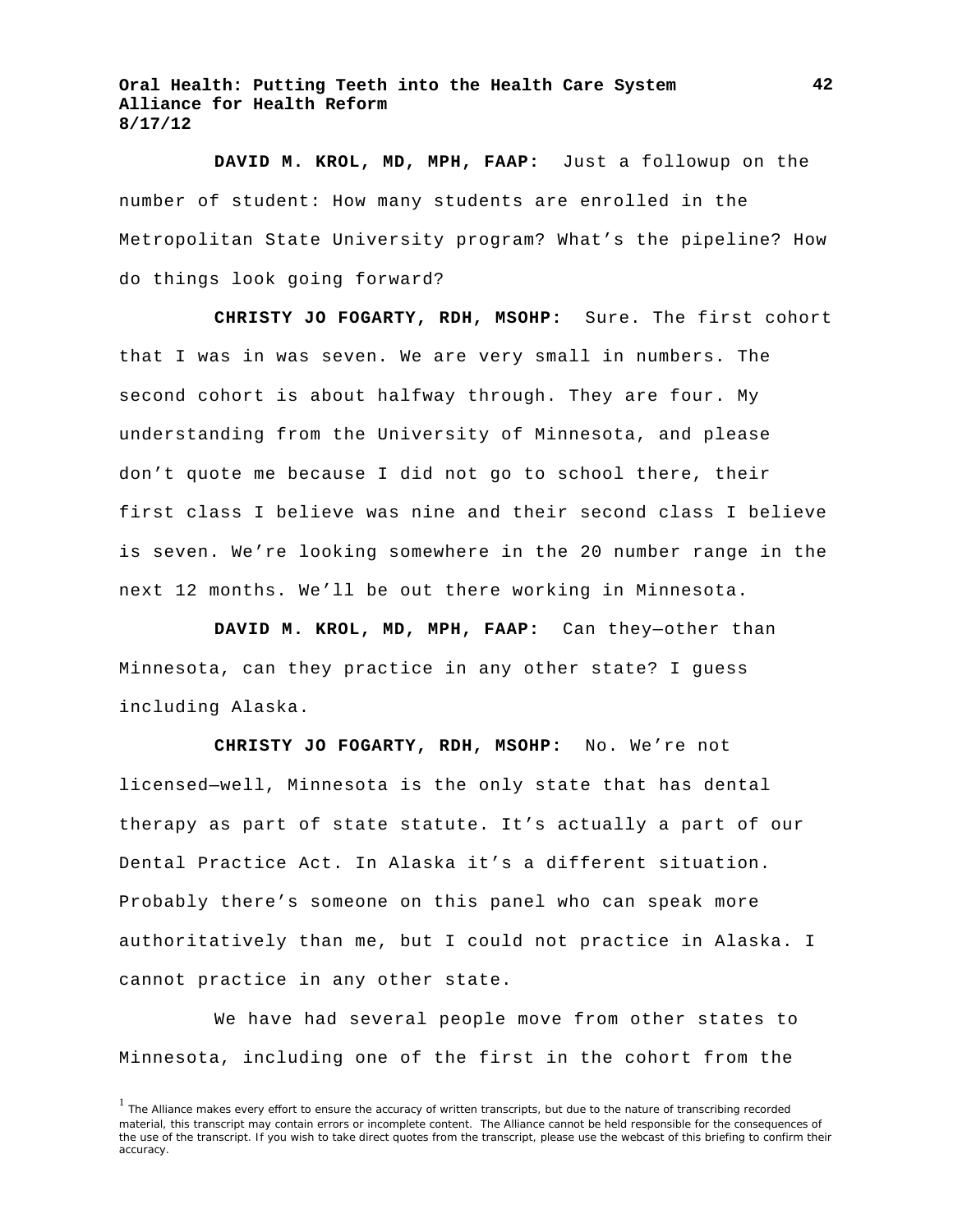**DAVID M. KROL, MD, MPH, FAAP:** Just a followup on the number of student: How many students are enrolled in the Metropolitan State University program? What's the pipeline? How do things look going forward?

**CHRISTY JO FOGARTY, RDH, MSOHP:** Sure. The first cohort that I was in was seven. We are very small in numbers. The second cohort is about halfway through. They are four. My understanding from the University of Minnesota, and please don't quote me because I did not go to school there, their first class I believe was nine and their second class I believe is seven. We're looking somewhere in the 20 number range in the next 12 months. We'll be out there working in Minnesota.

**DAVID M. KROL, MD, MPH, FAAP:** Can they—other than Minnesota, can they practice in any other state? I guess including Alaska.

**CHRISTY JO FOGARTY, RDH, MSOHP:** No. We're not licensed—well, Minnesota is the only state that has dental therapy as part of state statute. It's actually a part of our Dental Practice Act. In Alaska it's a different situation. Probably there's someone on this panel who can speak more authoritatively than me, but I could not practice in Alaska. I cannot practice in any other state.

We have had several people move from other states to Minnesota, including one of the first in the cohort from the

<sup>&</sup>lt;sup>1</sup> The Alliance makes every effort to ensure the accuracy of written transcripts, but due to the nature of transcribing recorded material, this transcript may contain errors or incomplete content. The Alliance cannot be held responsible for the consequences of the use of the transcript. If you wish to take direct quotes from the transcript, please use the webcast of this briefing to confirm their accuracy.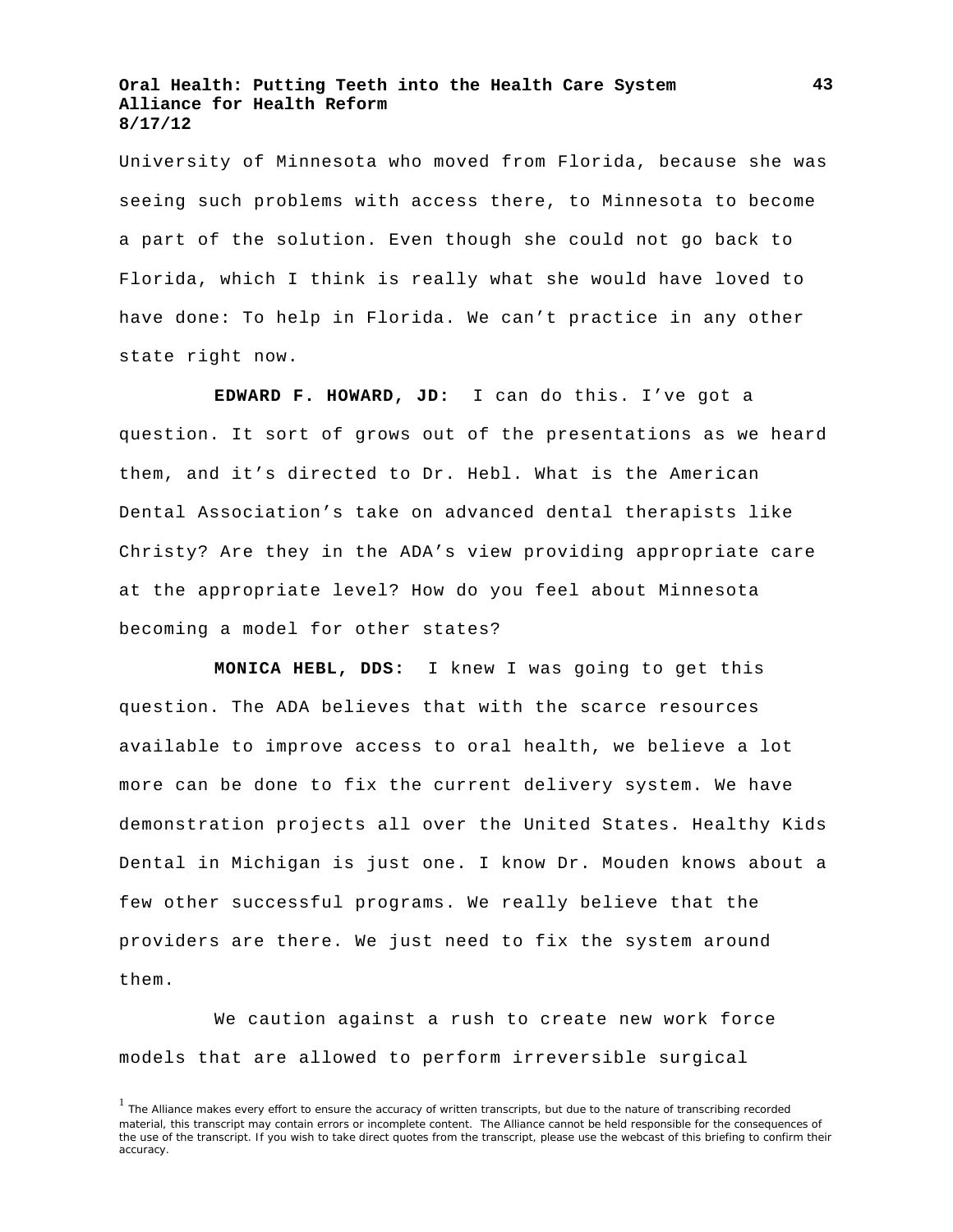University of Minnesota who moved from Florida, because she was seeing such problems with access there, to Minnesota to become a part of the solution. Even though she could not go back to Florida, which I think is really what she would have loved to have done: To help in Florida. We can't practice in any other state right now.

**EDWARD F. HOWARD, JD:** I can do this. I've got a question. It sort of grows out of the presentations as we heard them, and it's directed to Dr. Hebl. What is the American Dental Association's take on advanced dental therapists like Christy? Are they in the ADA's view providing appropriate care at the appropriate level? How do you feel about Minnesota becoming a model for other states?

**MONICA HEBL, DDS:** I knew I was going to get this question. The ADA believes that with the scarce resources available to improve access to oral health, we believe a lot more can be done to fix the current delivery system. We have demonstration projects all over the United States. Healthy Kids Dental in Michigan is just one. I know Dr. Mouden knows about a few other successful programs. We really believe that the providers are there. We just need to fix the system around them.

We caution against a rush to create new work force models that are allowed to perform irreversible surgical

**43**

<sup>&</sup>lt;sup>1</sup> The Alliance makes every effort to ensure the accuracy of written transcripts, but due to the nature of transcribing recorded material, this transcript may contain errors or incomplete content. The Alliance cannot be held responsible for the consequences of the use of the transcript. If you wish to take direct quotes from the transcript, please use the webcast of this briefing to confirm their accuracy.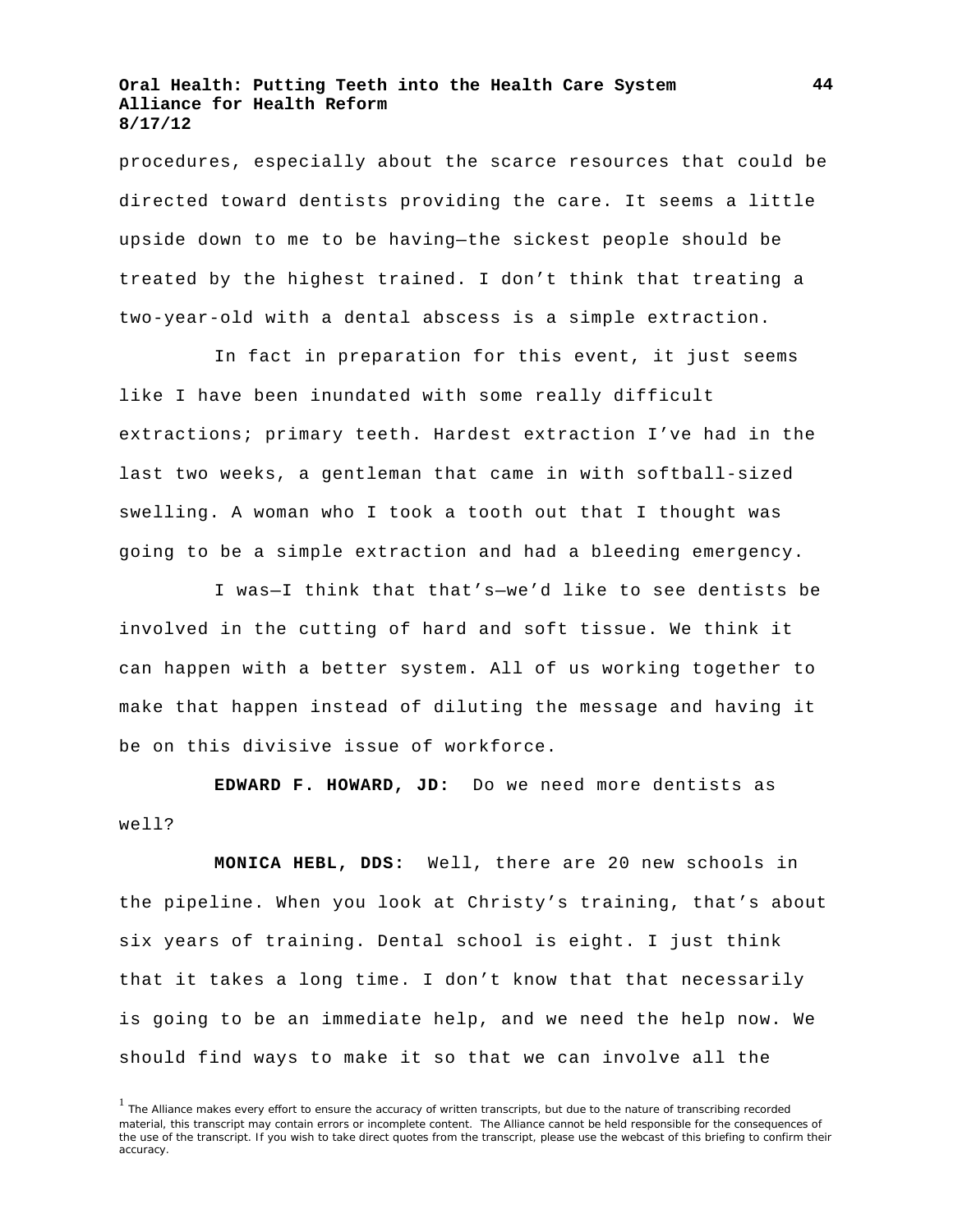procedures, especially about the scarce resources that could be directed toward dentists providing the care. It seems a little upside down to me to be having—the sickest people should be treated by the highest trained. I don't think that treating a two-year-old with a dental abscess is a simple extraction.

In fact in preparation for this event, it just seems like I have been inundated with some really difficult extractions; primary teeth. Hardest extraction I've had in the last two weeks, a gentleman that came in with softball-sized swelling. A woman who I took a tooth out that I thought was going to be a simple extraction and had a bleeding emergency.

I was—I think that that's—we'd like to see dentists be involved in the cutting of hard and soft tissue. We think it can happen with a better system. All of us working together to make that happen instead of diluting the message and having it be on this divisive issue of workforce.

**EDWARD F. HOWARD, JD:** Do we need more dentists as well?

**MONICA HEBL, DDS:** Well, there are 20 new schools in the pipeline. When you look at Christy's training, that's about six years of training. Dental school is eight. I just think that it takes a long time. I don't know that that necessarily is going to be an immediate help, and we need the help now. We should find ways to make it so that we can involve all the

<sup>&</sup>lt;sup>1</sup> The Alliance makes every effort to ensure the accuracy of written transcripts, but due to the nature of transcribing recorded material, this transcript may contain errors or incomplete content. The Alliance cannot be held responsible for the consequences of the use of the transcript. If you wish to take direct quotes from the transcript, please use the webcast of this briefing to confirm their accuracy.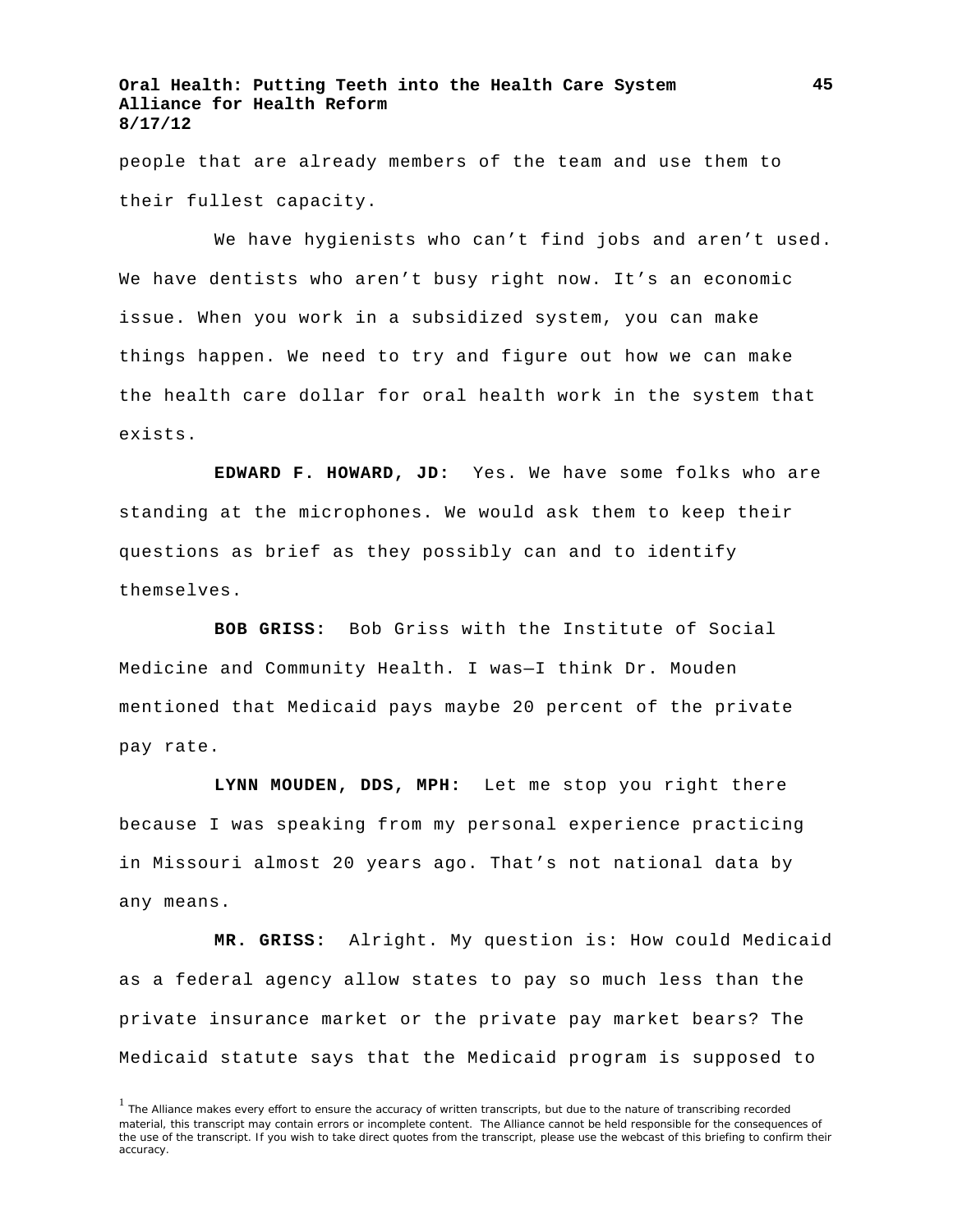people that are already members of the team and use them to their fullest capacity.

We have hygienists who can't find jobs and aren't used. We have dentists who aren't busy right now. It's an economic issue. When you work in a subsidized system, you can make things happen. We need to try and figure out how we can make the health care dollar for oral health work in the system that exists.

**EDWARD F. HOWARD, JD:** Yes. We have some folks who are standing at the microphones. We would ask them to keep their questions as brief as they possibly can and to identify themselves.

**BOB GRISS:** Bob Griss with the Institute of Social Medicine and Community Health. I was—I think Dr. Mouden mentioned that Medicaid pays maybe 20 percent of the private pay rate.

**LYNN MOUDEN, DDS, MPH:** Let me stop you right there because I was speaking from my personal experience practicing in Missouri almost 20 years ago. That's not national data by any means.

**MR. GRISS:** Alright. My question is: How could Medicaid as a federal agency allow states to pay so much less than the private insurance market or the private pay market bears? The Medicaid statute says that the Medicaid program is supposed to

<sup>&</sup>lt;sup>1</sup> The Alliance makes every effort to ensure the accuracy of written transcripts, but due to the nature of transcribing recorded material, this transcript may contain errors or incomplete content. The Alliance cannot be held responsible for the consequences of the use of the transcript. If you wish to take direct quotes from the transcript, please use the webcast of this briefing to confirm their accuracy.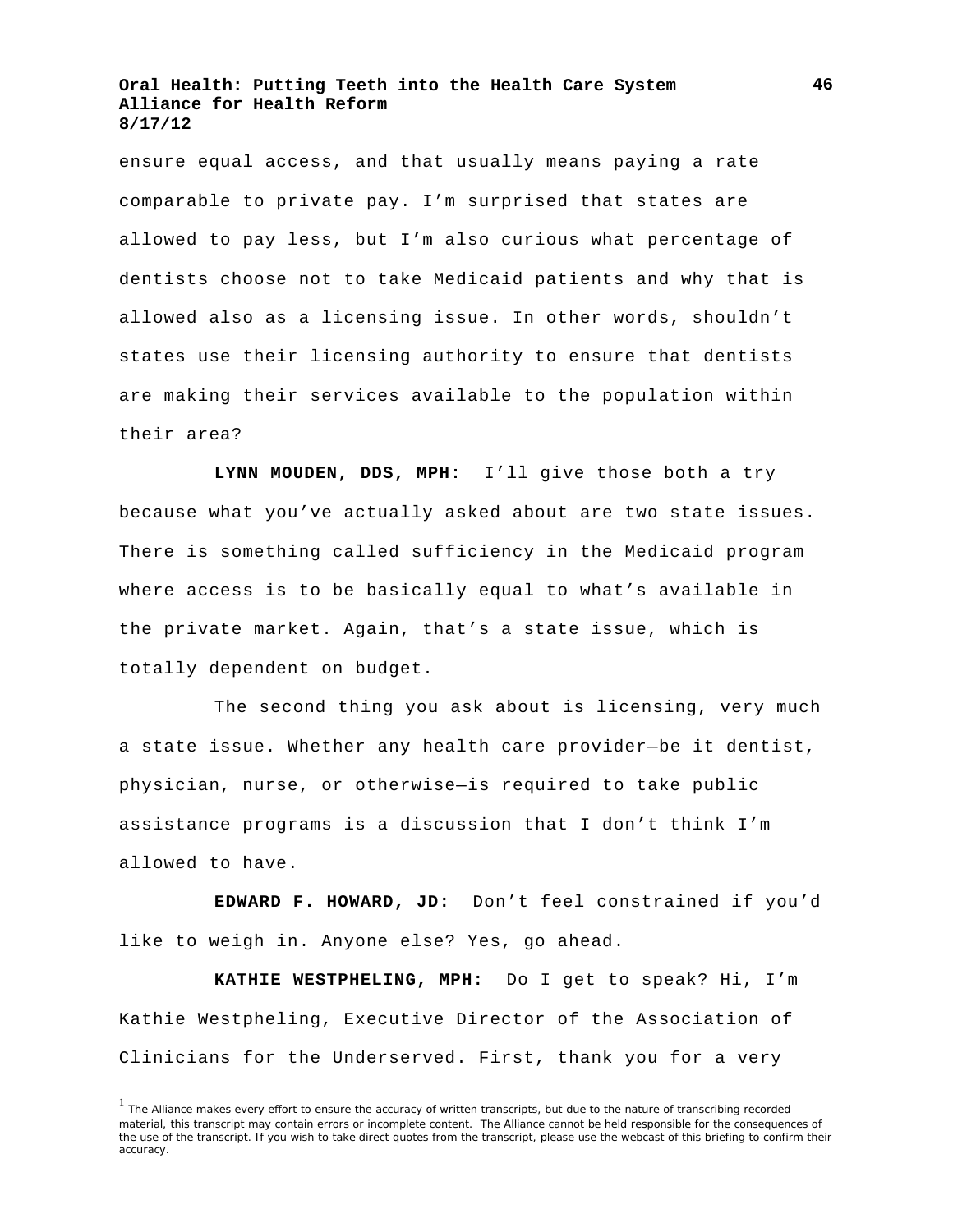ensure equal access, and that usually means paying a rate comparable to private pay. I'm surprised that states are allowed to pay less, but I'm also curious what percentage of dentists choose not to take Medicaid patients and why that is allowed also as a licensing issue. In other words, shouldn't states use their licensing authority to ensure that dentists are making their services available to the population within their area?

**LYNN MOUDEN, DDS, MPH:** I'll give those both a try because what you've actually asked about are two state issues. There is something called sufficiency in the Medicaid program where access is to be basically equal to what's available in the private market. Again, that's a state issue, which is totally dependent on budget.

The second thing you ask about is licensing, very much a state issue. Whether any health care provider—be it dentist, physician, nurse, or otherwise—is required to take public assistance programs is a discussion that I don't think I'm allowed to have.

**EDWARD F. HOWARD, JD:** Don't feel constrained if you'd like to weigh in. Anyone else? Yes, go ahead.

**KATHIE WESTPHELING, MPH:** Do I get to speak? Hi, I'm Kathie Westpheling, Executive Director of the Association of Clinicians for the Underserved. First, thank you for a very

<sup>&</sup>lt;sup>1</sup> The Alliance makes every effort to ensure the accuracy of written transcripts, but due to the nature of transcribing recorded material, this transcript may contain errors or incomplete content. The Alliance cannot be held responsible for the consequences of the use of the transcript. If you wish to take direct quotes from the transcript, please use the webcast of this briefing to confirm their accuracy.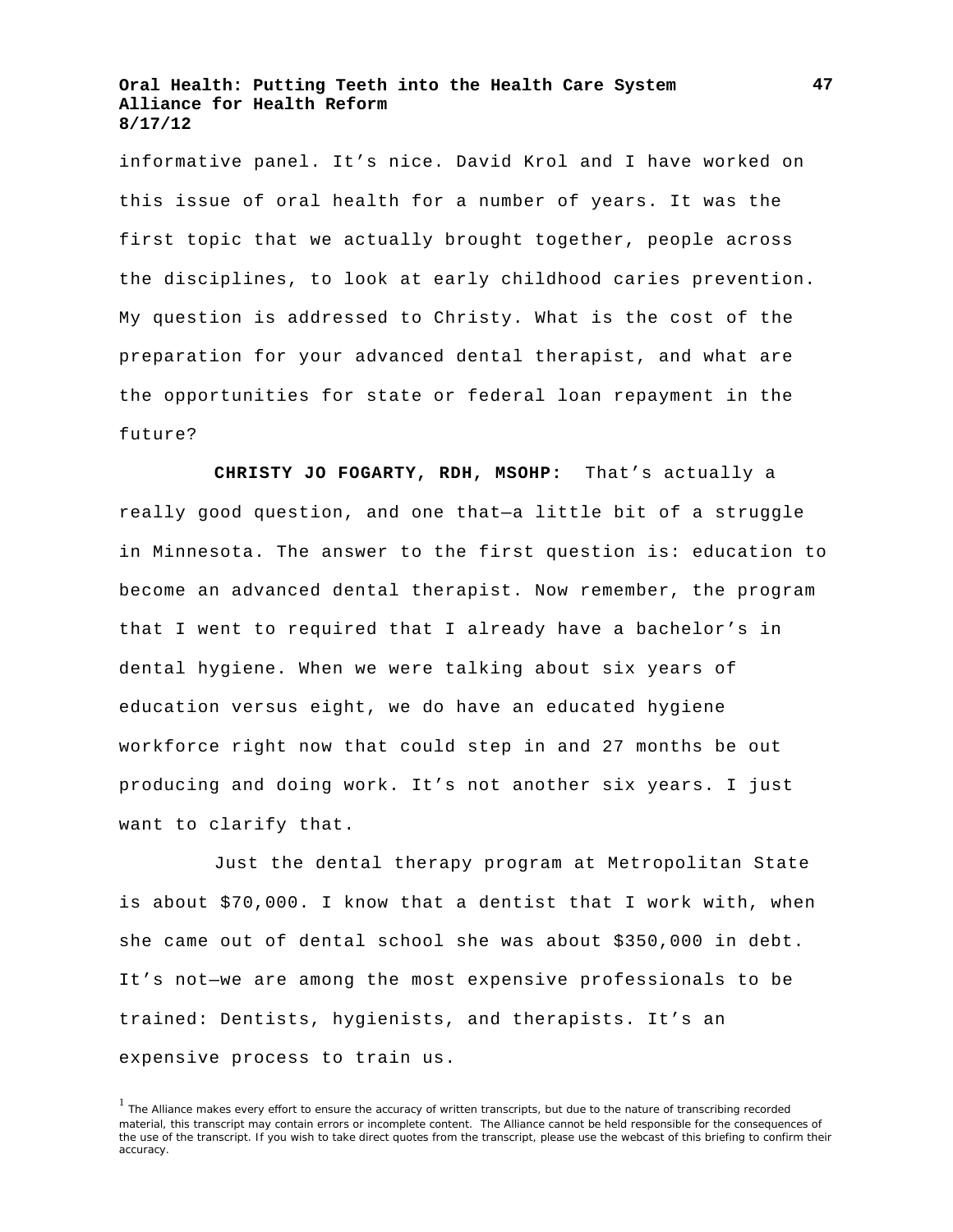informative panel. It's nice. David Krol and I have worked on this issue of oral health for a number of years. It was the first topic that we actually brought together, people across the disciplines, to look at early childhood caries prevention. My question is addressed to Christy. What is the cost of the preparation for your advanced dental therapist, and what are the opportunities for state or federal loan repayment in the future?

**CHRISTY JO FOGARTY, RDH, MSOHP:** That's actually a really good question, and one that—a little bit of a struggle in Minnesota. The answer to the first question is: education to become an advanced dental therapist. Now remember, the program that I went to required that I already have a bachelor's in dental hygiene. When we were talking about six years of education versus eight, we do have an educated hygiene workforce right now that could step in and 27 months be out producing and doing work. It's not another six years. I just want to clarify that.

Just the dental therapy program at Metropolitan State is about \$70,000. I know that a dentist that I work with, when she came out of dental school she was about \$350,000 in debt. It's not—we are among the most expensive professionals to be trained: Dentists, hygienists, and therapists. It's an expensive process to train us.

<sup>&</sup>lt;sup>1</sup> The Alliance makes every effort to ensure the accuracy of written transcripts, but due to the nature of transcribing recorded material, this transcript may contain errors or incomplete content. The Alliance cannot be held responsible for the consequences of the use of the transcript. If you wish to take direct quotes from the transcript, please use the webcast of this briefing to confirm their accuracy.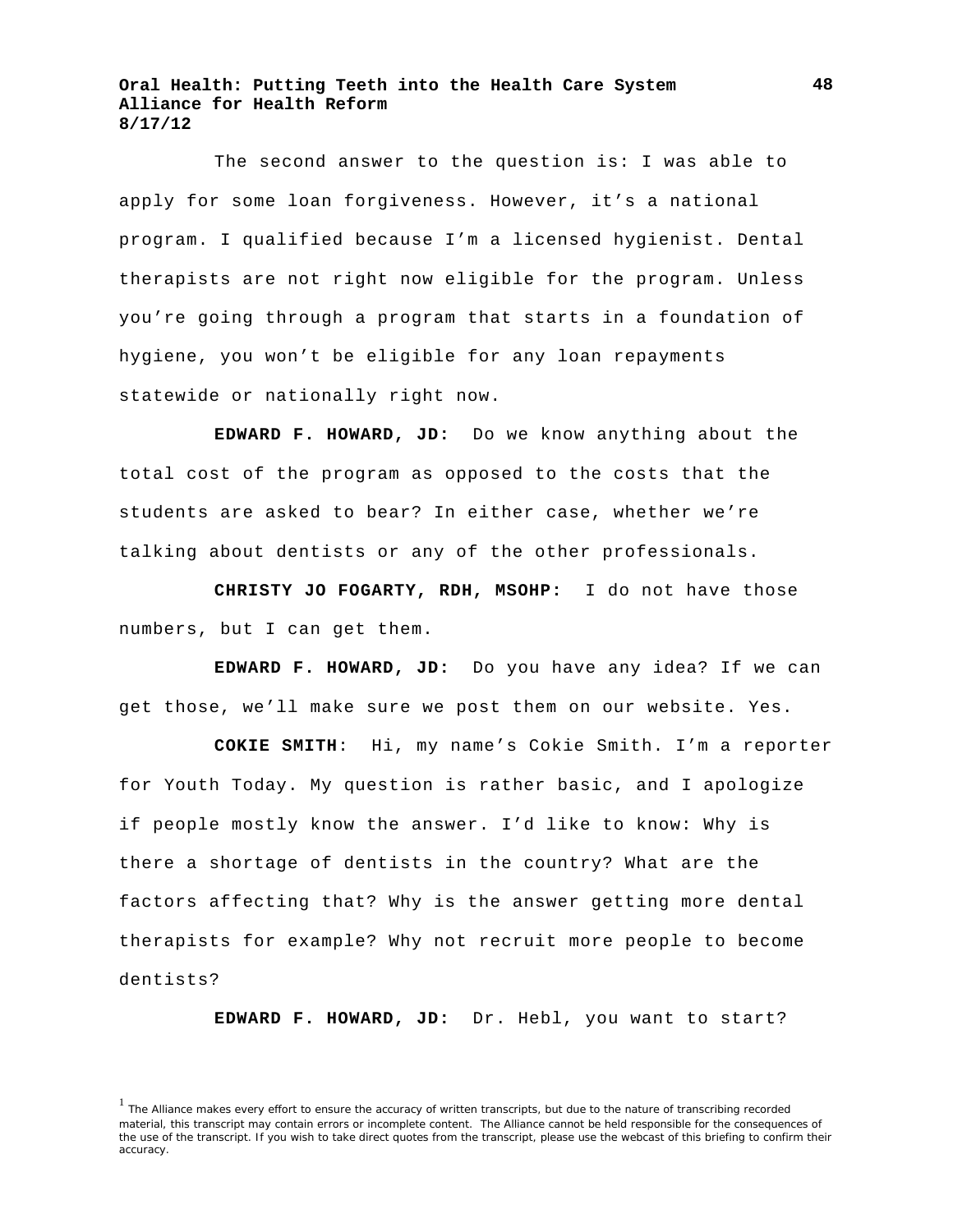The second answer to the question is: I was able to apply for some loan forgiveness. However, it's a national program. I qualified because I'm a licensed hygienist. Dental therapists are not right now eligible for the program. Unless you're going through a program that starts in a foundation of hygiene, you won't be eligible for any loan repayments statewide or nationally right now.

**EDWARD F. HOWARD, JD:** Do we know anything about the total cost of the program as opposed to the costs that the students are asked to bear? In either case, whether we're talking about dentists or any of the other professionals.

**CHRISTY JO FOGARTY, RDH, MSOHP:** I do not have those numbers, but I can get them.

**EDWARD F. HOWARD, JD:** Do you have any idea? If we can get those, we'll make sure we post them on our website. Yes.

**COKIE SMITH**: Hi, my name's Cokie Smith. I'm a reporter for Youth Today. My question is rather basic, and I apologize if people mostly know the answer. I'd like to know: Why is there a shortage of dentists in the country? What are the factors affecting that? Why is the answer getting more dental therapists for example? Why not recruit more people to become dentists?

**EDWARD F. HOWARD, JD:** Dr. Hebl, you want to start?

<sup>&</sup>lt;sup>1</sup> The Alliance makes every effort to ensure the accuracy of written transcripts, but due to the nature of transcribing recorded material, this transcript may contain errors or incomplete content. The Alliance cannot be held responsible for the consequences of the use of the transcript. If you wish to take direct quotes from the transcript, please use the webcast of this briefing to confirm their accuracy.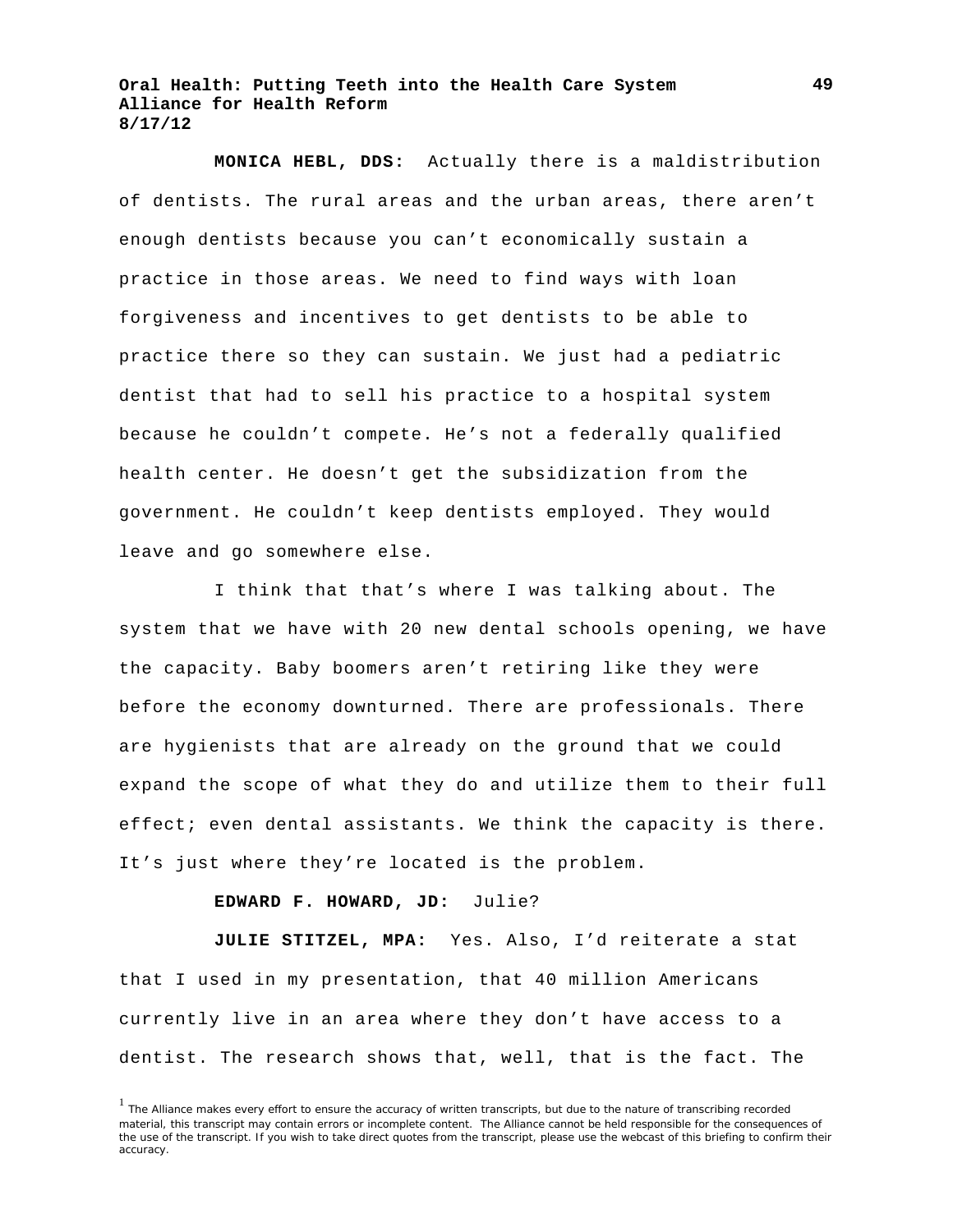**MONICA HEBL, DDS:** Actually there is a maldistribution of dentists. The rural areas and the urban areas, there aren't enough dentists because you can't economically sustain a practice in those areas. We need to find ways with loan forgiveness and incentives to get dentists to be able to practice there so they can sustain. We just had a pediatric dentist that had to sell his practice to a hospital system because he couldn't compete. He's not a federally qualified health center. He doesn't get the subsidization from the government. He couldn't keep dentists employed. They would leave and go somewhere else.

I think that that's where I was talking about. The system that we have with 20 new dental schools opening, we have the capacity. Baby boomers aren't retiring like they were before the economy downturned. There are professionals. There are hygienists that are already on the ground that we could expand the scope of what they do and utilize them to their full effect; even dental assistants. We think the capacity is there. It's just where they're located is the problem.

#### **EDWARD F. HOWARD, JD:** Julie?

**JULIE STITZEL, MPA:** Yes. Also, I'd reiterate a stat that I used in my presentation, that 40 million Americans currently live in an area where they don't have access to a dentist. The research shows that, well, that is the fact. The

<sup>&</sup>lt;sup>1</sup> The Alliance makes every effort to ensure the accuracy of written transcripts, but due to the nature of transcribing recorded material, this transcript may contain errors or incomplete content. The Alliance cannot be held responsible for the consequences of the use of the transcript. If you wish to take direct quotes from the transcript, please use the webcast of this briefing to confirm their accuracy.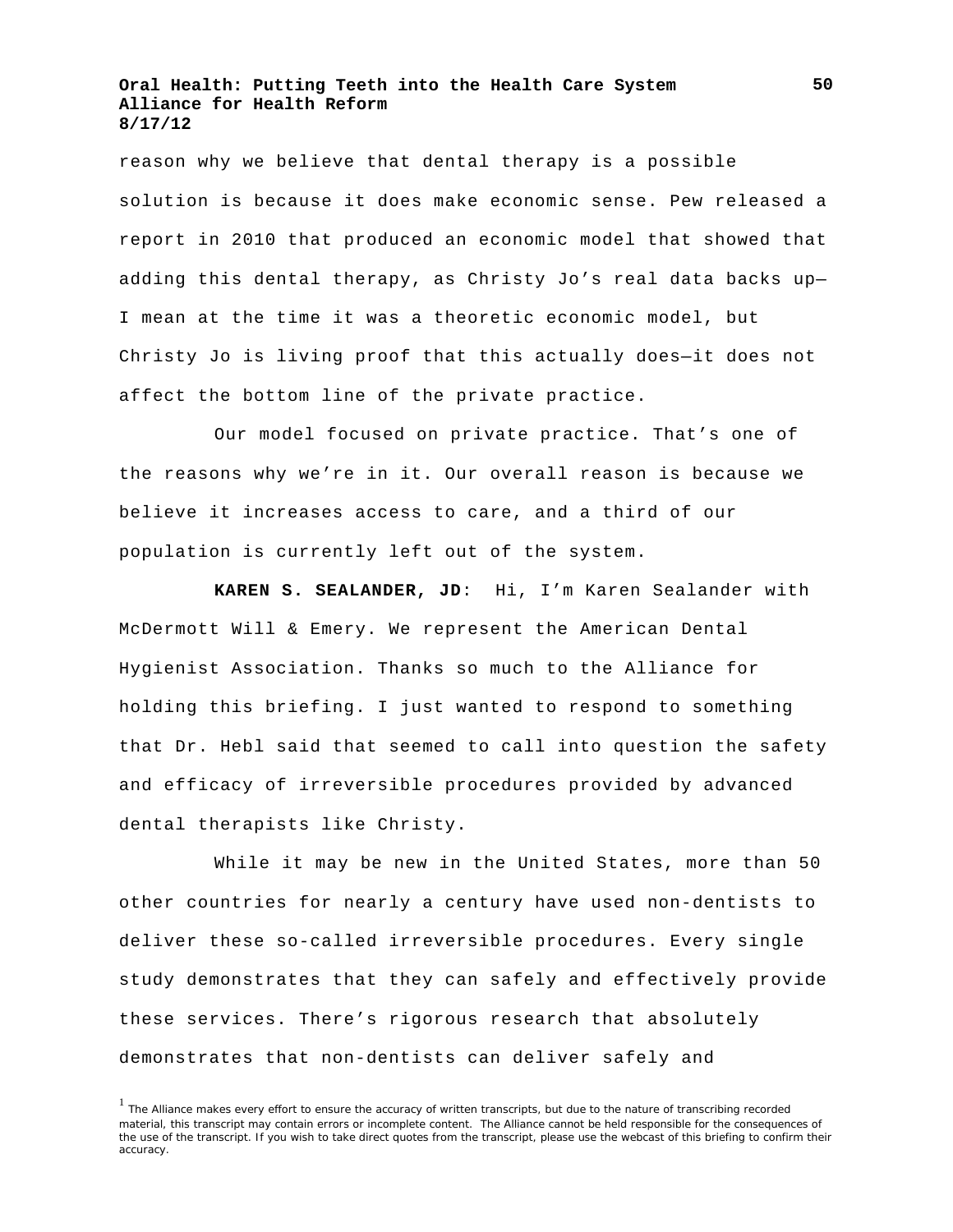reason why we believe that dental therapy is a possible solution is because it does make economic sense. Pew released a report in 2010 that produced an economic model that showed that adding this dental therapy, as Christy Jo's real data backs up— I mean at the time it was a theoretic economic model, but Christy Jo is living proof that this actually does—it does not affect the bottom line of the private practice.

Our model focused on private practice. That's one of the reasons why we're in it. Our overall reason is because we believe it increases access to care, and a third of our population is currently left out of the system.

**KAREN S. SEALANDER, JD**: Hi, I'm Karen Sealander with McDermott Will & Emery. We represent the American Dental Hygienist Association. Thanks so much to the Alliance for holding this briefing. I just wanted to respond to something that Dr. Hebl said that seemed to call into question the safety and efficacy of irreversible procedures provided by advanced dental therapists like Christy.

While it may be new in the United States, more than 50 other countries for nearly a century have used non-dentists to deliver these so-called irreversible procedures. Every single study demonstrates that they can safely and effectively provide these services. There's rigorous research that absolutely demonstrates that non-dentists can deliver safely and

<sup>&</sup>lt;sup>1</sup> The Alliance makes every effort to ensure the accuracy of written transcripts, but due to the nature of transcribing recorded material, this transcript may contain errors or incomplete content. The Alliance cannot be held responsible for the consequences of the use of the transcript. If you wish to take direct quotes from the transcript, please use the webcast of this briefing to confirm their accuracy.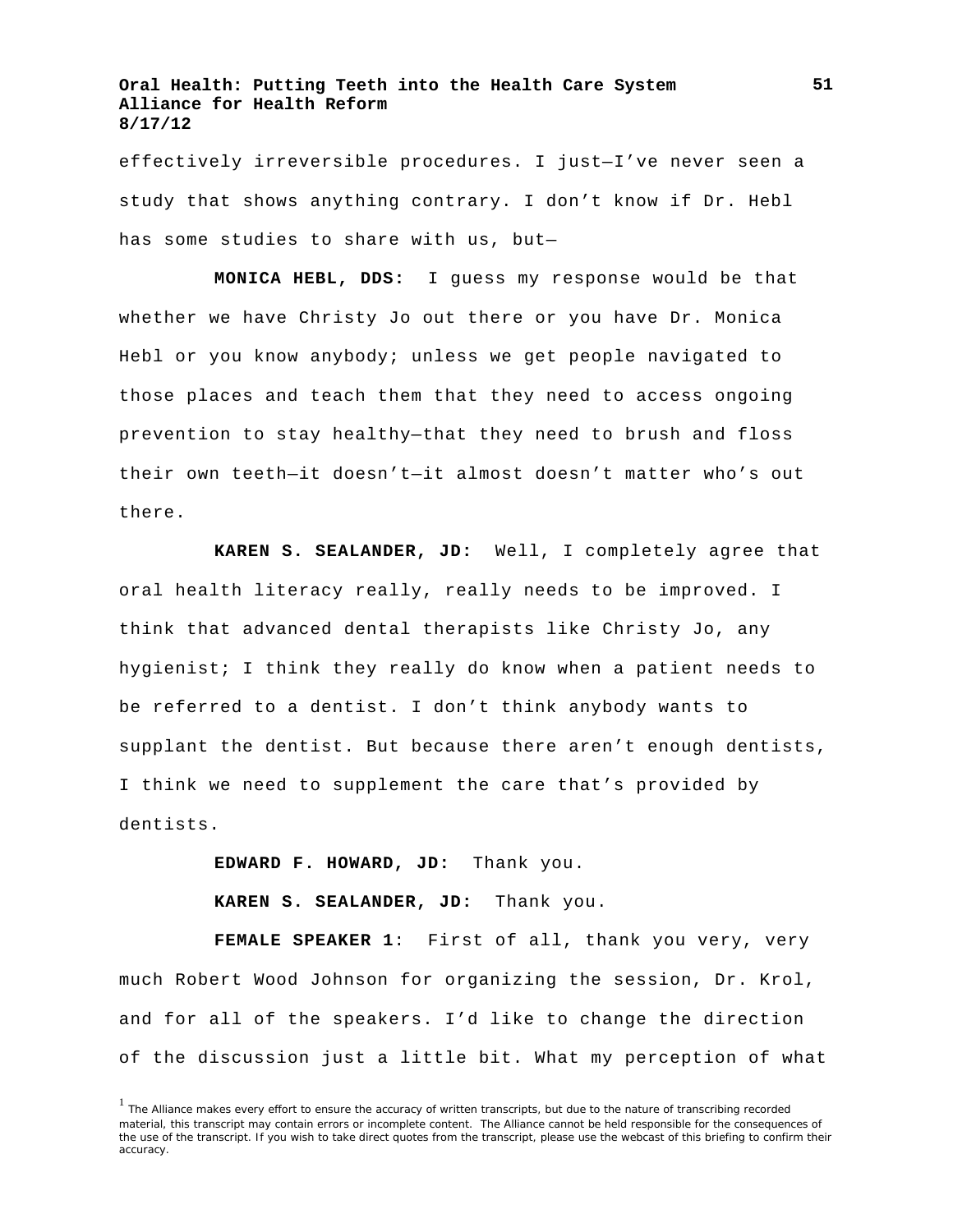effectively irreversible procedures. I just—I've never seen a study that shows anything contrary. I don't know if Dr. Hebl has some studies to share with us, but—

**MONICA HEBL, DDS:** I guess my response would be that whether we have Christy Jo out there or you have Dr. Monica Hebl or you know anybody; unless we get people navigated to those places and teach them that they need to access ongoing prevention to stay healthy—that they need to brush and floss their own teeth—it doesn't—it almost doesn't matter who's out there.

**KAREN S. SEALANDER, JD:** Well, I completely agree that oral health literacy really, really needs to be improved. I think that advanced dental therapists like Christy Jo, any hygienist; I think they really do know when a patient needs to be referred to a dentist. I don't think anybody wants to supplant the dentist. But because there aren't enough dentists, I think we need to supplement the care that's provided by dentists.

**EDWARD F. HOWARD, JD:** Thank you.

**KAREN S. SEALANDER, JD:** Thank you.

**FEMALE SPEAKER 1**: First of all, thank you very, very much Robert Wood Johnson for organizing the session, Dr. Krol, and for all of the speakers. I'd like to change the direction of the discussion just a little bit. What my perception of what

<sup>&</sup>lt;sup>1</sup> The Alliance makes every effort to ensure the accuracy of written transcripts, but due to the nature of transcribing recorded material, this transcript may contain errors or incomplete content. The Alliance cannot be held responsible for the consequences of the use of the transcript. If you wish to take direct quotes from the transcript, please use the webcast of this briefing to confirm their accuracy.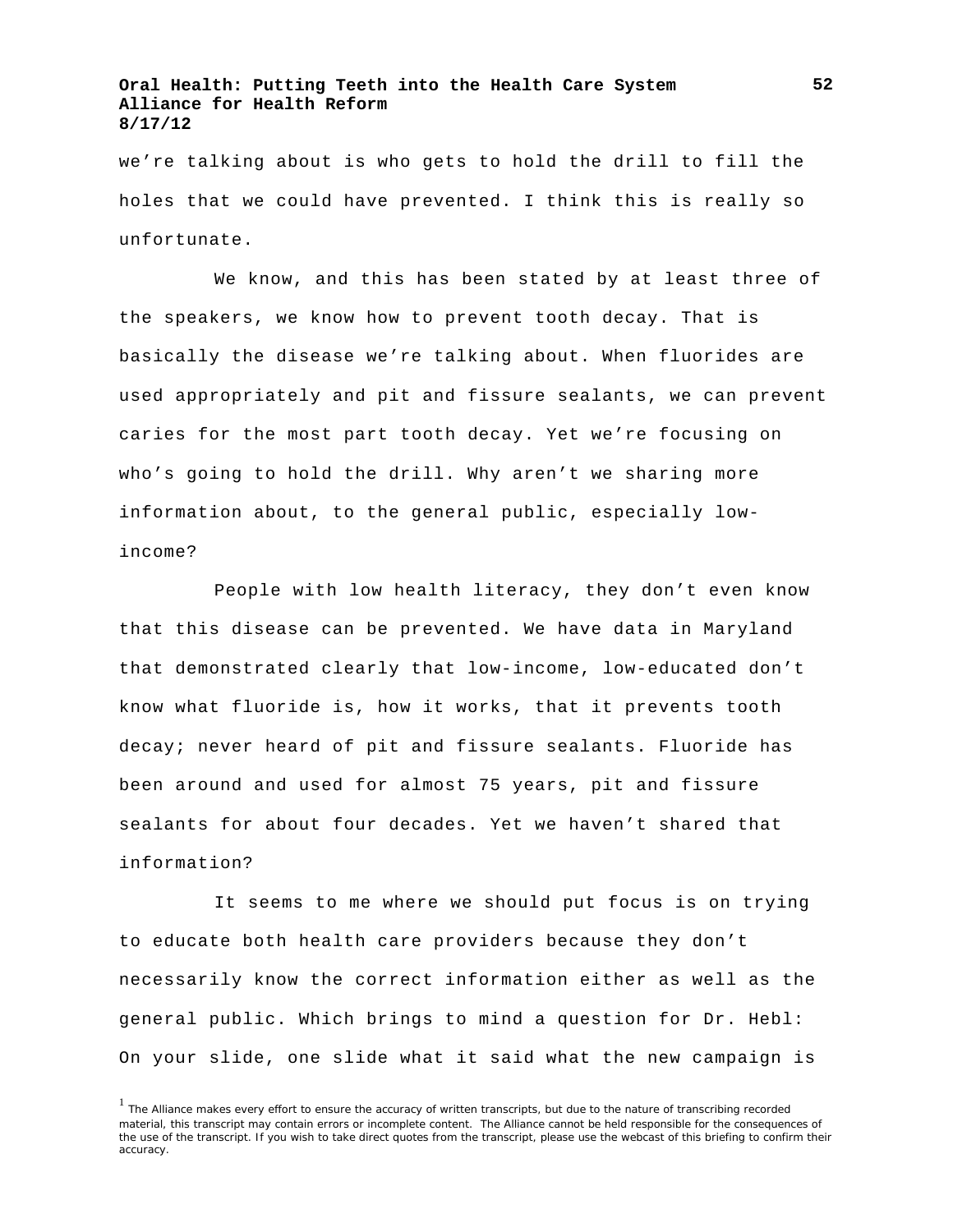we're talking about is who gets to hold the drill to fill the holes that we could have prevented. I think this is really so unfortunate.

We know, and this has been stated by at least three of the speakers, we know how to prevent tooth decay. That is basically the disease we're talking about. When fluorides are used appropriately and pit and fissure sealants, we can prevent caries for the most part tooth decay. Yet we're focusing on who's going to hold the drill. Why aren't we sharing more information about, to the general public, especially lowincome?

People with low health literacy, they don't even know that this disease can be prevented. We have data in Maryland that demonstrated clearly that low-income, low-educated don't know what fluoride is, how it works, that it prevents tooth decay; never heard of pit and fissure sealants. Fluoride has been around and used for almost 75 years, pit and fissure sealants for about four decades. Yet we haven't shared that information?

It seems to me where we should put focus is on trying to educate both health care providers because they don't necessarily know the correct information either as well as the general public. Which brings to mind a question for Dr. Hebl: On your slide, one slide what it said what the new campaign is

<sup>&</sup>lt;sup>1</sup> The Alliance makes every effort to ensure the accuracy of written transcripts, but due to the nature of transcribing recorded material, this transcript may contain errors or incomplete content. The Alliance cannot be held responsible for the consequences of the use of the transcript. If you wish to take direct quotes from the transcript, please use the webcast of this briefing to confirm their accuracy.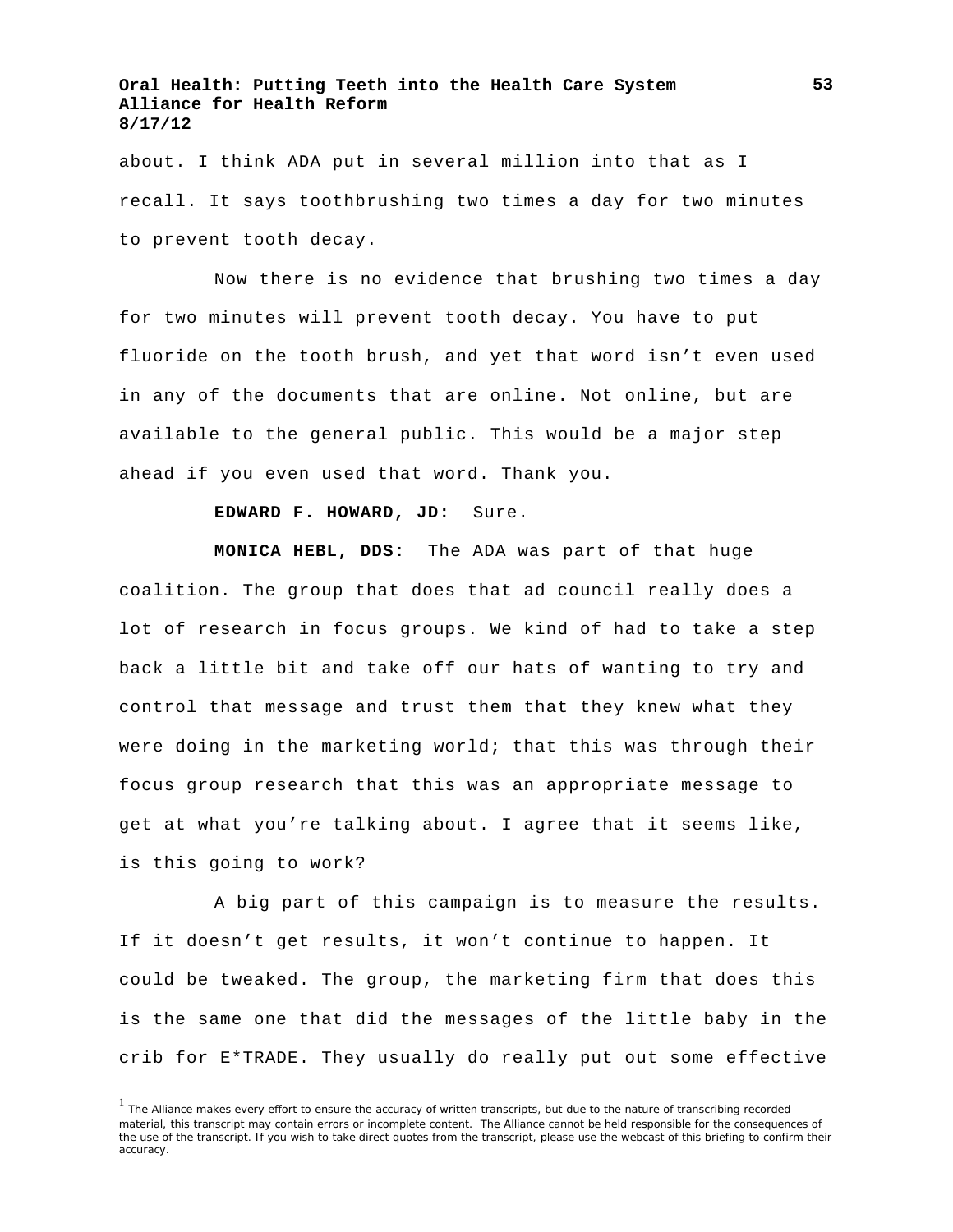about. I think ADA put in several million into that as I recall. It says toothbrushing two times a day for two minutes to prevent tooth decay.

Now there is no evidence that brushing two times a day for two minutes will prevent tooth decay. You have to put fluoride on the tooth brush, and yet that word isn't even used in any of the documents that are online. Not online, but are available to the general public. This would be a major step ahead if you even used that word. Thank you.

#### **EDWARD F. HOWARD, JD:** Sure.

**MONICA HEBL, DDS:** The ADA was part of that huge coalition. The group that does that ad council really does a lot of research in focus groups. We kind of had to take a step back a little bit and take off our hats of wanting to try and control that message and trust them that they knew what they were doing in the marketing world; that this was through their focus group research that this was an appropriate message to get at what you're talking about. I agree that it seems like, is this going to work?

A big part of this campaign is to measure the results. If it doesn't get results, it won't continue to happen. It could be tweaked. The group, the marketing firm that does this is the same one that did the messages of the little baby in the crib for E\*TRADE. They usually do really put out some effective

<sup>&</sup>lt;sup>1</sup> The Alliance makes every effort to ensure the accuracy of written transcripts, but due to the nature of transcribing recorded material, this transcript may contain errors or incomplete content. The Alliance cannot be held responsible for the consequences of the use of the transcript. If you wish to take direct quotes from the transcript, please use the webcast of this briefing to confirm their accuracy.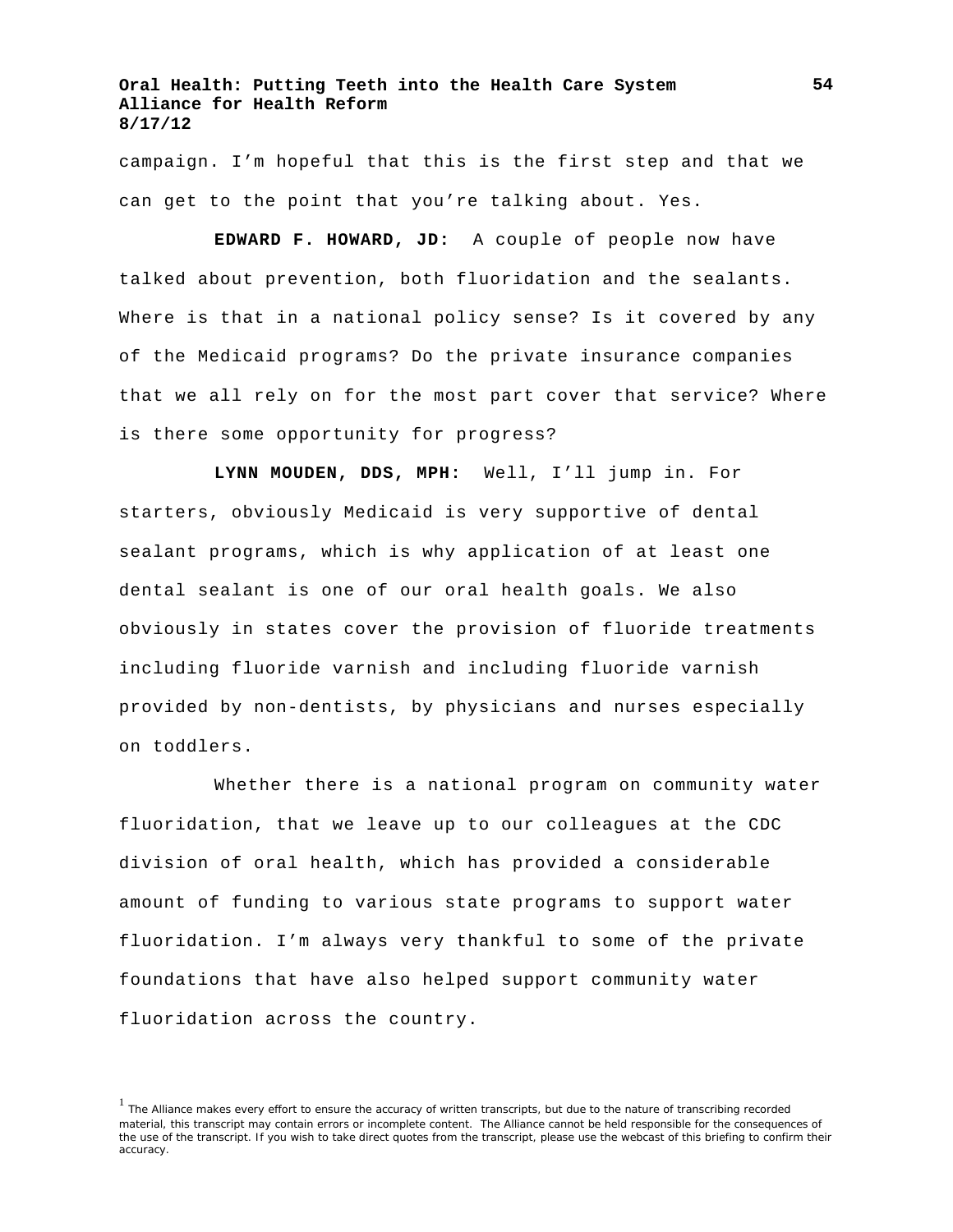campaign. I'm hopeful that this is the first step and that we can get to the point that you're talking about. Yes.

**EDWARD F. HOWARD, JD:** A couple of people now have talked about prevention, both fluoridation and the sealants. Where is that in a national policy sense? Is it covered by any of the Medicaid programs? Do the private insurance companies that we all rely on for the most part cover that service? Where is there some opportunity for progress?

**LYNN MOUDEN, DDS, MPH:** Well, I'll jump in. For starters, obviously Medicaid is very supportive of dental sealant programs, which is why application of at least one dental sealant is one of our oral health goals. We also obviously in states cover the provision of fluoride treatments including fluoride varnish and including fluoride varnish provided by non-dentists, by physicians and nurses especially on toddlers.

Whether there is a national program on community water fluoridation, that we leave up to our colleagues at the CDC division of oral health, which has provided a considerable amount of funding to various state programs to support water fluoridation. I'm always very thankful to some of the private foundations that have also helped support community water fluoridation across the country.

<sup>&</sup>lt;sup>1</sup> The Alliance makes every effort to ensure the accuracy of written transcripts, but due to the nature of transcribing recorded material, this transcript may contain errors or incomplete content. The Alliance cannot be held responsible for the consequences of the use of the transcript. If you wish to take direct quotes from the transcript, please use the webcast of this briefing to confirm their accuracy.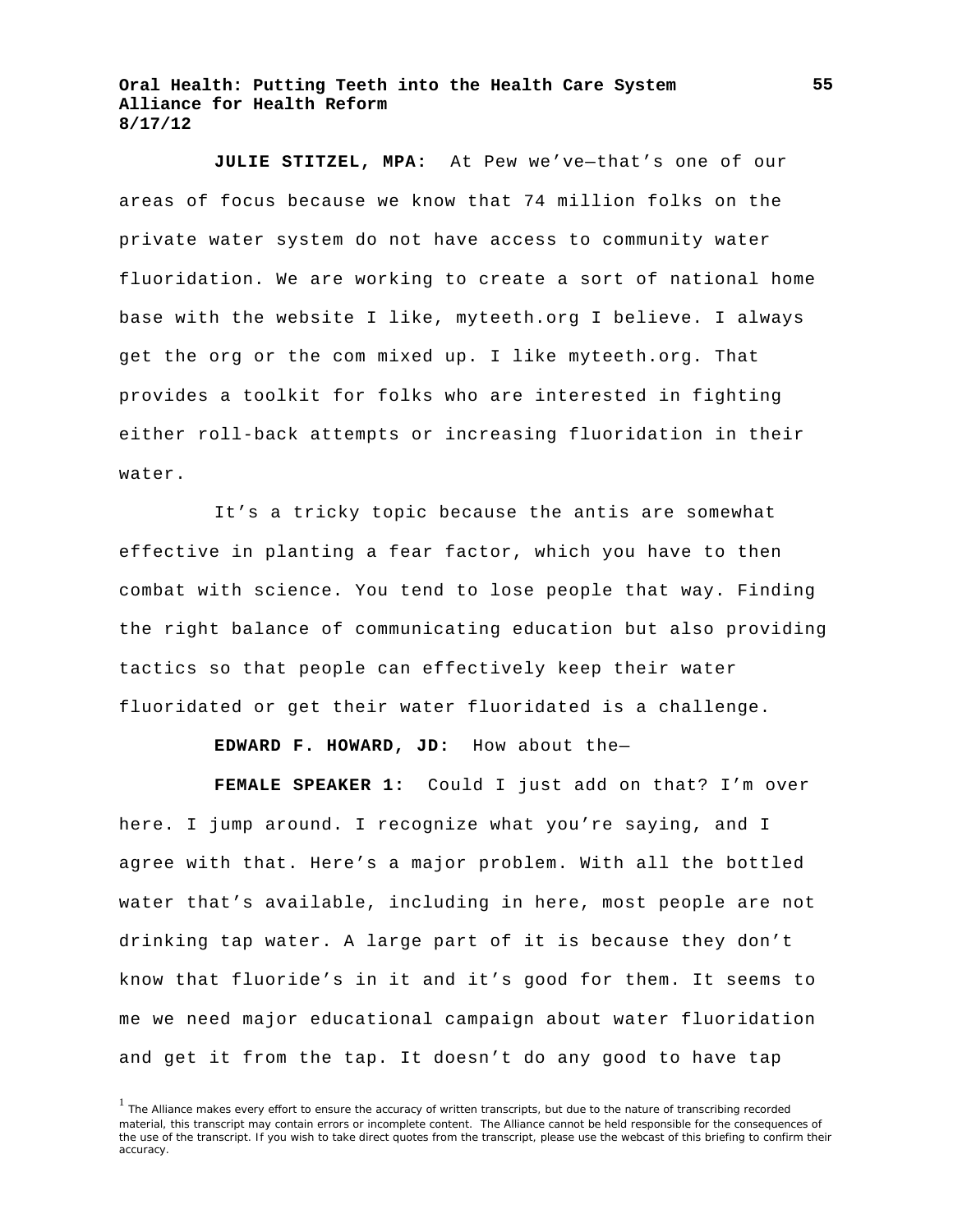**JULIE STITZEL, MPA:** At Pew we've—that's one of our areas of focus because we know that 74 million folks on the private water system do not have access to community water fluoridation. We are working to create a sort of national home base with the website I like, myteeth.org I believe. I always get the org or the com mixed up. I like myteeth.org. That provides a toolkit for folks who are interested in fighting either roll-back attempts or increasing fluoridation in their water.

It's a tricky topic because the antis are somewhat effective in planting a fear factor, which you have to then combat with science. You tend to lose people that way. Finding the right balance of communicating education but also providing tactics so that people can effectively keep their water fluoridated or get their water fluoridated is a challenge.

**EDWARD F. HOWARD, JD:** How about the—

**FEMALE SPEAKER 1:** Could I just add on that? I'm over here. I jump around. I recognize what you're saying, and I agree with that. Here's a major problem. With all the bottled water that's available, including in here, most people are not drinking tap water. A large part of it is because they don't know that fluoride's in it and it's good for them. It seems to me we need major educational campaign about water fluoridation and get it from the tap. It doesn't do any good to have tap

<sup>&</sup>lt;sup>1</sup> The Alliance makes every effort to ensure the accuracy of written transcripts, but due to the nature of transcribing recorded material, this transcript may contain errors or incomplete content. The Alliance cannot be held responsible for the consequences of the use of the transcript. If you wish to take direct quotes from the transcript, please use the webcast of this briefing to confirm their accuracy.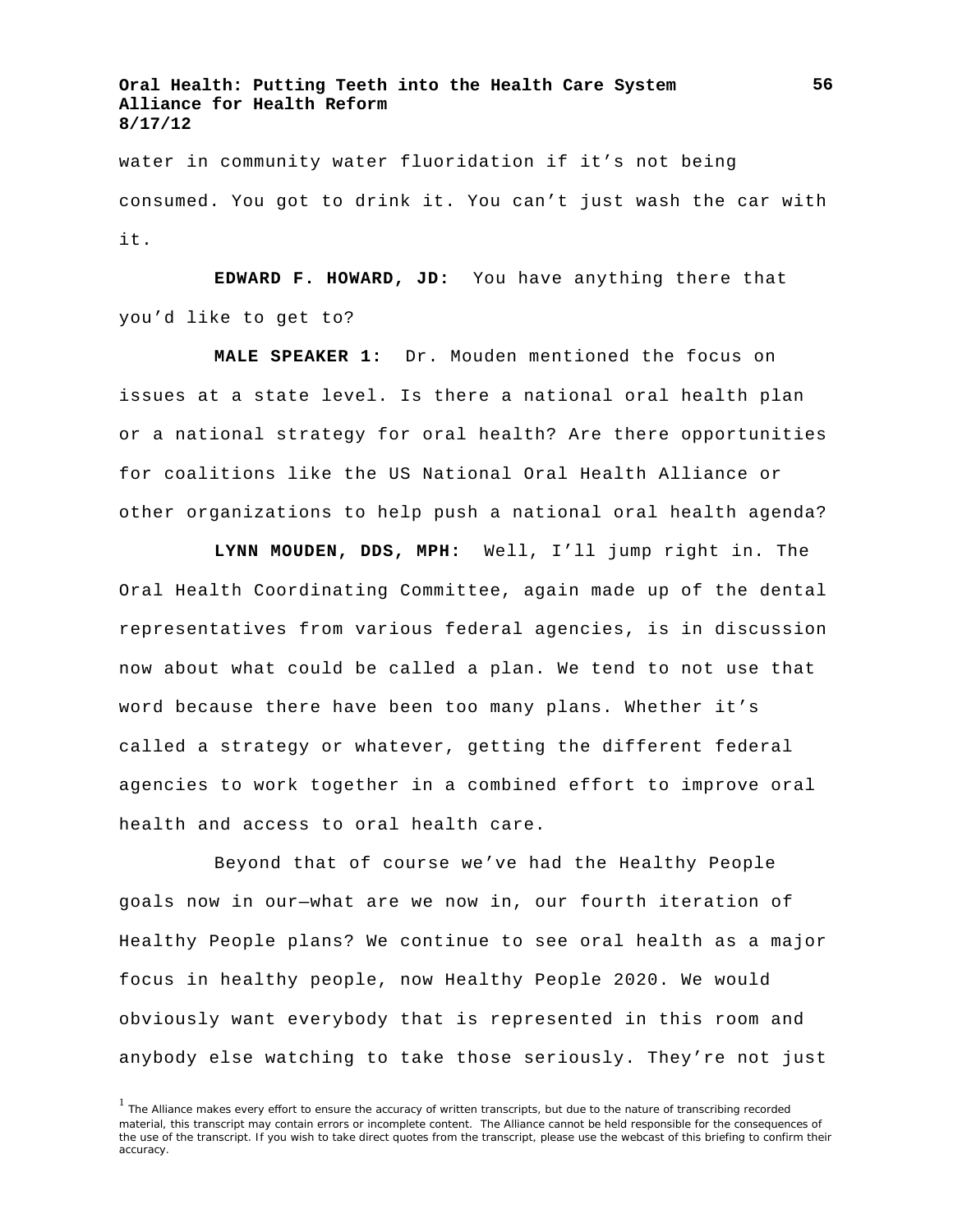water in community water fluoridation if it's not being consumed. You got to drink it. You can't just wash the car with it.

**EDWARD F. HOWARD, JD:** You have anything there that you'd like to get to?

**MALE SPEAKER 1:** Dr. Mouden mentioned the focus on issues at a state level. Is there a national oral health plan or a national strategy for oral health? Are there opportunities for coalitions like the US National Oral Health Alliance or other organizations to help push a national oral health agenda?

**LYNN MOUDEN, DDS, MPH:** Well, I'll jump right in. The Oral Health Coordinating Committee, again made up of the dental representatives from various federal agencies, is in discussion now about what could be called a plan. We tend to not use that word because there have been too many plans. Whether it's called a strategy or whatever, getting the different federal agencies to work together in a combined effort to improve oral health and access to oral health care.

Beyond that of course we've had the Healthy People goals now in our—what are we now in, our fourth iteration of Healthy People plans? We continue to see oral health as a major focus in healthy people, now Healthy People 2020. We would obviously want everybody that is represented in this room and anybody else watching to take those seriously. They're not just

<sup>&</sup>lt;sup>1</sup> The Alliance makes every effort to ensure the accuracy of written transcripts, but due to the nature of transcribing recorded material, this transcript may contain errors or incomplete content. The Alliance cannot be held responsible for the consequences of the use of the transcript. If you wish to take direct quotes from the transcript, please use the webcast of this briefing to confirm their accuracy.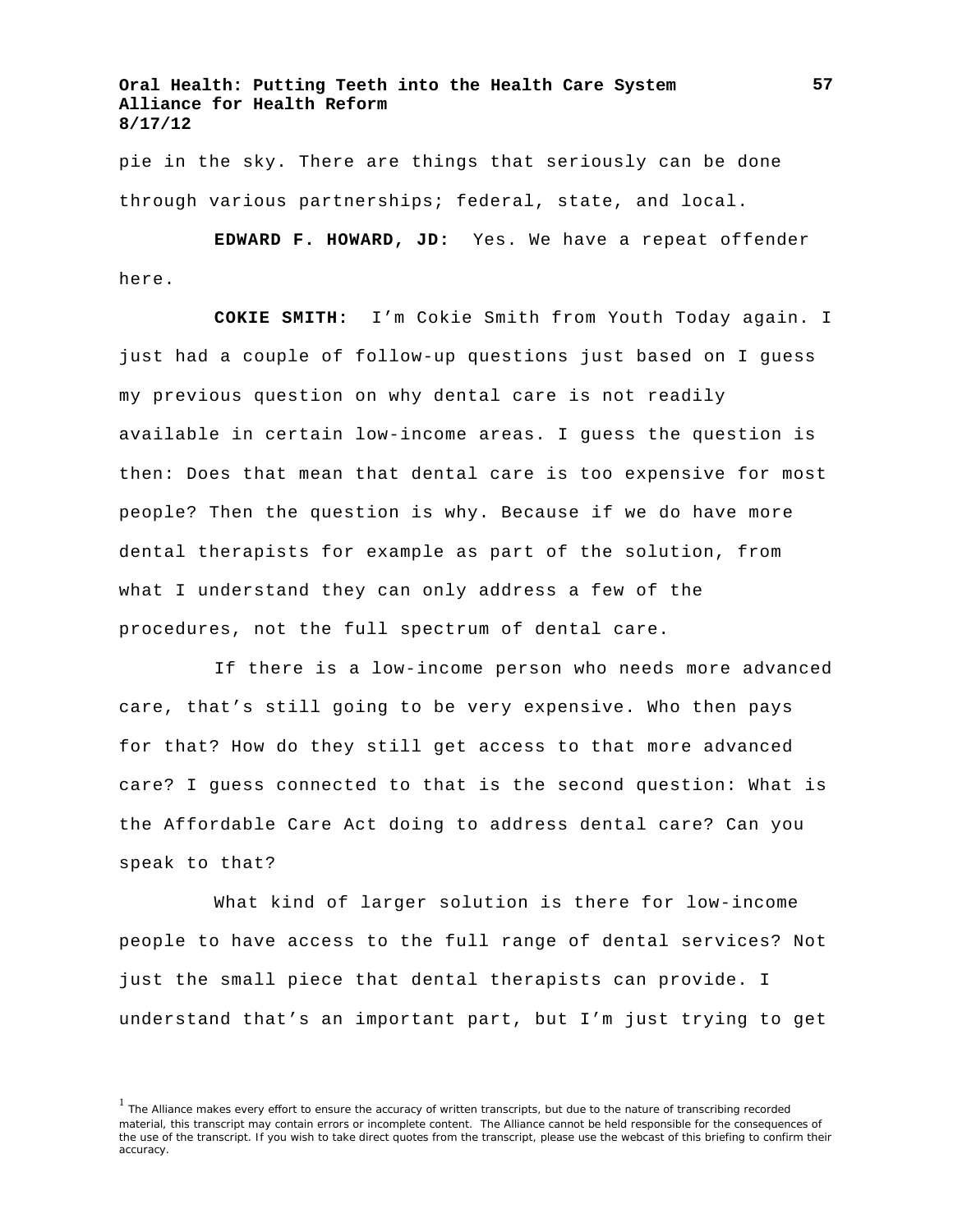pie in the sky. There are things that seriously can be done through various partnerships; federal, state, and local.

**EDWARD F. HOWARD, JD:** Yes. We have a repeat offender here.

**COKIE SMITH:** I'm Cokie Smith from Youth Today again. I just had a couple of follow-up questions just based on I guess my previous question on why dental care is not readily available in certain low-income areas. I guess the question is then: Does that mean that dental care is too expensive for most people? Then the question is why. Because if we do have more dental therapists for example as part of the solution, from what I understand they can only address a few of the procedures, not the full spectrum of dental care.

If there is a low-income person who needs more advanced care, that's still going to be very expensive. Who then pays for that? How do they still get access to that more advanced care? I guess connected to that is the second question: What is the Affordable Care Act doing to address dental care? Can you speak to that?

What kind of larger solution is there for low-income people to have access to the full range of dental services? Not just the small piece that dental therapists can provide. I understand that's an important part, but I'm just trying to get

<sup>&</sup>lt;sup>1</sup> The Alliance makes every effort to ensure the accuracy of written transcripts, but due to the nature of transcribing recorded material, this transcript may contain errors or incomplete content. The Alliance cannot be held responsible for the consequences of the use of the transcript. If you wish to take direct quotes from the transcript, please use the webcast of this briefing to confirm their accuracy.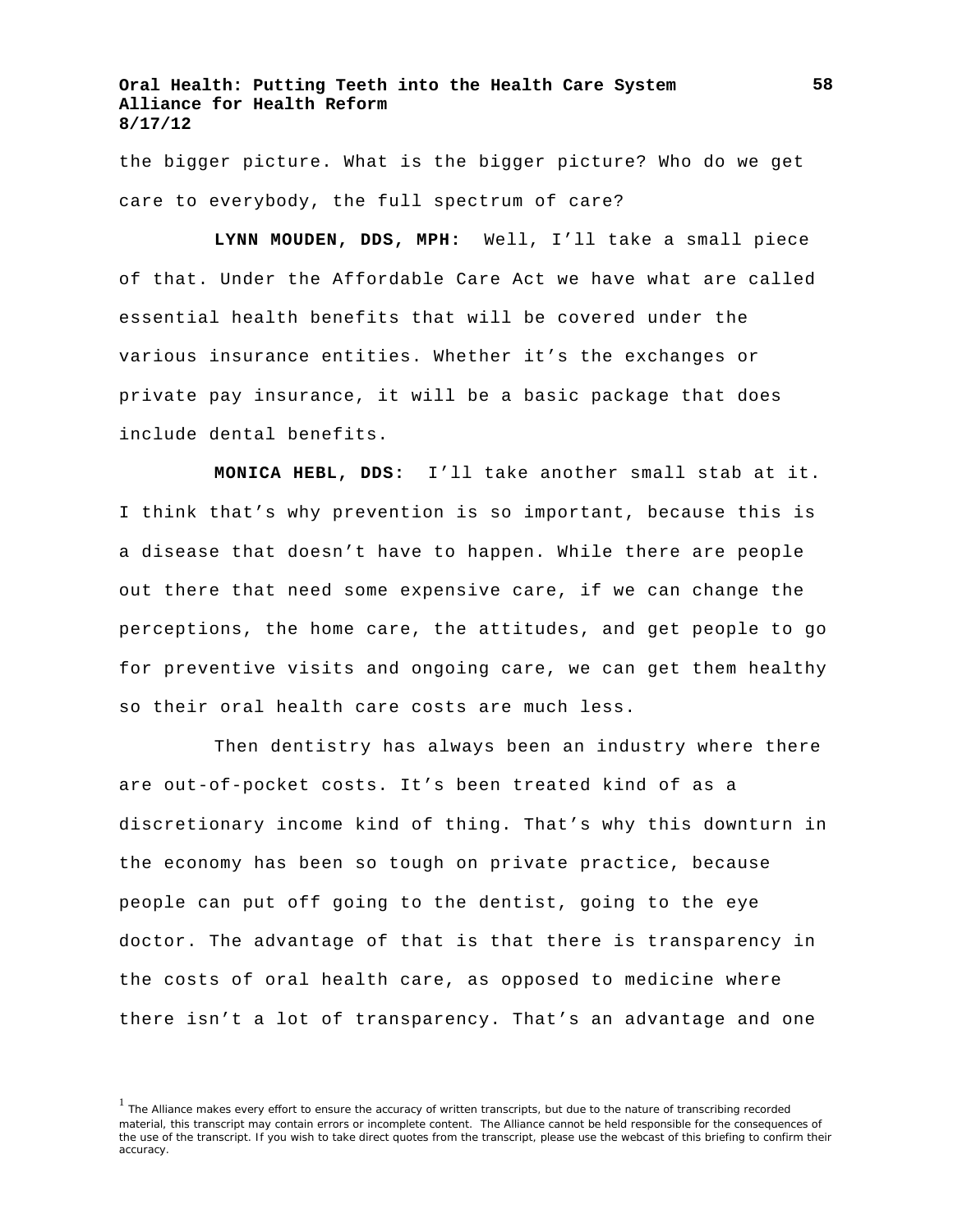the bigger picture. What is the bigger picture? Who do we get care to everybody, the full spectrum of care?

**LYNN MOUDEN, DDS, MPH:** Well, I'll take a small piece of that. Under the Affordable Care Act we have what are called essential health benefits that will be covered under the various insurance entities. Whether it's the exchanges or private pay insurance, it will be a basic package that does include dental benefits.

**MONICA HEBL, DDS:** I'll take another small stab at it. I think that's why prevention is so important, because this is a disease that doesn't have to happen. While there are people out there that need some expensive care, if we can change the perceptions, the home care, the attitudes, and get people to go for preventive visits and ongoing care, we can get them healthy so their oral health care costs are much less.

Then dentistry has always been an industry where there are out-of-pocket costs. It's been treated kind of as a discretionary income kind of thing. That's why this downturn in the economy has been so tough on private practice, because people can put off going to the dentist, going to the eye doctor. The advantage of that is that there is transparency in the costs of oral health care, as opposed to medicine where there isn't a lot of transparency. That's an advantage and one

<sup>&</sup>lt;sup>1</sup> The Alliance makes every effort to ensure the accuracy of written transcripts, but due to the nature of transcribing recorded material, this transcript may contain errors or incomplete content. The Alliance cannot be held responsible for the consequences of the use of the transcript. If you wish to take direct quotes from the transcript, please use the webcast of this briefing to confirm their accuracy.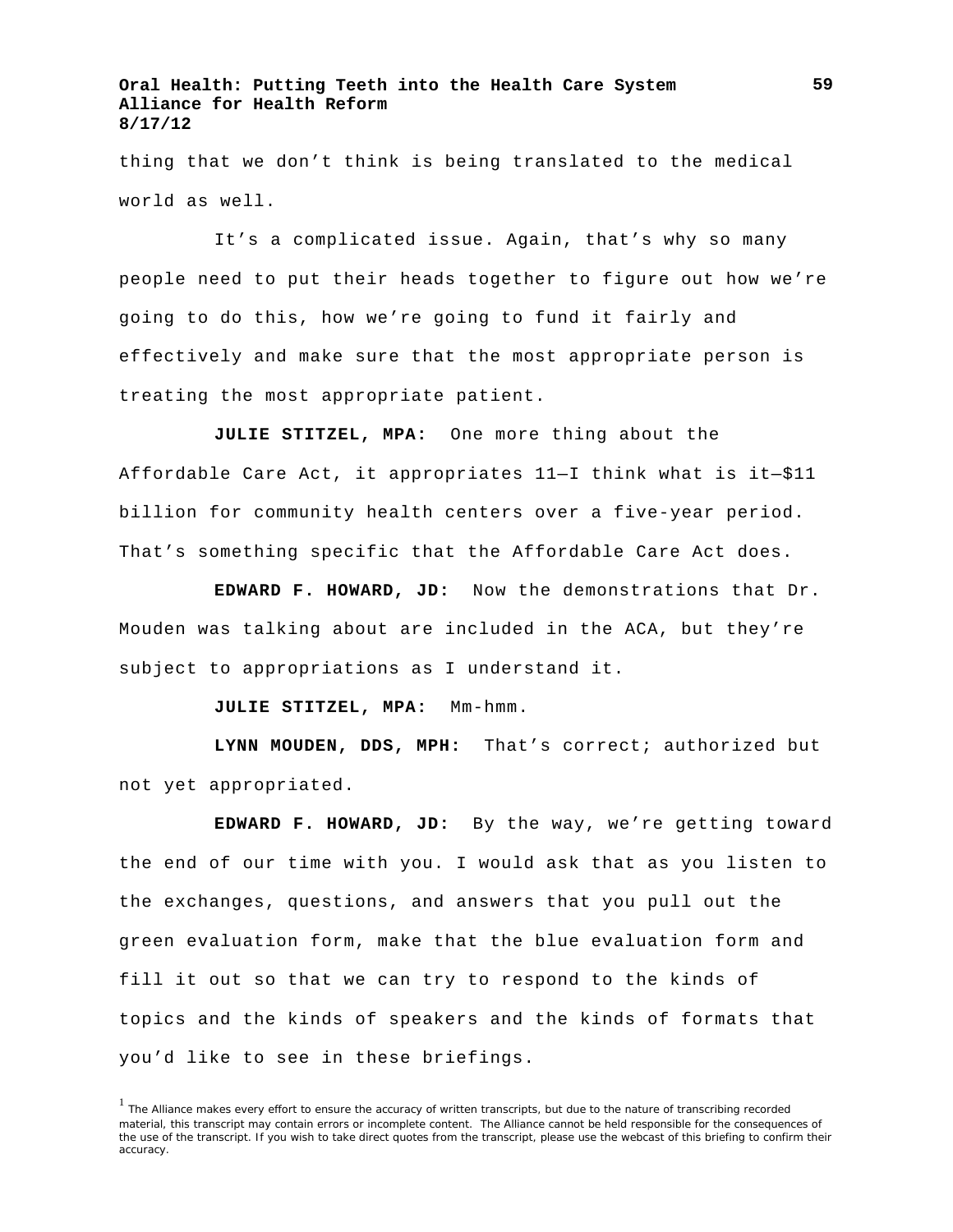thing that we don't think is being translated to the medical world as well.

It's a complicated issue. Again, that's why so many people need to put their heads together to figure out how we're going to do this, how we're going to fund it fairly and effectively and make sure that the most appropriate person is treating the most appropriate patient.

**JULIE STITZEL, MPA:** One more thing about the Affordable Care Act, it appropriates 11—I think what is it—\$11 billion for community health centers over a five-year period. That's something specific that the Affordable Care Act does.

**EDWARD F. HOWARD, JD:** Now the demonstrations that Dr. Mouden was talking about are included in the ACA, but they're subject to appropriations as I understand it.

**JULIE STITZEL, MPA:** Mm-hmm.

**LYNN MOUDEN, DDS, MPH:** That's correct; authorized but not yet appropriated.

**EDWARD F. HOWARD, JD:** By the way, we're getting toward the end of our time with you. I would ask that as you listen to the exchanges, questions, and answers that you pull out the green evaluation form, make that the blue evaluation form and fill it out so that we can try to respond to the kinds of topics and the kinds of speakers and the kinds of formats that you'd like to see in these briefings.

<sup>&</sup>lt;sup>1</sup> The Alliance makes every effort to ensure the accuracy of written transcripts, but due to the nature of transcribing recorded material, this transcript may contain errors or incomplete content. The Alliance cannot be held responsible for the consequences of the use of the transcript. If you wish to take direct quotes from the transcript, please use the webcast of this briefing to confirm their accuracy.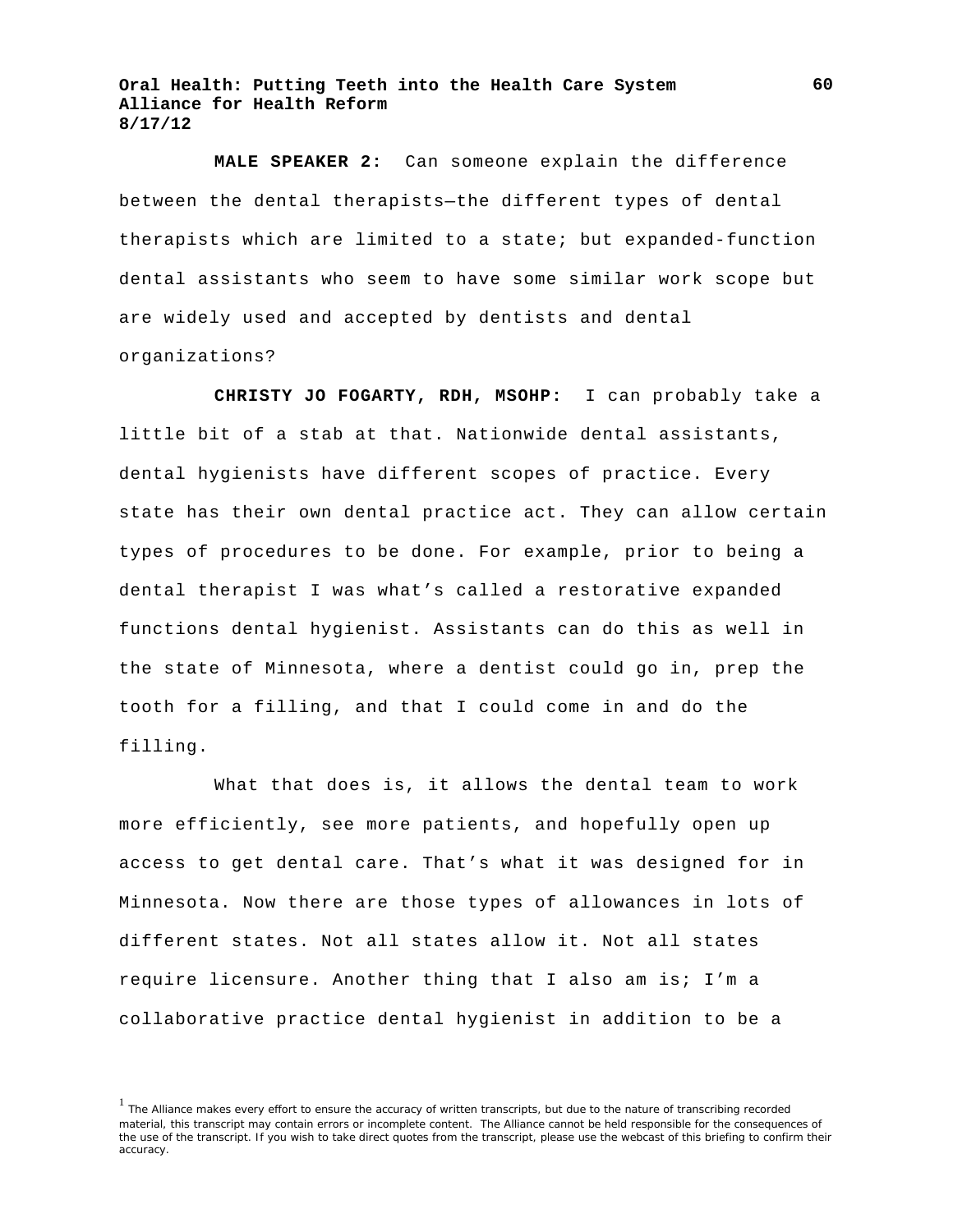**MALE SPEAKER 2:** Can someone explain the difference between the dental therapists—the different types of dental therapists which are limited to a state; but expanded-function dental assistants who seem to have some similar work scope but are widely used and accepted by dentists and dental organizations?

**CHRISTY JO FOGARTY, RDH, MSOHP:** I can probably take a little bit of a stab at that. Nationwide dental assistants, dental hygienists have different scopes of practice. Every state has their own dental practice act. They can allow certain types of procedures to be done. For example, prior to being a dental therapist I was what's called a restorative expanded functions dental hygienist. Assistants can do this as well in the state of Minnesota, where a dentist could go in, prep the tooth for a filling, and that I could come in and do the filling.

What that does is, it allows the dental team to work more efficiently, see more patients, and hopefully open up access to get dental care. That's what it was designed for in Minnesota. Now there are those types of allowances in lots of different states. Not all states allow it. Not all states require licensure. Another thing that I also am is; I'm a collaborative practice dental hygienist in addition to be a

**60**

<sup>&</sup>lt;sup>1</sup> The Alliance makes every effort to ensure the accuracy of written transcripts, but due to the nature of transcribing recorded material, this transcript may contain errors or incomplete content. The Alliance cannot be held responsible for the consequences of the use of the transcript. If you wish to take direct quotes from the transcript, please use the webcast of this briefing to confirm their accuracy.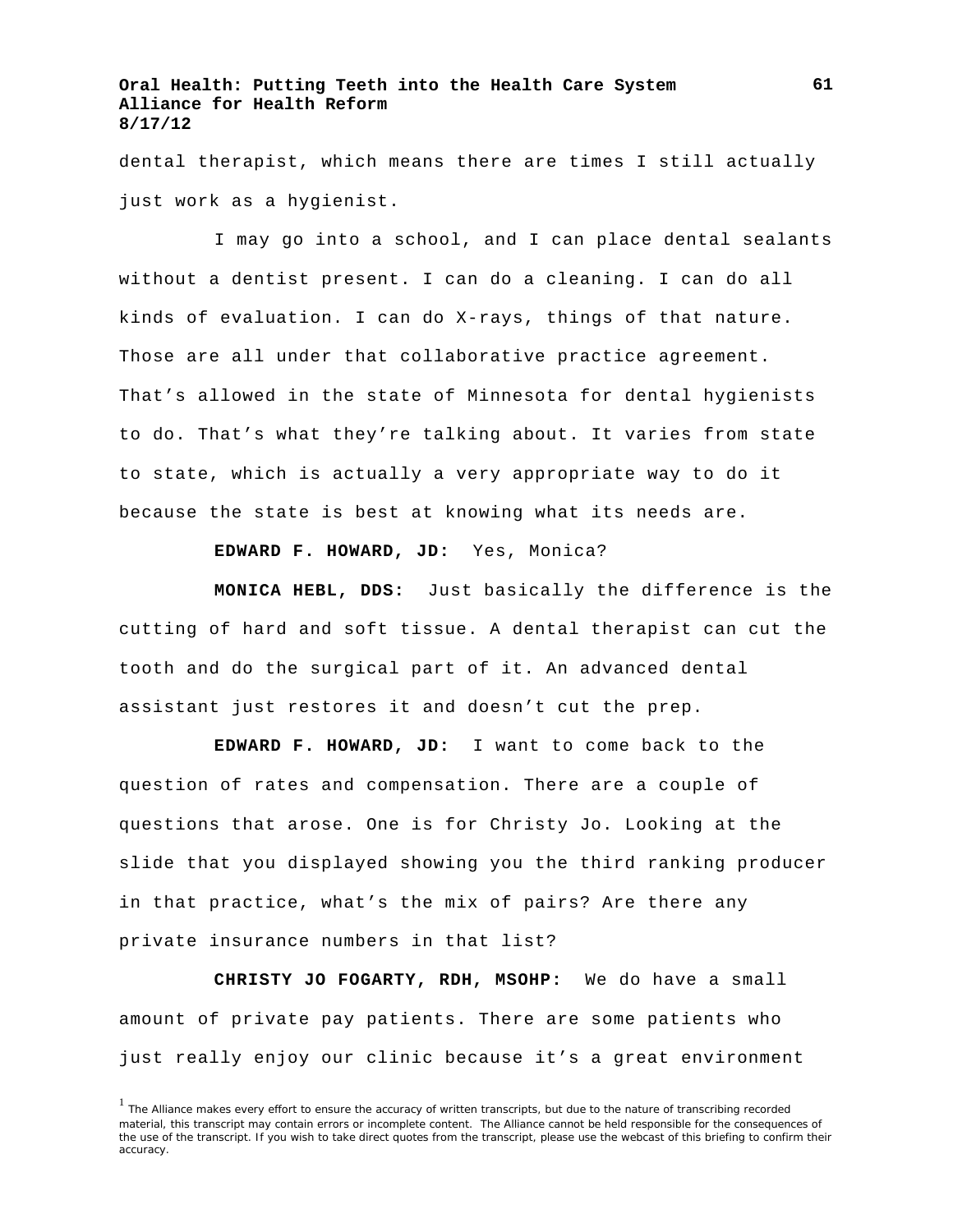dental therapist, which means there are times I still actually just work as a hygienist.

I may go into a school, and I can place dental sealants without a dentist present. I can do a cleaning. I can do all kinds of evaluation. I can do X-rays, things of that nature. Those are all under that collaborative practice agreement. That's allowed in the state of Minnesota for dental hygienists to do. That's what they're talking about. It varies from state to state, which is actually a very appropriate way to do it because the state is best at knowing what its needs are.

**EDWARD F. HOWARD, JD:** Yes, Monica?

**MONICA HEBL, DDS:** Just basically the difference is the cutting of hard and soft tissue. A dental therapist can cut the tooth and do the surgical part of it. An advanced dental assistant just restores it and doesn't cut the prep.

**EDWARD F. HOWARD, JD:** I want to come back to the question of rates and compensation. There are a couple of questions that arose. One is for Christy Jo. Looking at the slide that you displayed showing you the third ranking producer in that practice, what's the mix of pairs? Are there any private insurance numbers in that list?

**CHRISTY JO FOGARTY, RDH, MSOHP:** We do have a small amount of private pay patients. There are some patients who just really enjoy our clinic because it's a great environment

<sup>&</sup>lt;sup>1</sup> The Alliance makes every effort to ensure the accuracy of written transcripts, but due to the nature of transcribing recorded material, this transcript may contain errors or incomplete content. The Alliance cannot be held responsible for the consequences of the use of the transcript. If you wish to take direct quotes from the transcript, please use the webcast of this briefing to confirm their accuracy.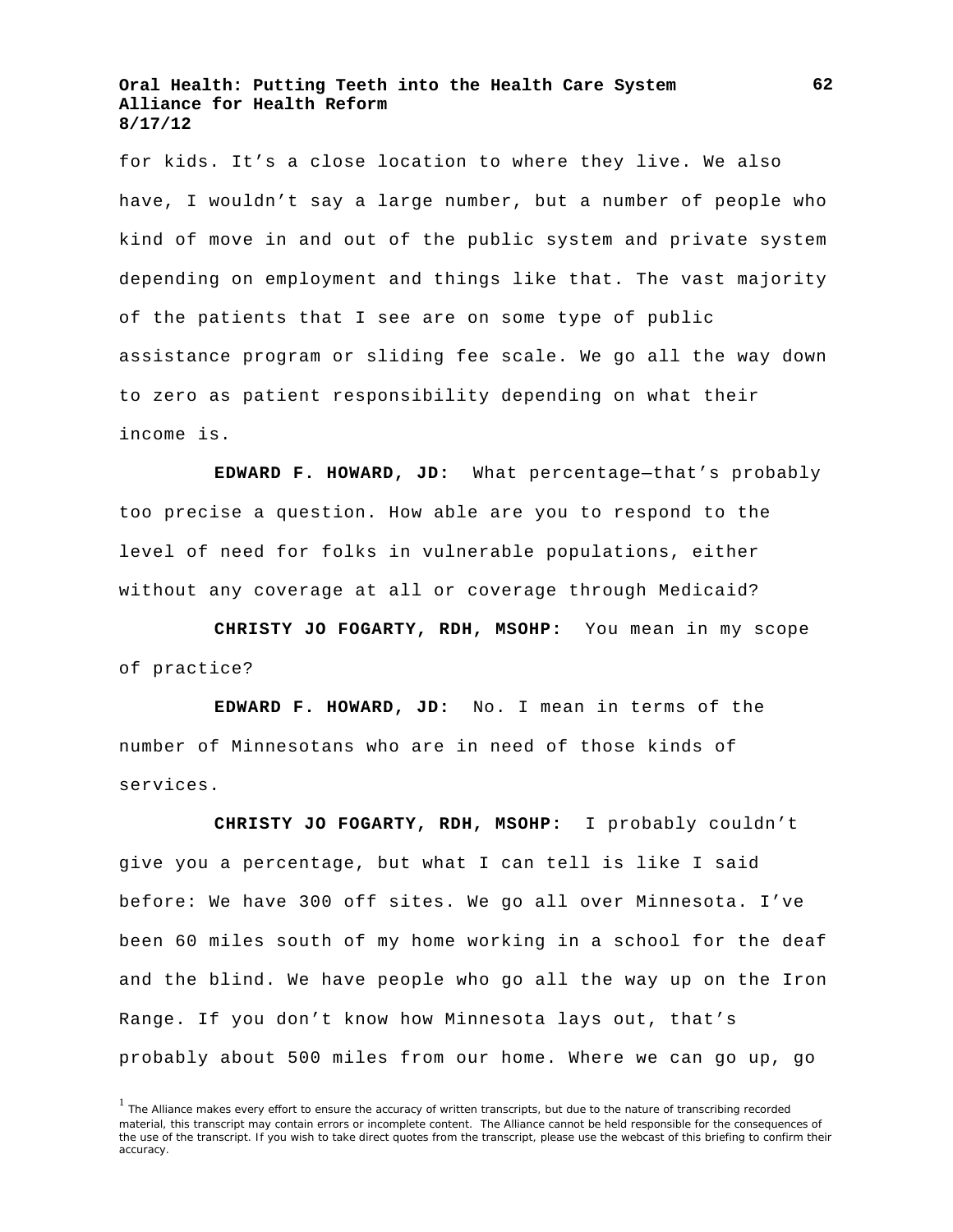for kids. It's a close location to where they live. We also have, I wouldn't say a large number, but a number of people who kind of move in and out of the public system and private system depending on employment and things like that. The vast majority of the patients that I see are on some type of public assistance program or sliding fee scale. We go all the way down to zero as patient responsibility depending on what their income is.

**EDWARD F. HOWARD, JD:** What percentage—that's probably too precise a question. How able are you to respond to the level of need for folks in vulnerable populations, either without any coverage at all or coverage through Medicaid?

**CHRISTY JO FOGARTY, RDH, MSOHP:** You mean in my scope of practice?

**EDWARD F. HOWARD, JD:** No. I mean in terms of the number of Minnesotans who are in need of those kinds of services.

**CHRISTY JO FOGARTY, RDH, MSOHP:** I probably couldn't give you a percentage, but what I can tell is like I said before: We have 300 off sites. We go all over Minnesota. I've been 60 miles south of my home working in a school for the deaf and the blind. We have people who go all the way up on the Iron Range. If you don't know how Minnesota lays out, that's probably about 500 miles from our home. Where we can go up, go

<sup>&</sup>lt;sup>1</sup> The Alliance makes every effort to ensure the accuracy of written transcripts, but due to the nature of transcribing recorded material, this transcript may contain errors or incomplete content. The Alliance cannot be held responsible for the consequences of the use of the transcript. If you wish to take direct quotes from the transcript, please use the webcast of this briefing to confirm their accuracy.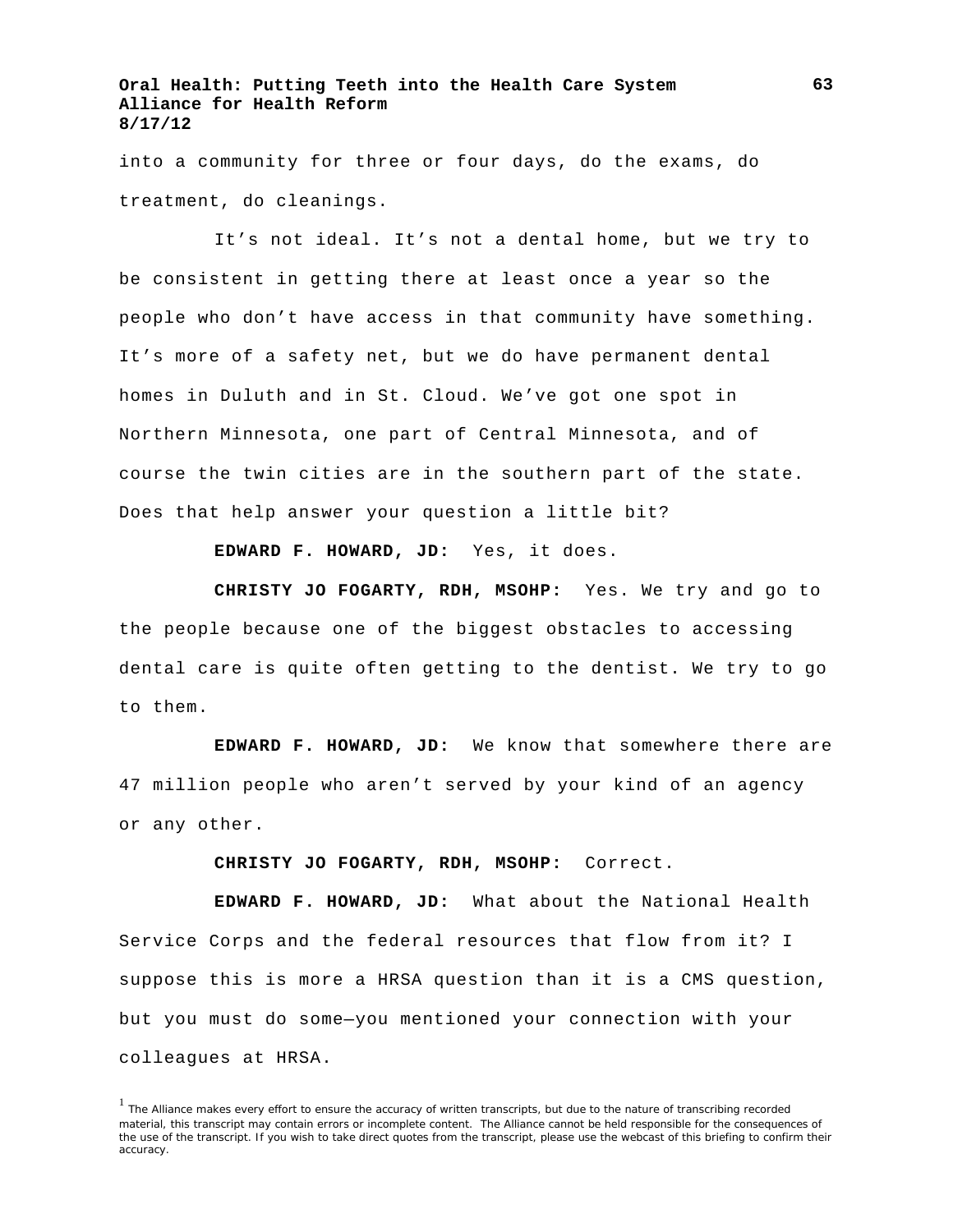into a community for three or four days, do the exams, do treatment, do cleanings.

It's not ideal. It's not a dental home, but we try to be consistent in getting there at least once a year so the people who don't have access in that community have something. It's more of a safety net, but we do have permanent dental homes in Duluth and in St. Cloud. We've got one spot in Northern Minnesota, one part of Central Minnesota, and of course the twin cities are in the southern part of the state. Does that help answer your question a little bit?

**EDWARD F. HOWARD, JD:** Yes, it does.

**CHRISTY JO FOGARTY, RDH, MSOHP:** Yes. We try and go to the people because one of the biggest obstacles to accessing dental care is quite often getting to the dentist. We try to go to them.

**EDWARD F. HOWARD, JD:** We know that somewhere there are 47 million people who aren't served by your kind of an agency or any other.

**CHRISTY JO FOGARTY, RDH, MSOHP:** Correct.

**EDWARD F. HOWARD, JD:** What about the National Health Service Corps and the federal resources that flow from it? I suppose this is more a HRSA question than it is a CMS question, but you must do some—you mentioned your connection with your colleagues at HRSA.

<sup>&</sup>lt;sup>1</sup> The Alliance makes every effort to ensure the accuracy of written transcripts, but due to the nature of transcribing recorded material, this transcript may contain errors or incomplete content. The Alliance cannot be held responsible for the consequences of the use of the transcript. If you wish to take direct quotes from the transcript, please use the webcast of this briefing to confirm their accuracy.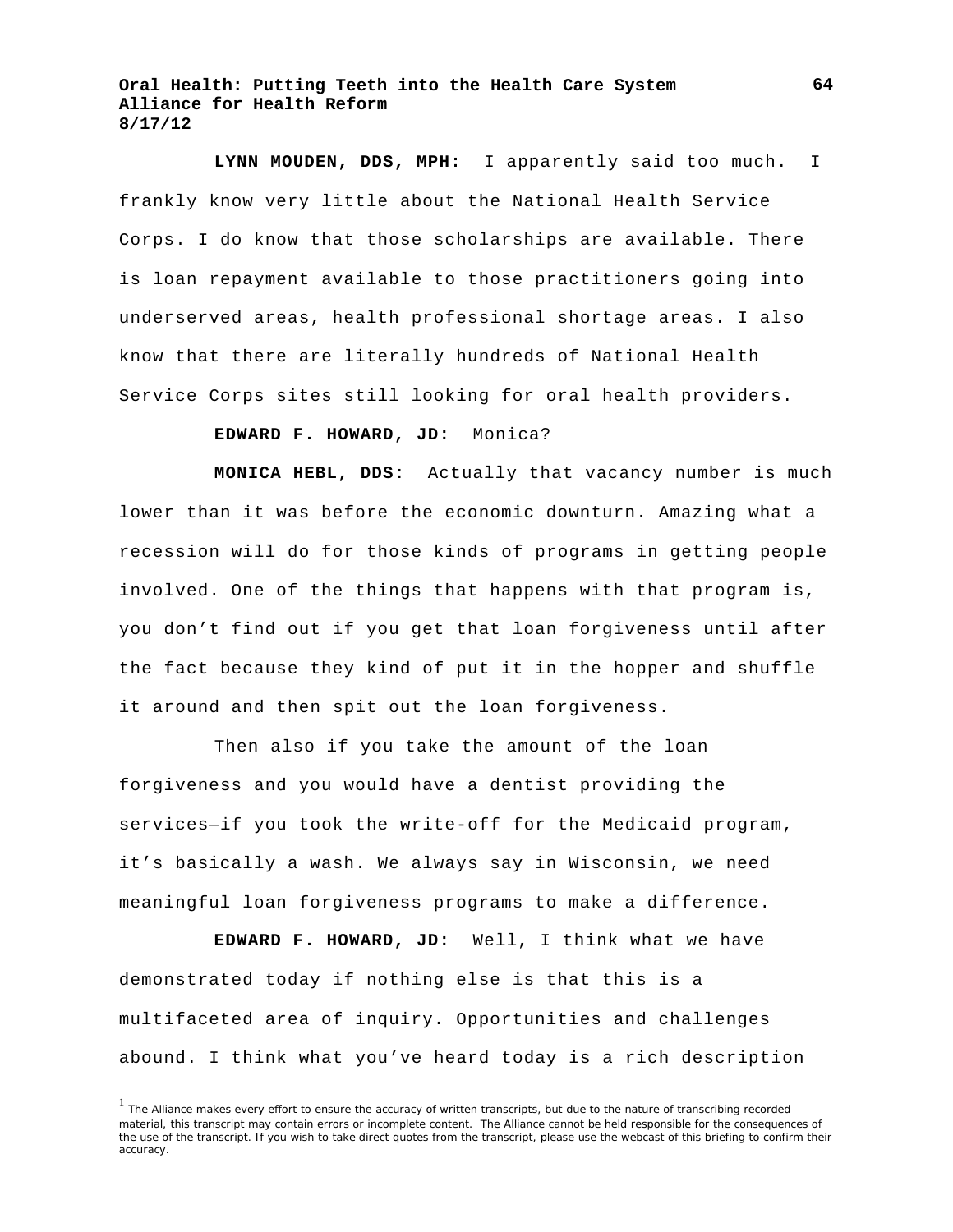**LYNN MOUDEN, DDS, MPH:** I apparently said too much. I frankly know very little about the National Health Service Corps. I do know that those scholarships are available. There is loan repayment available to those practitioners going into underserved areas, health professional shortage areas. I also know that there are literally hundreds of National Health Service Corps sites still looking for oral health providers.

# **EDWARD F. HOWARD, JD:** Monica?

**MONICA HEBL, DDS:** Actually that vacancy number is much lower than it was before the economic downturn. Amazing what a recession will do for those kinds of programs in getting people involved. One of the things that happens with that program is, you don't find out if you get that loan forgiveness until after the fact because they kind of put it in the hopper and shuffle it around and then spit out the loan forgiveness.

Then also if you take the amount of the loan forgiveness and you would have a dentist providing the services—if you took the write-off for the Medicaid program, it's basically a wash. We always say in Wisconsin, we need meaningful loan forgiveness programs to make a difference.

**EDWARD F. HOWARD, JD:** Well, I think what we have demonstrated today if nothing else is that this is a multifaceted area of inquiry. Opportunities and challenges abound. I think what you've heard today is a rich description

<sup>&</sup>lt;sup>1</sup> The Alliance makes every effort to ensure the accuracy of written transcripts, but due to the nature of transcribing recorded material, this transcript may contain errors or incomplete content. The Alliance cannot be held responsible for the consequences of the use of the transcript. If you wish to take direct quotes from the transcript, please use the webcast of this briefing to confirm their accuracy.